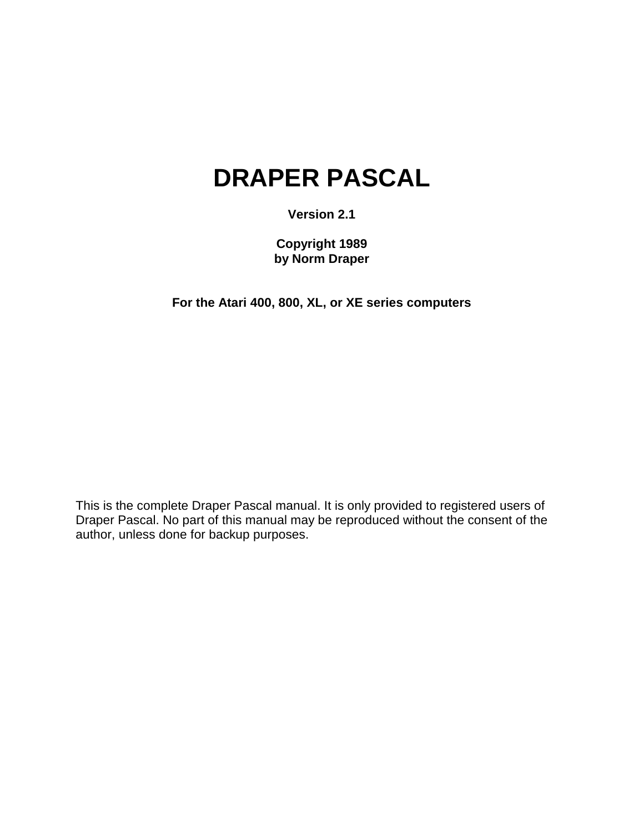# **DRAPER PASCAL**

**Version 2.1**

**Copyright 1989 by Norm Draper**

**For the Atari 400, 800, XL, or XE series computers**

This is the complete Draper Pascal manual. It is only provided to registered users of Draper Pascal. No part of this manual may be reproduced without the consent of the author, unless done for backup purposes.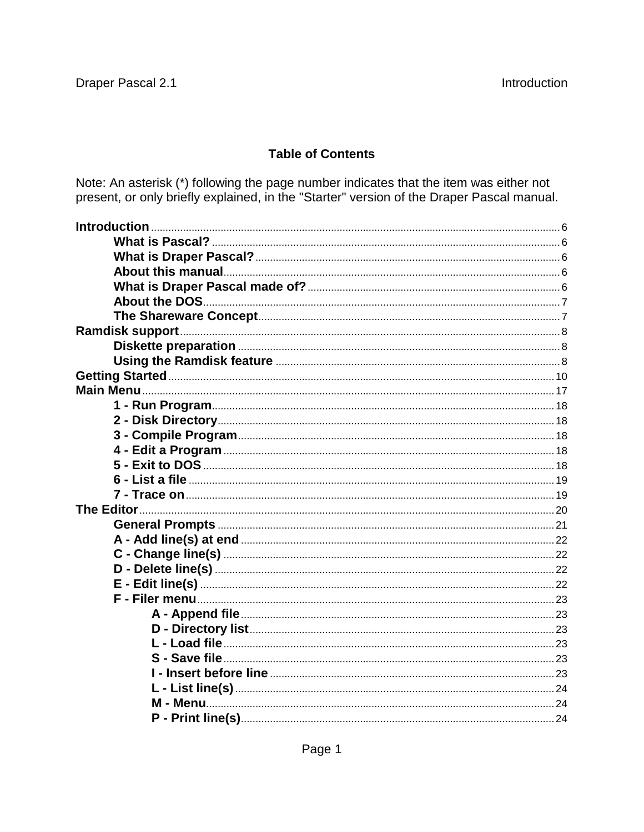## **Table of Contents**

Note: An asterisk (\*) following the page number indicates that the item was either not present, or only briefly explained, in the "Starter" version of the Draper Pascal manual.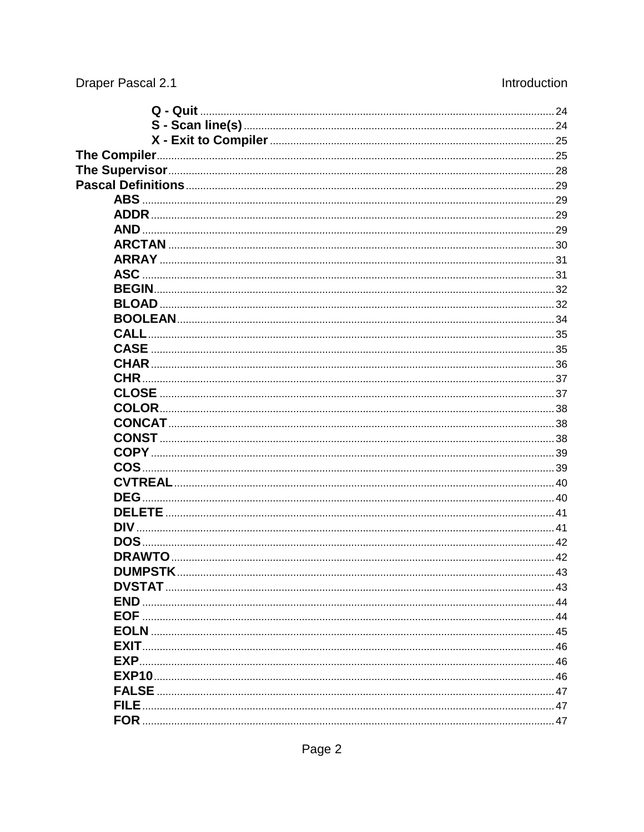| <b>ASC</b>  |  |
|-------------|--|
|             |  |
|             |  |
|             |  |
| <b>CALL</b> |  |
|             |  |
|             |  |
| <b>CHR</b>  |  |
|             |  |
|             |  |
|             |  |
|             |  |
|             |  |
|             |  |
|             |  |
| <b>DEG</b>  |  |
|             |  |
|             |  |
|             |  |
|             |  |
|             |  |
|             |  |
|             |  |
|             |  |
|             |  |
|             |  |
| EXP         |  |
|             |  |
|             |  |
| <b>FILE</b> |  |
|             |  |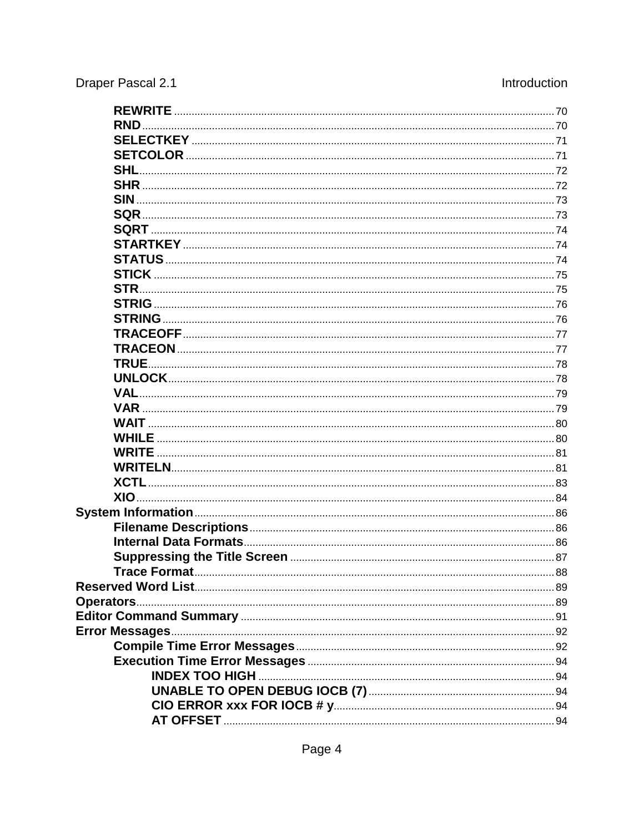| RND        |  |
|------------|--|
|            |  |
|            |  |
|            |  |
|            |  |
|            |  |
|            |  |
|            |  |
|            |  |
|            |  |
|            |  |
|            |  |
|            |  |
|            |  |
|            |  |
|            |  |
|            |  |
|            |  |
|            |  |
| <b>VAR</b> |  |
|            |  |
|            |  |
|            |  |
|            |  |
|            |  |
|            |  |
|            |  |
|            |  |
|            |  |
|            |  |
|            |  |
|            |  |
|            |  |
|            |  |
|            |  |
|            |  |
|            |  |
|            |  |
|            |  |
|            |  |
|            |  |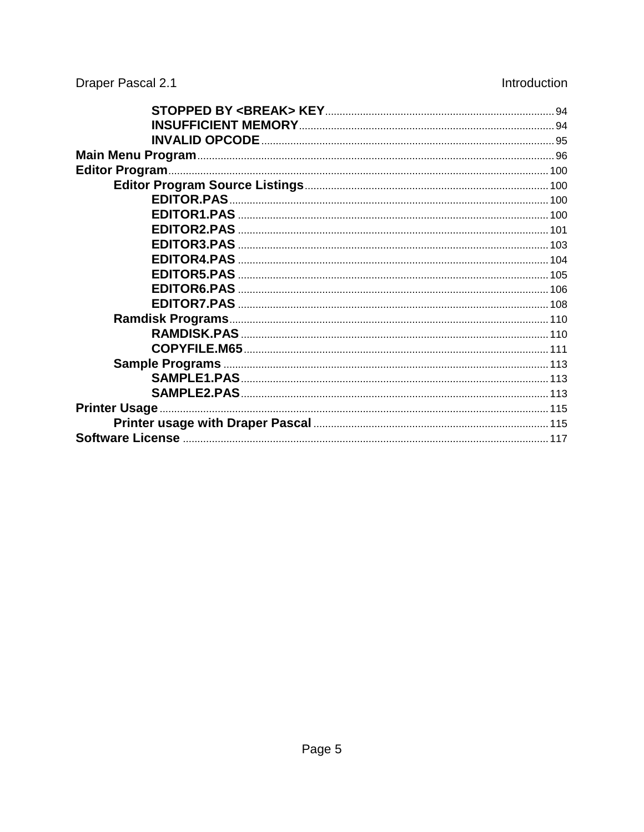| <b>Printer Usage.</b> |  |
|-----------------------|--|
|                       |  |
|                       |  |
|                       |  |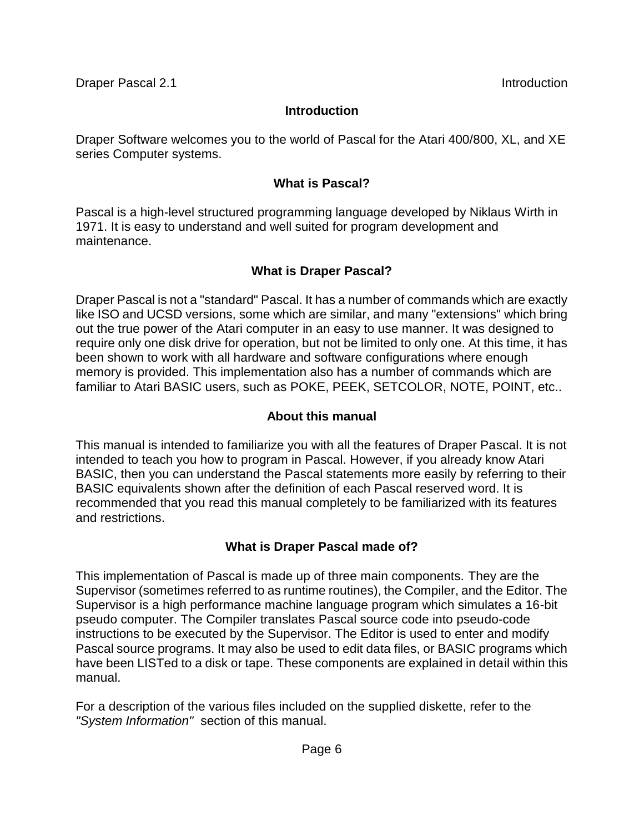Draper Software welcomes you to the world of Pascal for the Atari 400/800, XL, and XE series Computer systems.

## **What is Pascal?**

Pascal is a high-level structured programming language developed by Niklaus Wirth in 1971. It is easy to understand and well suited for program development and maintenance.

## **What is Draper Pascal?**

Draper Pascal is not a "standard" Pascal. It has a number of commands which are exactly like ISO and UCSD versions, some which are similar, and many "extensions" which bring out the true power of the Atari computer in an easy to use manner. It was designed to require only one disk drive for operation, but not be limited to only one. At this time, it has been shown to work with all hardware and software configurations where enough memory is provided. This implementation also has a number of commands which are familiar to Atari BASIC users, such as POKE, PEEK, SETCOLOR, NOTE, POINT, etc..

## **About this manual**

This manual is intended to familiarize you with all the features of Draper Pascal. It is not intended to teach you how to program in Pascal. However, if you already know Atari BASIC, then you can understand the Pascal statements more easily by referring to their BASIC equivalents shown after the definition of each Pascal reserved word. It is recommended that you read this manual completely to be familiarized with its features and restrictions.

## **What is Draper Pascal made of?**

This implementation of Pascal is made up of three main components. They are the Supervisor (sometimes referred to as runtime routines), the Compiler, and the Editor. The Supervisor is a high performance machine language program which simulates a 16-bit pseudo computer. The Compiler translates Pascal source code into pseudo-code instructions to be executed by the Supervisor. The Editor is used to enter and modify Pascal source programs. It may also be used to edit data files, or BASIC programs which have been LISTed to a disk or tape. These components are explained in detail within this manual.

For a description of the various files included on the supplied diskette, refer to the *"System Information"* section of this manual.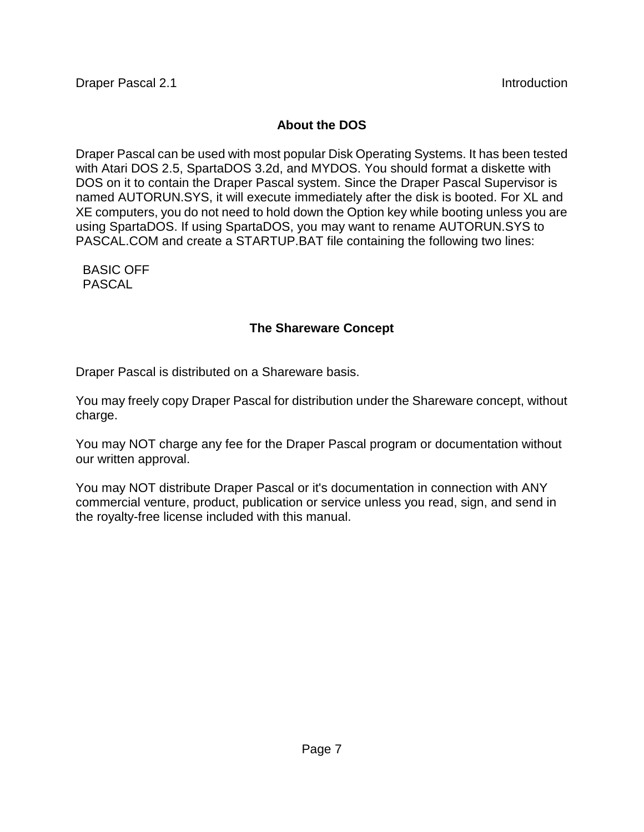## **About the DOS**

Draper Pascal can be used with most popular Disk Operating Systems. It has been tested with Atari DOS 2.5, SpartaDOS 3.2d, and MYDOS. You should format a diskette with DOS on it to contain the Draper Pascal system. Since the Draper Pascal Supervisor is named AUTORUN.SYS, it will execute immediately after the disk is booted. For XL and XE computers, you do not need to hold down the Option key while booting unless you are using SpartaDOS. If using SpartaDOS, you may want to rename AUTORUN.SYS to PASCAL.COM and create a STARTUP.BAT file containing the following two lines:

 BASIC OFF PASCAL

### **The Shareware Concept**

Draper Pascal is distributed on a Shareware basis.

You may freely copy Draper Pascal for distribution under the Shareware concept, without charge.

You may NOT charge any fee for the Draper Pascal program or documentation without our written approval.

You may NOT distribute Draper Pascal or it's documentation in connection with ANY commercial venture, product, publication or service unless you read, sign, and send in the royalty-free license included with this manual.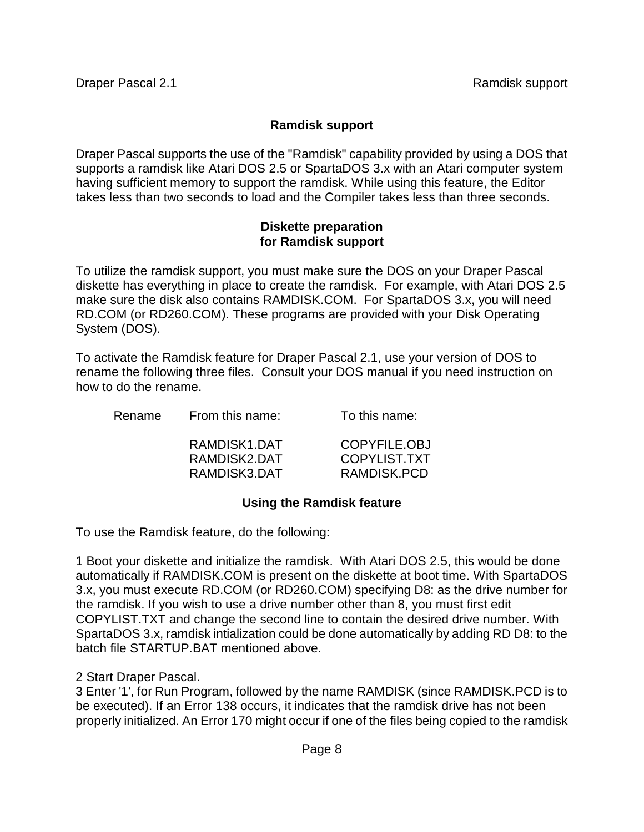## **Ramdisk support**

Draper Pascal supports the use of the "Ramdisk" capability provided by using a DOS that supports a ramdisk like Atari DOS 2.5 or SpartaDOS 3.x with an Atari computer system having sufficient memory to support the ramdisk. While using this feature, the Editor takes less than two seconds to load and the Compiler takes less than three seconds.

#### **Diskette preparation for Ramdisk support**

To utilize the ramdisk support, you must make sure the DOS on your Draper Pascal diskette has everything in place to create the ramdisk. For example, with Atari DOS 2.5 make sure the disk also contains RAMDISK.COM. For SpartaDOS 3.x, you will need RD.COM (or RD260.COM). These programs are provided with your Disk Operating System (DOS).

To activate the Ramdisk feature for Draper Pascal 2.1, use your version of DOS to rename the following three files. Consult your DOS manual if you need instruction on how to do the rename.

| To this name: |
|---------------|
|               |

| RAMDISK1.DAT | COPYFILE.OBJ |
|--------------|--------------|
| RAMDISK2.DAT | COPYLIST.TXT |
| RAMDISK3.DAT | RAMDISK.PCD  |

## **Using the Ramdisk feature**

To use the Ramdisk feature, do the following:

1 Boot your diskette and initialize the ramdisk. With Atari DOS 2.5, this would be done automatically if RAMDISK.COM is present on the diskette at boot time. With SpartaDOS 3.x, you must execute RD.COM (or RD260.COM) specifying D8: as the drive number for the ramdisk. If you wish to use a drive number other than 8, you must first edit COPYLIST.TXT and change the second line to contain the desired drive number. With SpartaDOS 3.x, ramdisk intialization could be done automatically by adding RD D8: to the batch file STARTUP.BAT mentioned above.

2 Start Draper Pascal.

3 Enter '1', for Run Program, followed by the name RAMDISK (since RAMDISK.PCD is to be executed). If an Error 138 occurs, it indicates that the ramdisk drive has not been properly initialized. An Error 170 might occur if one of the files being copied to the ramdisk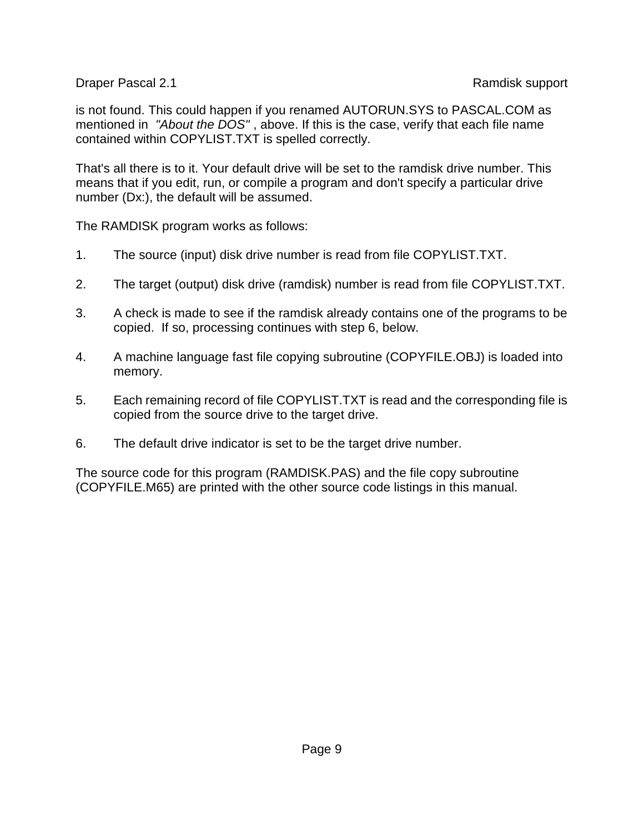Draper Pascal 2.1 Ramdisk support

is not found. This could happen if you renamed AUTORUN.SYS to PASCAL.COM as mentioned in *"About the DOS"* , above. If this is the case, verify that each file name contained within COPYLIST.TXT is spelled correctly.

That's all there is to it. Your default drive will be set to the ramdisk drive number. This means that if you edit, run, or compile a program and don't specify a particular drive number (Dx:), the default will be assumed.

The RAMDISK program works as follows:

- 1. The source (input) disk drive number is read from file COPYLIST.TXT.
- 2. The target (output) disk drive (ramdisk) number is read from file COPYLIST.TXT.
- 3. A check is made to see if the ramdisk already contains one of the programs to be copied. If so, processing continues with step 6, below.
- 4. A machine language fast file copying subroutine (COPYFILE.OBJ) is loaded into memory.
- 5. Each remaining record of file COPYLIST.TXT is read and the corresponding file is copied from the source drive to the target drive.
- 6. The default drive indicator is set to be the target drive number.

The source code for this program (RAMDISK.PAS) and the file copy subroutine (COPYFILE.M65) are printed with the other source code listings in this manual.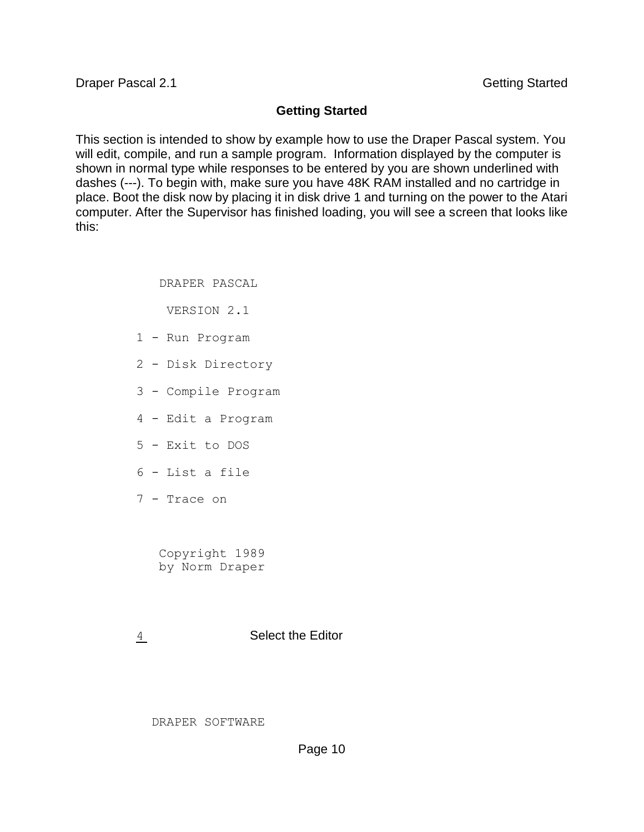#### **Getting Started**

This section is intended to show by example how to use the Draper Pascal system. You will edit, compile, and run a sample program. Information displayed by the computer is shown in normal type while responses to be entered by you are shown underlined with dashes (---). To begin with, make sure you have 48K RAM installed and no cartridge in place. Boot the disk now by placing it in disk drive 1 and turning on the power to the Atari computer. After the Supervisor has finished loading, you will see a screen that looks like this:

DRAPER PASCAL

VERSION 2.1

- 1 Run Program
- 2 Disk Directory
- 3 Compile Program
- 4 Edit a Program
- 5 Exit to DOS
- 6 List a file
- 7 Trace on

 Copyright 1989 by Norm Draper

4 Select the Editor

DRAPER SOFTWARE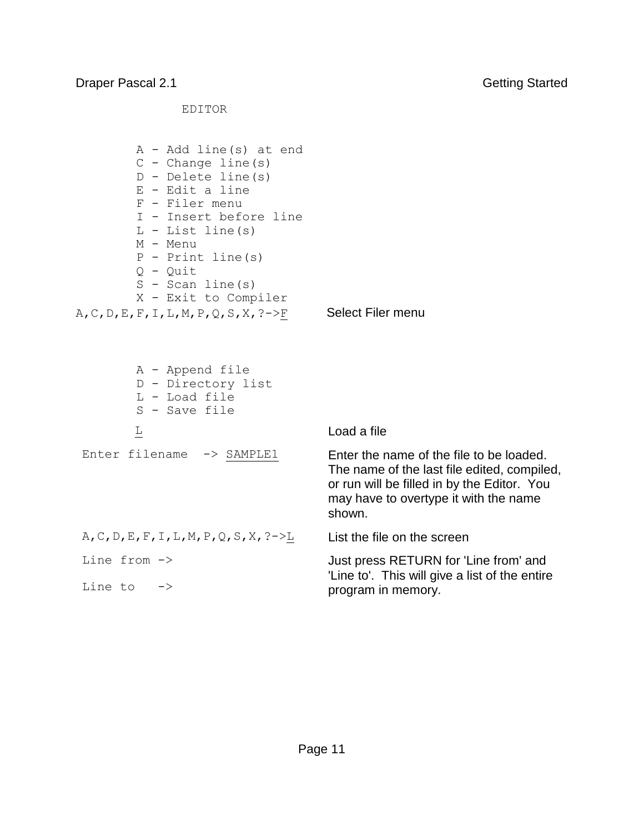EDITOR

```
 A - Add line(s) at end 
          C - Change line(s) 
          D - Delete line(s) 
          E - Edit a line 
          F - Filer menu 
          I - Insert before line 
         L - List line(s) M - Menu 
          P - Print line(s) 
          Q - Quit 
         S - Scan line(s)
          X - Exit to Compiler
A, C, D, E, F, I, L, M, P, Q, S, X, ?->F Select Filer menu
          A - Append file 
          D - Directory list 
          L - Load file 
          S - Save file 
         Load a file
 Enter filename \rightarrow SAMPLE1 Enter the name of the file to be loaded.
                                        The name of the last file edited, compiled, 
                                        or run will be filled in by the Editor. You 
                                        may have to overtype it with the name 
                                        shown. 
 A, C, D, E, F, I, L, M, P, Q, S, X, ?->L List the file on the screen
 Line from ->
 Line to \rightarrowJust press RETURN for 'Line from' and 
                                        'Line to'. This will give a list of the entire 
                                        program in memory.
```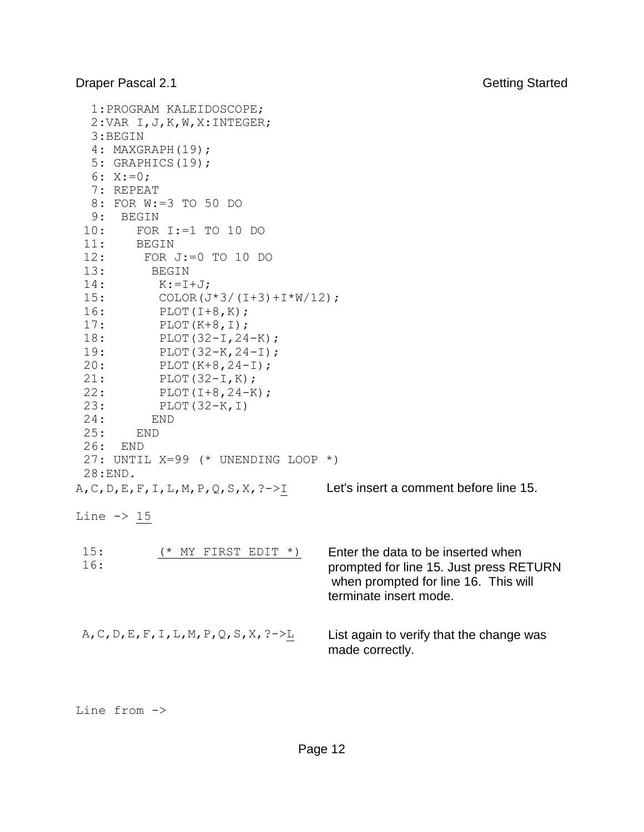```
 1:PROGRAM KALEIDOSCOPE; 
   2:VAR I,J,K,W,X:INTEGER; 
   3:BEGIN 
   4: MAXGRAPH(19); 
   5: GRAPHICS(19); 
  6: X := 0; 7: REPEAT 
   8: FOR W:=3 TO 50 DO 
   9: BEGIN 
 10: FOR I:=1 TO 10 DO 
 11: BEGIN 
 12: FOR J:=0 TO 10 DO 
 13: BEGIN 
 14: K:=I+J;
 15: COLOR(J*3/(I+3)+I*W/12);
 16: PLOT(I+8, K);
 17: PLOT(K+8, I);
 18: PLOT(32-I,24-K);
 19: PLOT(32-K, 24-I);
 20: PLOT(K+8,24-I); 
 21: PLOT(32-I,K); 
 22: PLOT(I+8,24-K); 
 23: PLOT(32-K,I) 
 24: END 
 25: END 
 26: END 
27: UNTIL X=99 (* UNENDING LOOP *) 
 28:END. 
A, C, D, E, F, I, L, M, P, Q, S, X, ?->I Let's insert a comment before line 15.
Line \rightarrow 15
15: (* MY FIRST EDIT *)
16: 
                                   Enter the data to be inserted when 
                                   prompted for line 15. Just press RETURN 
                                   when prompted for line 16. This will 
                                   terminate insert mode.
A, C, D, E, F, I, L, M, P, Q, S, X, ?->L List again to verify that the change was
                                   made correctly.
```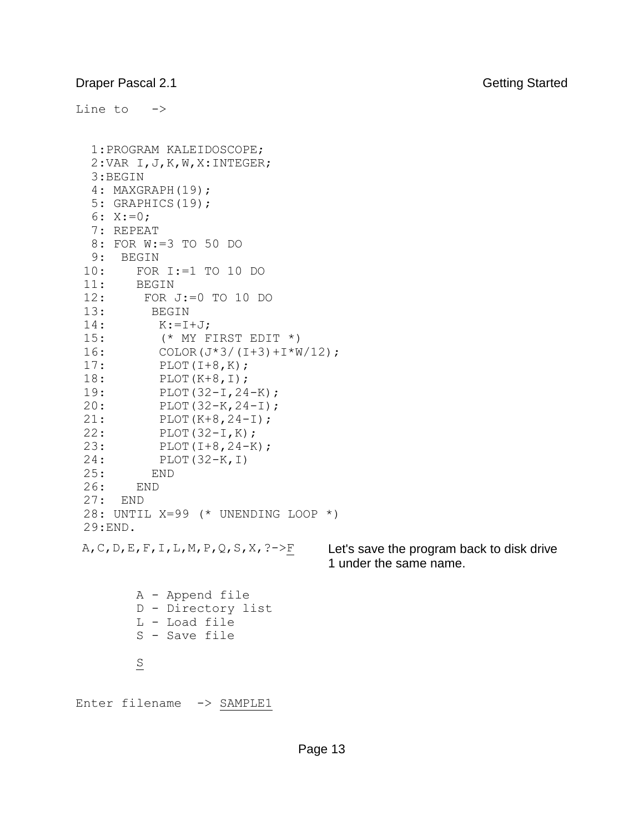Line to -> 1:PROGRAM KALEIDOSCOPE; 2:VAR I,J,K,W,X:INTEGER; 3:BEGIN 4: MAXGRAPH(19); 5: GRAPHICS(19); 6: X:=0; 7: REPEAT 8: FOR W:=3 TO 50 DO 9: BEGIN 10: FOR I:=1 TO 10 DO 11: BEGIN 12: FOR J:=0 TO 10 DO 13: BEGIN  $14:$  K:=I+J; 15: (\* MY FIRST EDIT \*)  $16:$  COLOR(J\*3/(I+3)+I\*W/12); 17: PLOT(I+8, K); 18: PLOT(K+8, I); 19: PLOT(32-I,24-K); 20: PLOT(32-K,24-I); 21: PLOT(K+8,24-I);<br>22: PLOT(32-I,K); PLOT(32-I,K); 23: PLOT(I+8,24-K); 24: PLOT(32-K,I) 25: END 26: END 27: END 28: UNTIL X=99 (\* UNENDING LOOP \*) 29:END. A, C, D, E, F, I, L, M, P, Q, S, X,  $?->E$  Let's save the program back to disk drive 1 under the same name. A - Append file D - Directory list L - Load file S - Save file  $\overline{S}$ Enter filename -> SAMPLE1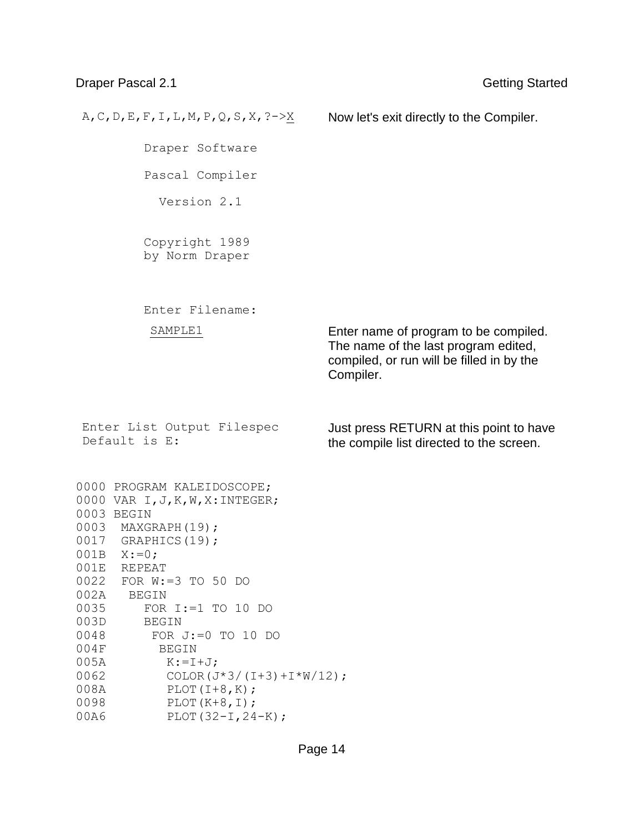#### Draper Pascal 2.1 Getting Started

A, C, D, E, F, I, L, M, P, Q, S, X,  $?->X$  Now let's exit directly to the Compiler. Draper Software Pascal Compiler Version 2.1 Copyright 1989 by Norm Draper Enter Filename: SAMPLE1 Enter name of program to be compiled. The name of the last program edited, compiled, or run will be filled in by the Compiler. Enter List Output Filespec Default is E: Just press RETURN at this point to have the compile list directed to the screen. 0000 PROGRAM KALEIDOSCOPE; 0000 VAR I,J,K,W,X:INTEGER; 0003 BEGIN 0003 MAXGRAPH(19); 0017 GRAPHICS(19); 001B X:=0; 001E REPEAT 0022 FOR W:=3 TO 50 DO 002A BEGIN 0035 FOR I:=1 TO 10 DO 003D BEGIN 0048 FOR J:=0 TO 10 DO 004F BEGIN 005A K:=I+J; 0062 COLOR(J\*3/(I+3)+I\*W/12); 008A PLOT(I+8,K); 0098 PLOT(K+8,I); 00A6 PLOT(32-I,24-K);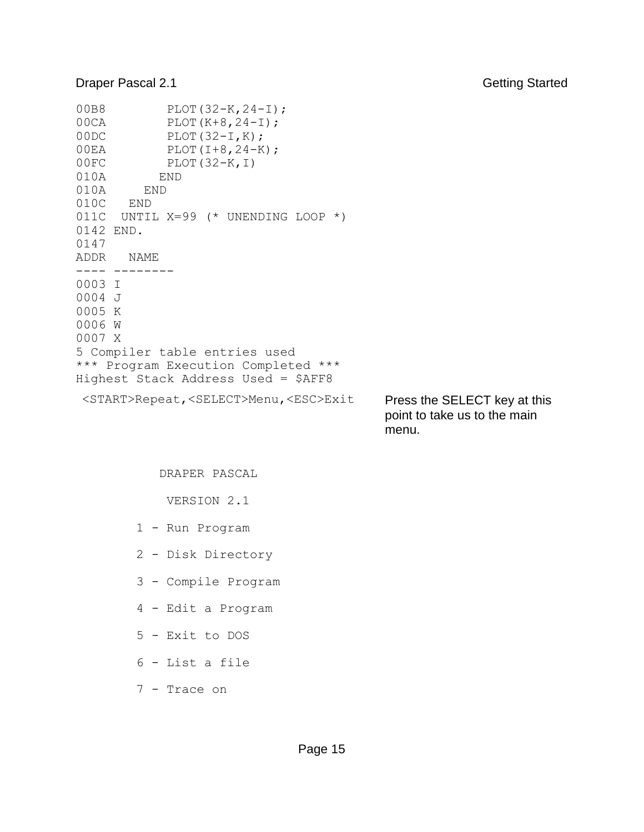#### **Draper Pascal 2.1** Getting Started

```
00B8 PLOT(32-K, 24-I);<br>00CA PLOT(K+8, 24-I);
00CA PLOT(K+8,24-I);<br>00DC PLOT(32-I,K);
           PLOT(32-I,K);
00EA PLOT(I+8,24-K);
00FC PLOT(32-K,I) 
010A END 
010A END 
010C END 
011C UNTIL X=99 (* UNENDING LOOP *) 
0142 END. 
0147 
ADDR NAME 
---- --------
0003 I 
0004 J 
0005 K 
0006 W 
0007 X 
5 Compiler table entries used 
*** Program Execution Completed ***
Highest Stack Address Used = $AFF8
 <START>Repeat,<SELECT>Menu,<ESC>Exit Press the SELECT key at this 
                                            point to take us to the main
```
menu.

#### DRAPER PASCAL

VERSION 2.1

- 1 Run Program
- 2 Disk Directory
- 3 Compile Program
- 4 Edit a Program
- 5 Exit to DOS
- 6 List a file
- 7 Trace on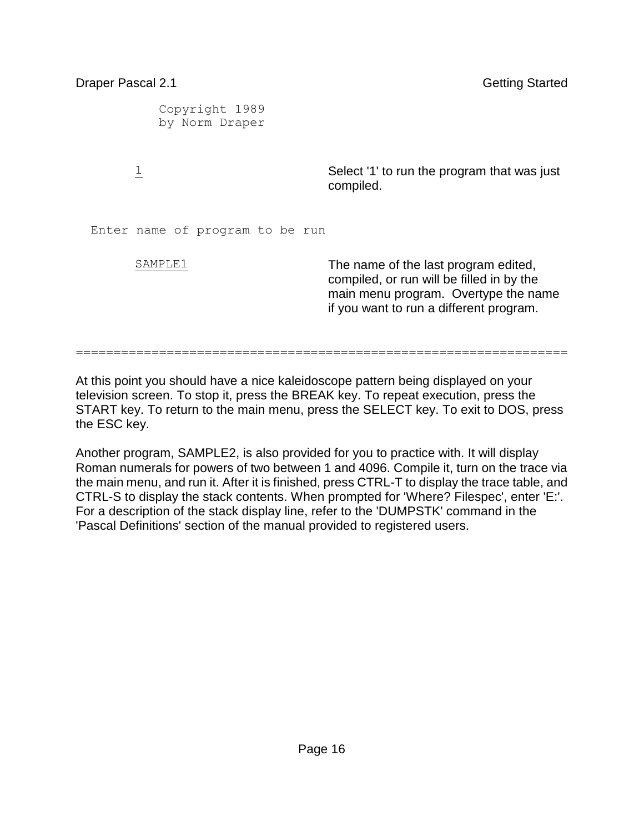| Draper Pascal 2.1                | <b>Getting Started</b>                                                                                                                                               |
|----------------------------------|----------------------------------------------------------------------------------------------------------------------------------------------------------------------|
| Copyright 1989<br>by Norm Draper |                                                                                                                                                                      |
| $\overline{\perp}$               | Select '1' to run the program that was just<br>compiled.                                                                                                             |
| Enter name of program to be run  |                                                                                                                                                                      |
| SAMPLE1                          | The name of the last program edited,<br>compiled, or run will be filled in by the<br>main menu program. Overtype the name<br>if you want to run a different program. |

At this point you should have a nice kaleidoscope pattern being displayed on your television screen. To stop it, press the BREAK key. To repeat execution, press the START key. To return to the main menu, press the SELECT key. To exit to DOS, press the ESC key.

=================================================================

Another program, SAMPLE2, is also provided for you to practice with. It will display Roman numerals for powers of two between 1 and 4096. Compile it, turn on the trace via the main menu, and run it. After it is finished, press CTRL-T to display the trace table, and CTRL-S to display the stack contents. When prompted for 'Where? Filespec', enter 'E:'. For a description of the stack display line, refer to the 'DUMPSTK' command in the 'Pascal Definitions' section of the manual provided to registered users.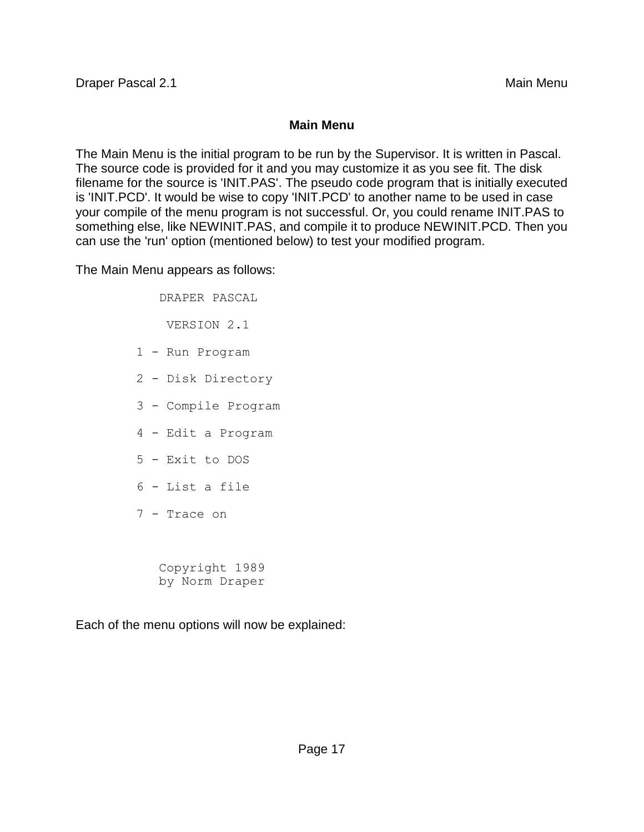### **Main Menu**

The Main Menu is the initial program to be run by the Supervisor. It is written in Pascal. The source code is provided for it and you may customize it as you see fit. The disk filename for the source is 'INIT.PAS'. The pseudo code program that is initially executed is 'INIT.PCD'. It would be wise to copy 'INIT.PCD' to another name to be used in case your compile of the menu program is not successful. Or, you could rename INIT.PAS to something else, like NEWINIT.PAS, and compile it to produce NEWINIT.PCD. Then you can use the 'run' option (mentioned below) to test your modified program.

The Main Menu appears as follows:

 DRAPER PASCAL VERSION 2.1 1 - Run Program 2 - Disk Directory 3 - Compile Program 4 - Edit a Program 5 - Exit to DOS 6 - List a file 7 - Trace on Copyright 1989

by Norm Draper

Each of the menu options will now be explained: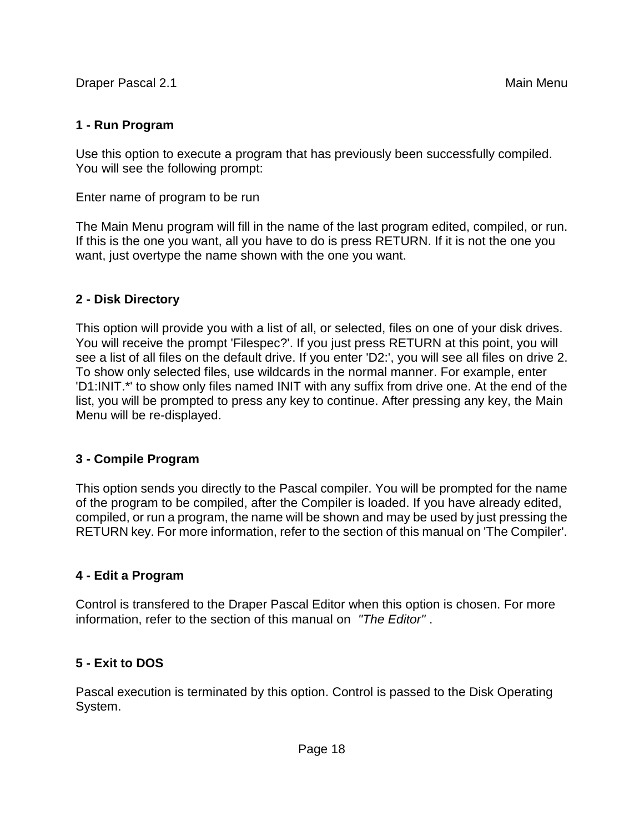## **1 - Run Program**

Use this option to execute a program that has previously been successfully compiled. You will see the following prompt:

Enter name of program to be run

The Main Menu program will fill in the name of the last program edited, compiled, or run. If this is the one you want, all you have to do is press RETURN. If it is not the one you want, just overtype the name shown with the one you want.

## **2 - Disk Directory**

This option will provide you with a list of all, or selected, files on one of your disk drives. You will receive the prompt 'Filespec?'. If you just press RETURN at this point, you will see a list of all files on the default drive. If you enter 'D2:', you will see all files on drive 2. To show only selected files, use wildcards in the normal manner. For example, enter 'D1:INIT.\*' to show only files named INIT with any suffix from drive one. At the end of the list, you will be prompted to press any key to continue. After pressing any key, the Main Menu will be re-displayed.

## **3 - Compile Program**

This option sends you directly to the Pascal compiler. You will be prompted for the name of the program to be compiled, after the Compiler is loaded. If you have already edited, compiled, or run a program, the name will be shown and may be used by just pressing the RETURN key. For more information, refer to the section of this manual on 'The Compiler'.

## **4 - Edit a Program**

Control is transfered to the Draper Pascal Editor when this option is chosen. For more information, refer to the section of this manual on *"The Editor"* .

## **5 - Exit to DOS**

Pascal execution is terminated by this option. Control is passed to the Disk Operating System.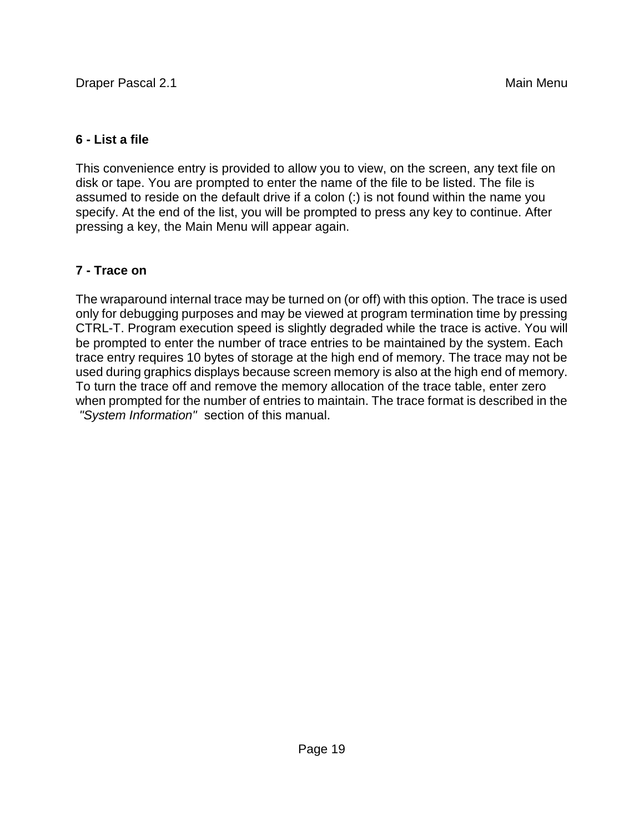## **6 - List a file**

This convenience entry is provided to allow you to view, on the screen, any text file on disk or tape. You are prompted to enter the name of the file to be listed. The file is assumed to reside on the default drive if a colon (:) is not found within the name you specify. At the end of the list, you will be prompted to press any key to continue. After pressing a key, the Main Menu will appear again.

## **7 - Trace on**

The wraparound internal trace may be turned on (or off) with this option. The trace is used only for debugging purposes and may be viewed at program termination time by pressing CTRL-T. Program execution speed is slightly degraded while the trace is active. You will be prompted to enter the number of trace entries to be maintained by the system. Each trace entry requires 10 bytes of storage at the high end of memory. The trace may not be used during graphics displays because screen memory is also at the high end of memory. To turn the trace off and remove the memory allocation of the trace table, enter zero when prompted for the number of entries to maintain. The trace format is described in the *"System Information"* section of this manual.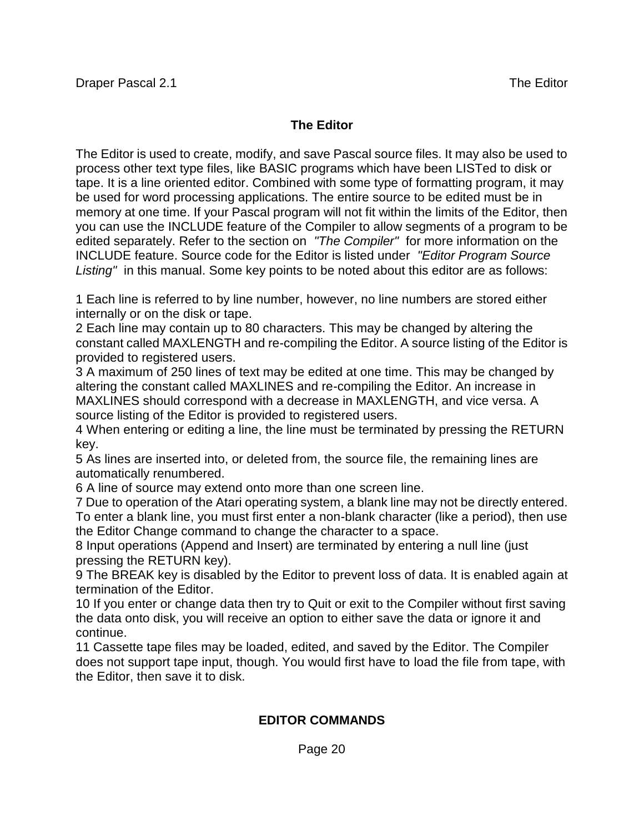### **The Editor**

The Editor is used to create, modify, and save Pascal source files. It may also be used to process other text type files, like BASIC programs which have been LISTed to disk or tape. It is a line oriented editor. Combined with some type of formatting program, it may be used for word processing applications. The entire source to be edited must be in memory at one time. If your Pascal program will not fit within the limits of the Editor, then you can use the INCLUDE feature of the Compiler to allow segments of a program to be edited separately. Refer to the section on *"The Compiler"* for more information on the INCLUDE feature. Source code for the Editor is listed under *"Editor Program Source Listing"* in this manual. Some key points to be noted about this editor are as follows:

1 Each line is referred to by line number, however, no line numbers are stored either internally or on the disk or tape.

2 Each line may contain up to 80 characters. This may be changed by altering the constant called MAXLENGTH and re-compiling the Editor. A source listing of the Editor is provided to registered users.

3 A maximum of 250 lines of text may be edited at one time. This may be changed by altering the constant called MAXLINES and re-compiling the Editor. An increase in MAXLINES should correspond with a decrease in MAXLENGTH, and vice versa. A source listing of the Editor is provided to registered users.

4 When entering or editing a line, the line must be terminated by pressing the RETURN key.

5 As lines are inserted into, or deleted from, the source file, the remaining lines are automatically renumbered.

6 A line of source may extend onto more than one screen line.

7 Due to operation of the Atari operating system, a blank line may not be directly entered. To enter a blank line, you must first enter a non-blank character (like a period), then use the Editor Change command to change the character to a space.

8 Input operations (Append and Insert) are terminated by entering a null line (just pressing the RETURN key).

9 The BREAK key is disabled by the Editor to prevent loss of data. It is enabled again at termination of the Editor.

10 If you enter or change data then try to Quit or exit to the Compiler without first saving the data onto disk, you will receive an option to either save the data or ignore it and continue.

11 Cassette tape files may be loaded, edited, and saved by the Editor. The Compiler does not support tape input, though. You would first have to load the file from tape, with the Editor, then save it to disk.

## **EDITOR COMMANDS**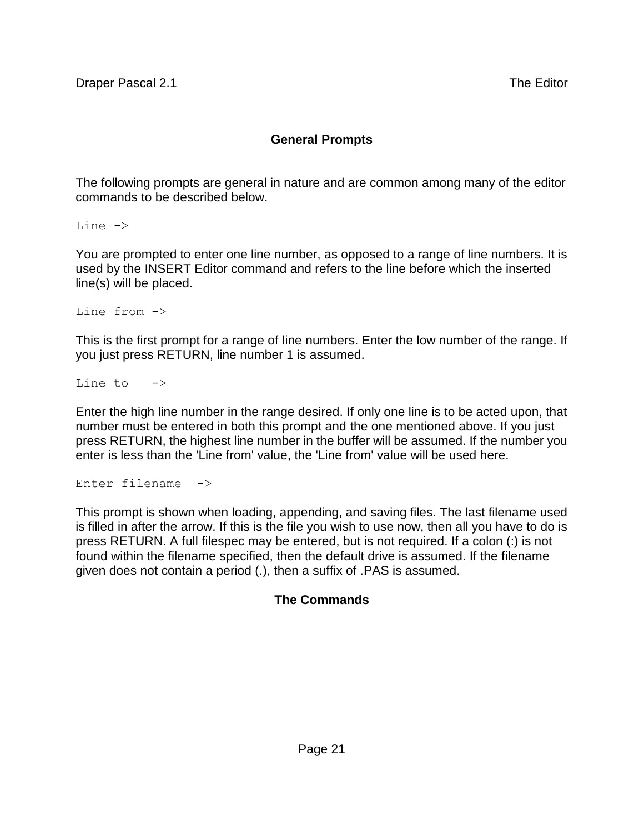## **General Prompts**

The following prompts are general in nature and are common among many of the editor commands to be described below.

Line ->

You are prompted to enter one line number, as opposed to a range of line numbers. It is used by the INSERT Editor command and refers to the line before which the inserted line(s) will be placed.

Line from ->

This is the first prompt for a range of line numbers. Enter the low number of the range. If you just press RETURN, line number 1 is assumed.

Line to  $\rightarrow$ 

Enter the high line number in the range desired. If only one line is to be acted upon, that number must be entered in both this prompt and the one mentioned above. If you just press RETURN, the highest line number in the buffer will be assumed. If the number you enter is less than the 'Line from' value, the 'Line from' value will be used here.

Enter filename ->

This prompt is shown when loading, appending, and saving files. The last filename used is filled in after the arrow. If this is the file you wish to use now, then all you have to do is press RETURN. A full filespec may be entered, but is not required. If a colon (:) is not found within the filename specified, then the default drive is assumed. If the filename given does not contain a period (.), then a suffix of .PAS is assumed.

#### **The Commands**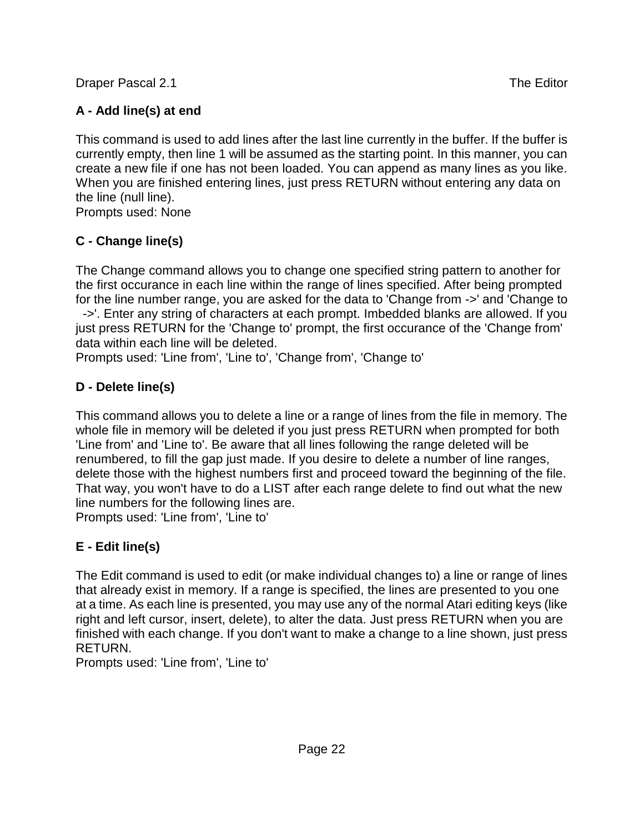**Draper Pascal 2.1** The Editor

## **A - Add line(s) at end**

This command is used to add lines after the last line currently in the buffer. If the buffer is currently empty, then line 1 will be assumed as the starting point. In this manner, you can create a new file if one has not been loaded. You can append as many lines as you like. When you are finished entering lines, just press RETURN without entering any data on the line (null line).

Prompts used: None

## **C - Change line(s)**

The Change command allows you to change one specified string pattern to another for the first occurance in each line within the range of lines specified. After being prompted for the line number range, you are asked for the data to 'Change from ->' and 'Change to ->'. Enter any string of characters at each prompt. Imbedded blanks are allowed. If you just press RETURN for the 'Change to' prompt, the first occurance of the 'Change from' data within each line will be deleted.

Prompts used: 'Line from', 'Line to', 'Change from', 'Change to'

## **D - Delete line(s)**

This command allows you to delete a line or a range of lines from the file in memory. The whole file in memory will be deleted if you just press RETURN when prompted for both 'Line from' and 'Line to'. Be aware that all lines following the range deleted will be renumbered, to fill the gap just made. If you desire to delete a number of line ranges, delete those with the highest numbers first and proceed toward the beginning of the file. That way, you won't have to do a LIST after each range delete to find out what the new line numbers for the following lines are.

Prompts used: 'Line from', 'Line to'

## **E - Edit line(s)**

The Edit command is used to edit (or make individual changes to) a line or range of lines that already exist in memory. If a range is specified, the lines are presented to you one at a time. As each line is presented, you may use any of the normal Atari editing keys (like right and left cursor, insert, delete), to alter the data. Just press RETURN when you are finished with each change. If you don't want to make a change to a line shown, just press RETURN.

Prompts used: 'Line from', 'Line to'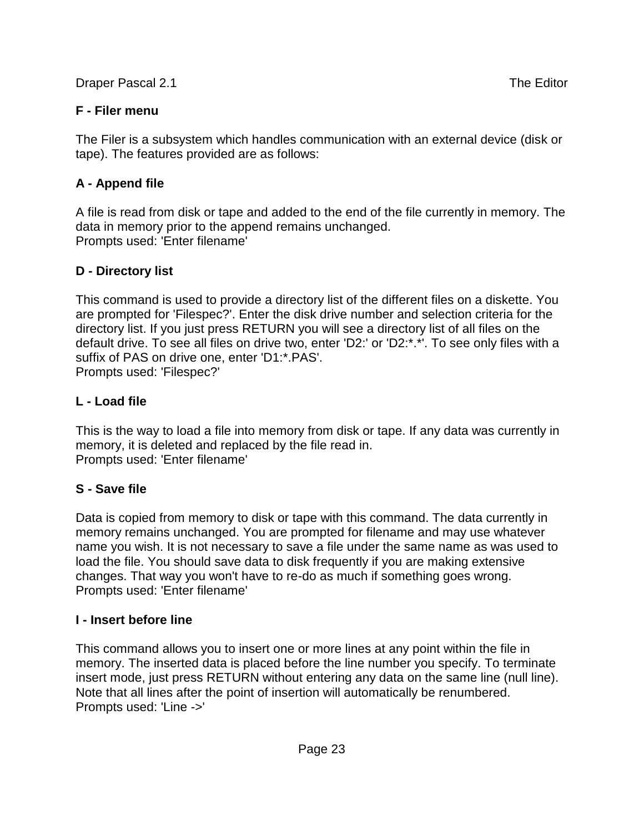**Draper Pascal 2.1** The Editor

The Filer is a subsystem which handles communication with an external device (disk or tape). The features provided are as follows:

## **A - Append file**

A file is read from disk or tape and added to the end of the file currently in memory. The data in memory prior to the append remains unchanged. Prompts used: 'Enter filename'

## **D - Directory list**

This command is used to provide a directory list of the different files on a diskette. You are prompted for 'Filespec?'. Enter the disk drive number and selection criteria for the directory list. If you just press RETURN you will see a directory list of all files on the default drive. To see all files on drive two, enter 'D2:' or 'D2:\*.\*'. To see only files with a suffix of PAS on drive one, enter 'D1:\*.PAS'. Prompts used: 'Filespec?'

## **L - Load file**

This is the way to load a file into memory from disk or tape. If any data was currently in memory, it is deleted and replaced by the file read in. Prompts used: 'Enter filename'

## **S - Save file**

Data is copied from memory to disk or tape with this command. The data currently in memory remains unchanged. You are prompted for filename and may use whatever name you wish. It is not necessary to save a file under the same name as was used to load the file. You should save data to disk frequently if you are making extensive changes. That way you won't have to re-do as much if something goes wrong. Prompts used: 'Enter filename'

## **I - Insert before line**

This command allows you to insert one or more lines at any point within the file in memory. The inserted data is placed before the line number you specify. To terminate insert mode, just press RETURN without entering any data on the same line (null line). Note that all lines after the point of insertion will automatically be renumbered. Prompts used: 'Line ->'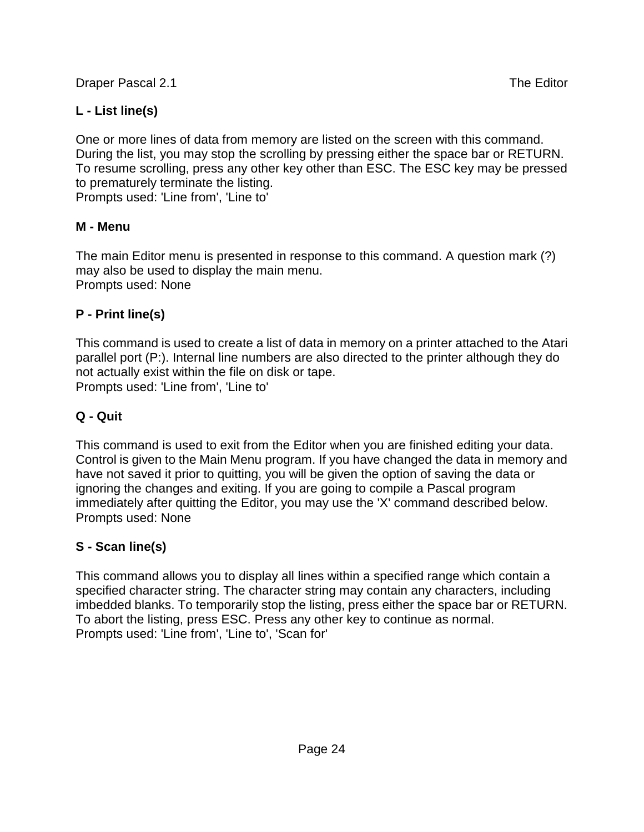Draper Pascal 2.1 The Editor Contract and the Editor Contract and the Editor Contract and The Editor

## **L - List line(s)**

One or more lines of data from memory are listed on the screen with this command. During the list, you may stop the scrolling by pressing either the space bar or RETURN. To resume scrolling, press any other key other than ESC. The ESC key may be pressed to prematurely terminate the listing.

Prompts used: 'Line from', 'Line to'

## **M - Menu**

The main Editor menu is presented in response to this command. A question mark (?) may also be used to display the main menu. Prompts used: None

## **P - Print line(s)**

This command is used to create a list of data in memory on a printer attached to the Atari parallel port (P:). Internal line numbers are also directed to the printer although they do not actually exist within the file on disk or tape. Prompts used: 'Line from', 'Line to'

## **Q - Quit**

This command is used to exit from the Editor when you are finished editing your data. Control is given to the Main Menu program. If you have changed the data in memory and have not saved it prior to quitting, you will be given the option of saving the data or ignoring the changes and exiting. If you are going to compile a Pascal program immediately after quitting the Editor, you may use the 'X' command described below. Prompts used: None

## **S - Scan line(s)**

This command allows you to display all lines within a specified range which contain a specified character string. The character string may contain any characters, including imbedded blanks. To temporarily stop the listing, press either the space bar or RETURN. To abort the listing, press ESC. Press any other key to continue as normal. Prompts used: 'Line from', 'Line to', 'Scan for'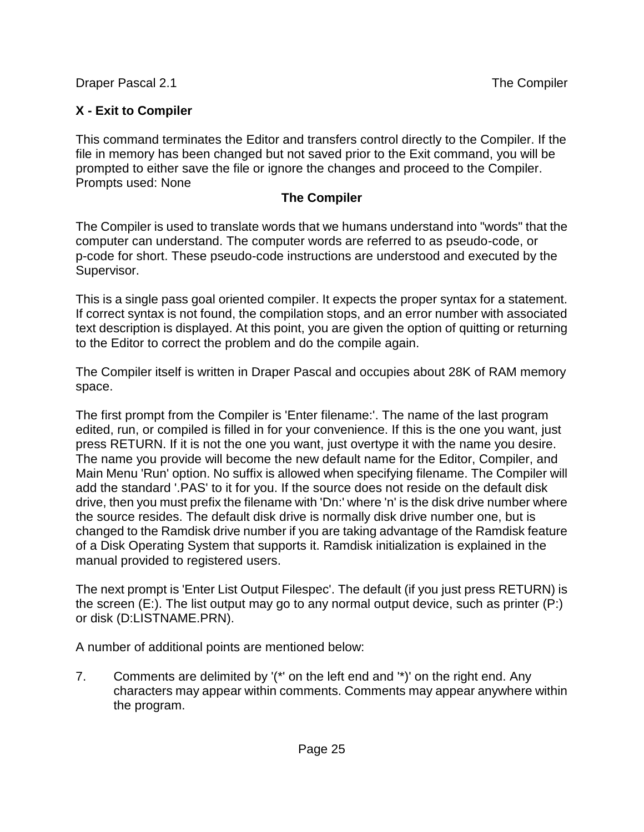Draper Pascal 2.1 The Compiler in the Compiler of the Compiler

## **X - Exit to Compiler**

This command terminates the Editor and transfers control directly to the Compiler. If the file in memory has been changed but not saved prior to the Exit command, you will be prompted to either save the file or ignore the changes and proceed to the Compiler. Prompts used: None

## **The Compiler**

The Compiler is used to translate words that we humans understand into "words" that the computer can understand. The computer words are referred to as pseudo-code, or p-code for short. These pseudo-code instructions are understood and executed by the Supervisor.

This is a single pass goal oriented compiler. It expects the proper syntax for a statement. If correct syntax is not found, the compilation stops, and an error number with associated text description is displayed. At this point, you are given the option of quitting or returning to the Editor to correct the problem and do the compile again.

The Compiler itself is written in Draper Pascal and occupies about 28K of RAM memory space.

The first prompt from the Compiler is 'Enter filename:'. The name of the last program edited, run, or compiled is filled in for your convenience. If this is the one you want, just press RETURN. If it is not the one you want, just overtype it with the name you desire. The name you provide will become the new default name for the Editor, Compiler, and Main Menu 'Run' option. No suffix is allowed when specifying filename. The Compiler will add the standard '.PAS' to it for you. If the source does not reside on the default disk drive, then you must prefix the filename with 'Dn:' where 'n' is the disk drive number where the source resides. The default disk drive is normally disk drive number one, but is changed to the Ramdisk drive number if you are taking advantage of the Ramdisk feature of a Disk Operating System that supports it. Ramdisk initialization is explained in the manual provided to registered users.

The next prompt is 'Enter List Output Filespec'. The default (if you just press RETURN) is the screen (E:). The list output may go to any normal output device, such as printer (P:) or disk (D:LISTNAME.PRN).

A number of additional points are mentioned below:

7. Comments are delimited by '(\*' on the left end and '\*)' on the right end. Any characters may appear within comments. Comments may appear anywhere within the program.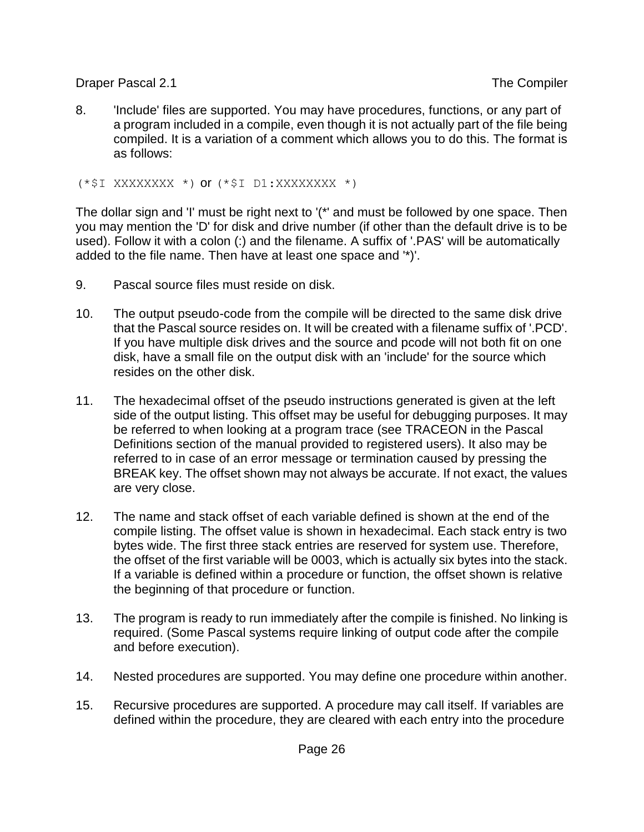Draper Pascal 2.1 The Compiler

8. 'Include' files are supported. You may have procedures, functions, or any part of a program included in a compile, even though it is not actually part of the file being compiled. It is a variation of a comment which allows you to do this. The format is as follows:

(\*\$I XXXXXXXX \*) or (\*\$I D1:XXXXXXXX \*)

The dollar sign and 'I' must be right next to '(\*' and must be followed by one space. Then you may mention the 'D' for disk and drive number (if other than the default drive is to be used). Follow it with a colon (:) and the filename. A suffix of '.PAS' will be automatically added to the file name. Then have at least one space and '\*)'.

- 9. Pascal source files must reside on disk.
- 10. The output pseudo-code from the compile will be directed to the same disk drive that the Pascal source resides on. It will be created with a filename suffix of '.PCD'. If you have multiple disk drives and the source and pcode will not both fit on one disk, have a small file on the output disk with an 'include' for the source which resides on the other disk.
- 11. The hexadecimal offset of the pseudo instructions generated is given at the left side of the output listing. This offset may be useful for debugging purposes. It may be referred to when looking at a program trace (see TRACEON in the Pascal Definitions section of the manual provided to registered users). It also may be referred to in case of an error message or termination caused by pressing the BREAK key. The offset shown may not always be accurate. If not exact, the values are very close.
- 12. The name and stack offset of each variable defined is shown at the end of the compile listing. The offset value is shown in hexadecimal. Each stack entry is two bytes wide. The first three stack entries are reserved for system use. Therefore, the offset of the first variable will be 0003, which is actually six bytes into the stack. If a variable is defined within a procedure or function, the offset shown is relative the beginning of that procedure or function.
- 13. The program is ready to run immediately after the compile is finished. No linking is required. (Some Pascal systems require linking of output code after the compile and before execution).
- 14. Nested procedures are supported. You may define one procedure within another.
- 15. Recursive procedures are supported. A procedure may call itself. If variables are defined within the procedure, they are cleared with each entry into the procedure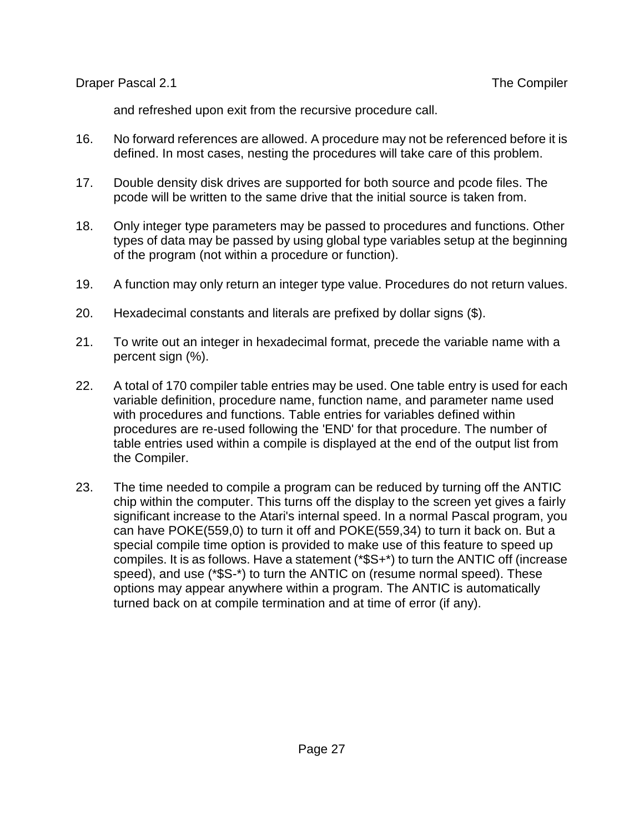Draper Pascal 2.1 The Compiler in the Compiler in the Compiler

and refreshed upon exit from the recursive procedure call.

- 16. No forward references are allowed. A procedure may not be referenced before it is defined. In most cases, nesting the procedures will take care of this problem.
- 17. Double density disk drives are supported for both source and pcode files. The pcode will be written to the same drive that the initial source is taken from.
- 18. Only integer type parameters may be passed to procedures and functions. Other types of data may be passed by using global type variables setup at the beginning of the program (not within a procedure or function).
- 19. A function may only return an integer type value. Procedures do not return values.
- 20. Hexadecimal constants and literals are prefixed by dollar signs (\$).
- 21. To write out an integer in hexadecimal format, precede the variable name with a percent sign (%).
- 22. A total of 170 compiler table entries may be used. One table entry is used for each variable definition, procedure name, function name, and parameter name used with procedures and functions. Table entries for variables defined within procedures are re-used following the 'END' for that procedure. The number of table entries used within a compile is displayed at the end of the output list from the Compiler.
- 23. The time needed to compile a program can be reduced by turning off the ANTIC chip within the computer. This turns off the display to the screen yet gives a fairly significant increase to the Atari's internal speed. In a normal Pascal program, you can have POKE(559,0) to turn it off and POKE(559,34) to turn it back on. But a special compile time option is provided to make use of this feature to speed up compiles. It is as follows. Have a statement (\*\$S+\*) to turn the ANTIC off (increase speed), and use (\*\$S-\*) to turn the ANTIC on (resume normal speed). These options may appear anywhere within a program. The ANTIC is automatically turned back on at compile termination and at time of error (if any).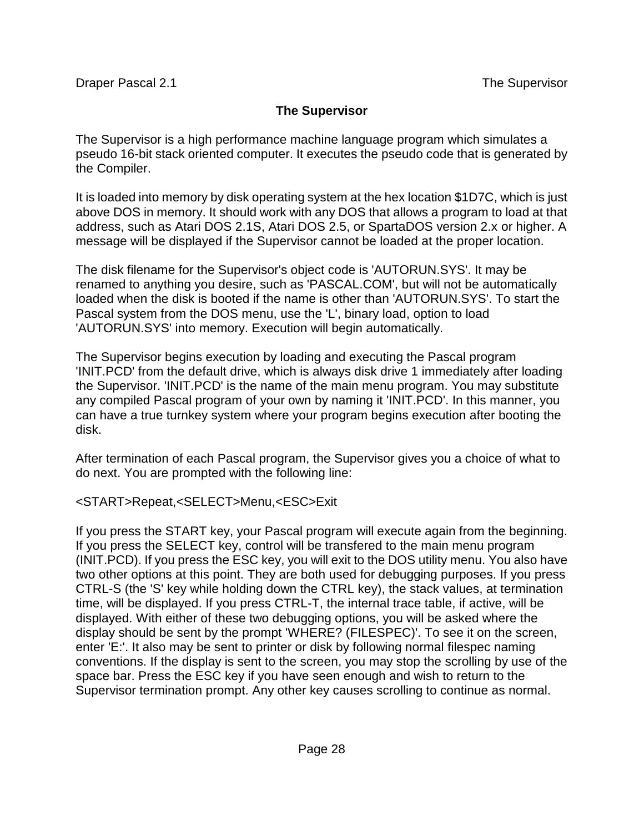## **The Supervisor**

The Supervisor is a high performance machine language program which simulates a pseudo 16-bit stack oriented computer. It executes the pseudo code that is generated by the Compiler.

It is loaded into memory by disk operating system at the hex location \$1D7C, which is just above DOS in memory. It should work with any DOS that allows a program to load at that address, such as Atari DOS 2.1S, Atari DOS 2.5, or SpartaDOS version 2.x or higher. A message will be displayed if the Supervisor cannot be loaded at the proper location.

The disk filename for the Supervisor's object code is 'AUTORUN.SYS'. It may be renamed to anything you desire, such as 'PASCAL.COM', but will not be automatically loaded when the disk is booted if the name is other than 'AUTORUN.SYS'. To start the Pascal system from the DOS menu, use the 'L', binary load, option to load 'AUTORUN.SYS' into memory. Execution will begin automatically.

The Supervisor begins execution by loading and executing the Pascal program 'INIT.PCD' from the default drive, which is always disk drive 1 immediately after loading the Supervisor. 'INIT.PCD' is the name of the main menu program. You may substitute any compiled Pascal program of your own by naming it 'INIT.PCD'. In this manner, you can have a true turnkey system where your program begins execution after booting the disk.

After termination of each Pascal program, the Supervisor gives you a choice of what to do next. You are prompted with the following line:

## <START>Repeat,<SELECT>Menu,<ESC>Exit

If you press the START key, your Pascal program will execute again from the beginning. If you press the SELECT key, control will be transfered to the main menu program (INIT.PCD). If you press the ESC key, you will exit to the DOS utility menu. You also have two other options at this point. They are both used for debugging purposes. If you press CTRL-S (the 'S' key while holding down the CTRL key), the stack values, at termination time, will be displayed. If you press CTRL-T, the internal trace table, if active, will be displayed. With either of these two debugging options, you will be asked where the display should be sent by the prompt 'WHERE? (FILESPEC)'. To see it on the screen, enter 'E:'. It also may be sent to printer or disk by following normal filespec naming conventions. If the display is sent to the screen, you may stop the scrolling by use of the space bar. Press the ESC key if you have seen enough and wish to return to the Supervisor termination prompt. Any other key causes scrolling to continue as normal.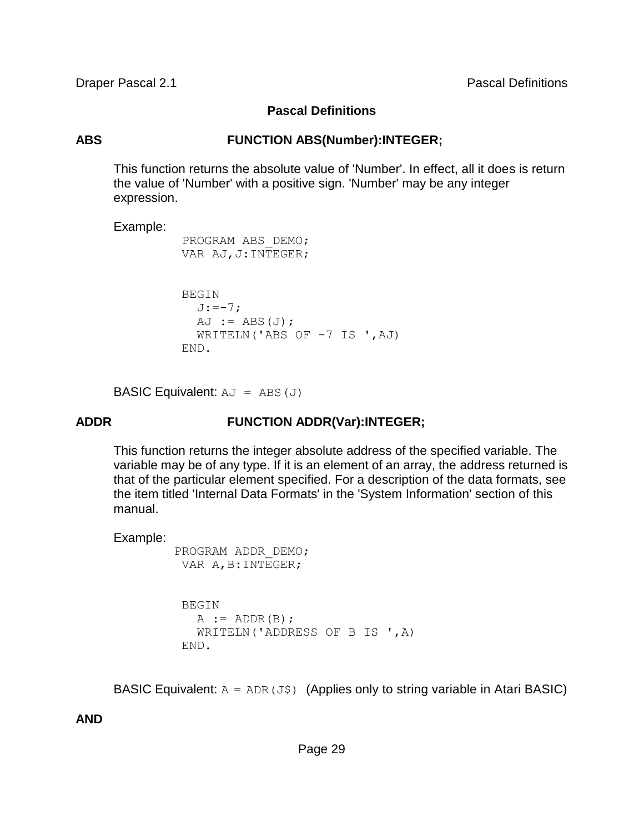**Draper Pascal 2.1** Pascal 2.1 **Pascal Definitions** 

#### **Pascal Definitions**

#### **ABS FUNCTION ABS(Number):INTEGER;**

This function returns the absolute value of 'Number'. In effect, all it does is return the value of 'Number' with a positive sign. 'Number' may be any integer expression.

#### Example:

```
 PROGRAM ABS_DEMO; 
 VAR AJ,J:INTEGER; 
 BEGIN 
  J:=-7;AJ := ABS(J);WRITELN('ABS OF -7 IS ', AJ)
```
END.

**BASIC Equivalent:**  $AJ = ABS(J)$ 

## **ADDR FUNCTION ADDR(Var):INTEGER;**

This function returns the integer absolute address of the specified variable. The variable may be of any type. If it is an element of an array, the address returned is that of the particular element specified. For a description of the data formats, see the item titled 'Internal Data Formats' in the 'System Information' section of this manual.

#### Example:

```
 PROGRAM ADDR_DEMO; 
VAR A, B: INTEGER;
  BEGIN 
   A := ADDR(B); WRITELN('ADDRESS OF B IS ',A) 
  END.
```
BASIC Equivalent:  $A = ADR(J\$ ) (Applies only to string variable in Atari BASIC)

**AND**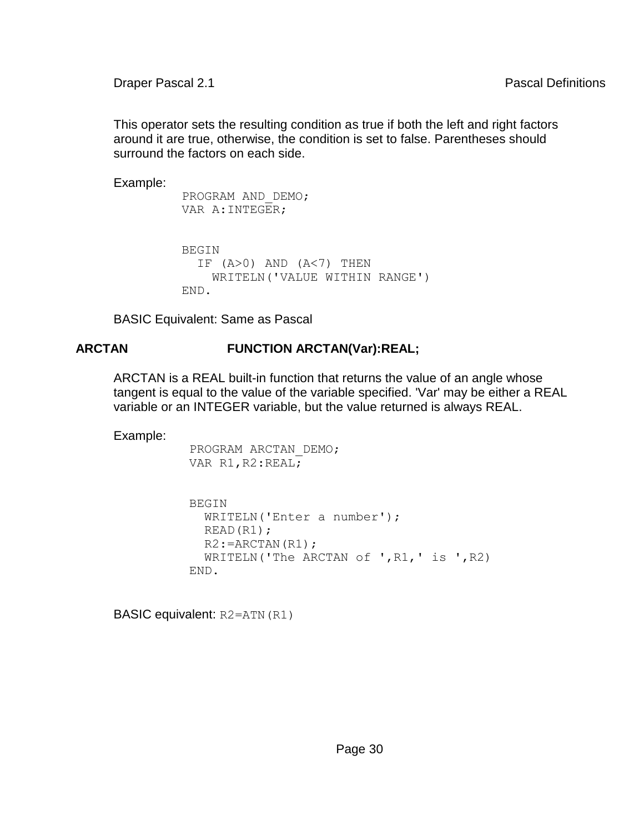This operator sets the resulting condition as true if both the left and right factors around it are true, otherwise, the condition is set to false. Parentheses should surround the factors on each side.

Example:

```
 PROGRAM AND_DEMO; 
 VAR A:INTEGER; 
 BEGIN 
  IF (A>0) AND (A<7) THEN
     WRITELN('VALUE WITHIN RANGE') 
 END.
```
BASIC Equivalent: Same as Pascal

## **ARCTAN FUNCTION ARCTAN(Var):REAL;**

ARCTAN is a REAL built-in function that returns the value of an angle whose tangent is equal to the value of the variable specified. 'Var' may be either a REAL variable or an INTEGER variable, but the value returned is always REAL.

Example:

```
 PROGRAM ARCTAN_DEMO; 
VAR R1, R2:REAL;
```

```
 BEGIN 
   WRITELN('Enter a number'); 
   READ(R1); 
  R2: = ARCTAN(R1);
  WRITELN('The ARCTAN of ',R1,' is ',R2) END.
```
BASIC equivalent: R2=ATN(R1)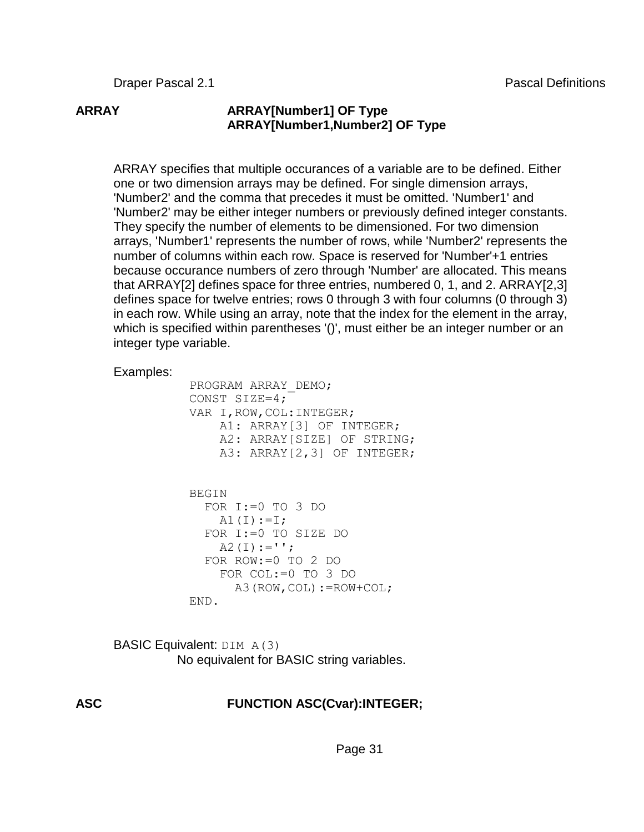## **ARRAY ARRAY[Number1] OF Type ARRAY[Number1,Number2] OF Type**

ARRAY specifies that multiple occurances of a variable are to be defined. Either one or two dimension arrays may be defined. For single dimension arrays, 'Number2' and the comma that precedes it must be omitted. 'Number1' and 'Number2' may be either integer numbers or previously defined integer constants. They specify the number of elements to be dimensioned. For two dimension arrays, 'Number1' represents the number of rows, while 'Number2' represents the number of columns within each row. Space is reserved for 'Number'+1 entries because occurance numbers of zero through 'Number' are allocated. This means that ARRAY[2] defines space for three entries, numbered 0, 1, and 2. ARRAY[2,3] defines space for twelve entries; rows 0 through 3 with four columns (0 through 3) in each row. While using an array, note that the index for the element in the array, which is specified within parentheses '()', must either be an integer number or an integer type variable.

#### Examples:

 PROGRAM ARRAY\_DEMO; CONST SIZE=4; VAR I,ROW,COL:INTEGER; A1: ARRAY[3] OF INTEGER; A2: ARRAY[SIZE] OF STRING; A3: ARRAY[2,3] OF INTEGER;

```
BEGIN
   FOR I:=0 TO 3 DO 
    A1(I):=I; FOR I:=0 TO SIZE DO 
    A2(I) := ';
   FOR ROW:=0 TO 2 DO 
     FOR COL:=0 TO 3 DO 
       A3(ROW,COL):=ROW+COL; 
 END.
```
BASIC Equivalent: DIM A(3) No equivalent for BASIC string variables.

## **ASC FUNCTION ASC(Cvar):INTEGER;**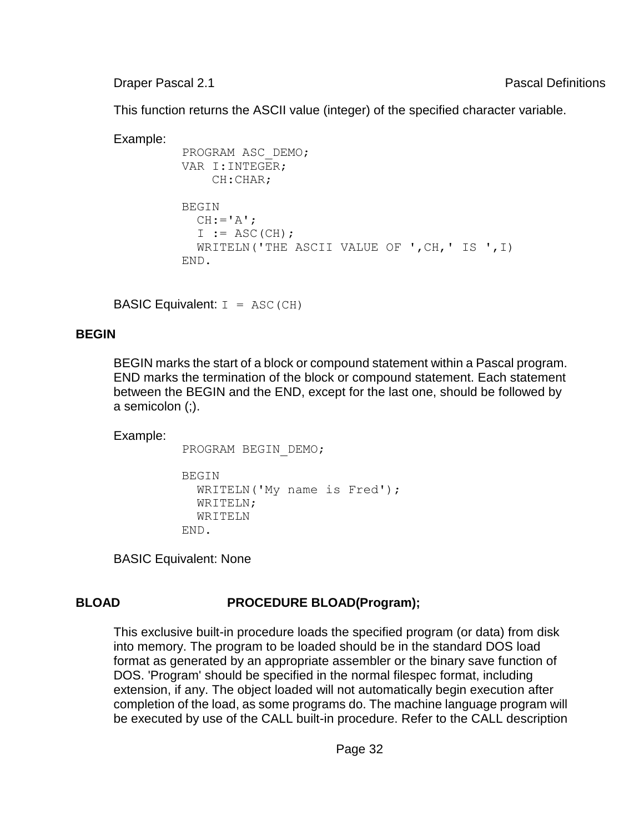**Draper Pascal 2.1** Pascal 2.1 **Pascal Definitions** 

This function returns the ASCII value (integer) of the specified character variable.

```
Example:
           PROGRAM ASC_DEMO; 
           VAR I:INTEGER; 
                CH:CHAR; 
           BEGIN 
             CH:='A<sup>'</sup>;
             I := ASC(CH);
              WRITELN('THE ASCII VALUE OF ',CH,' IS ',I) 
           END.
```

```
BASIC Equivalent: I = ASC (CH)
```
#### **BEGIN**

BEGIN marks the start of a block or compound statement within a Pascal program. END marks the termination of the block or compound statement. Each statement between the BEGIN and the END, except for the last one, should be followed by a semicolon (;).

Example:

```
 PROGRAM BEGIN_DEMO; 
 BEGIN 
   WRITELN('My name is Fred'); 
   WRITELN; 
   WRITELN 
 END.
```
BASIC Equivalent: None

## **BLOAD PROCEDURE BLOAD(Program);**

This exclusive built-in procedure loads the specified program (or data) from disk into memory. The program to be loaded should be in the standard DOS load format as generated by an appropriate assembler or the binary save function of DOS. 'Program' should be specified in the normal filespec format, including extension, if any. The object loaded will not automatically begin execution after completion of the load, as some programs do. The machine language program will be executed by use of the CALL built-in procedure. Refer to the CALL description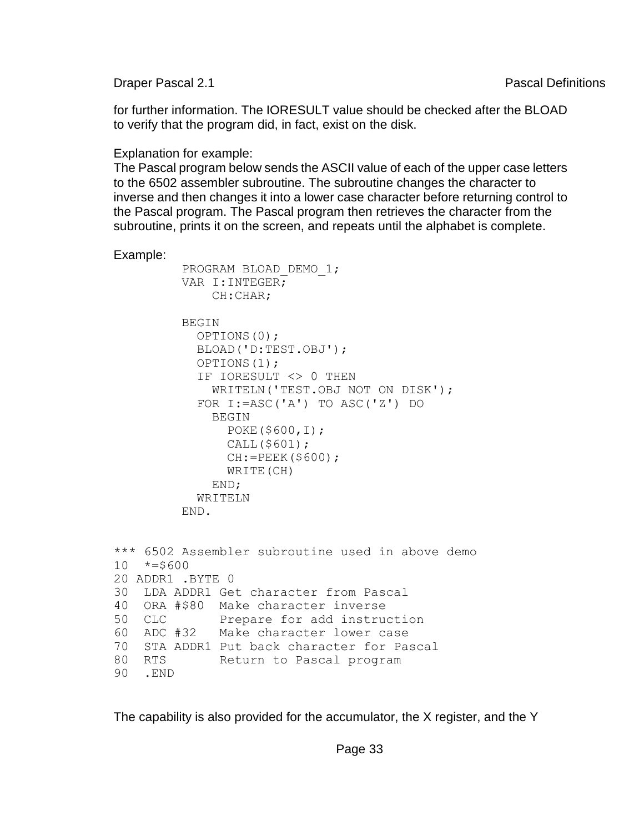**Draper Pascal 2.1** Pascal Definitions **Pascal Definitions** 

for further information. The IORESULT value should be checked after the BLOAD to verify that the program did, in fact, exist on the disk.

Explanation for example:

The Pascal program below sends the ASCII value of each of the upper case letters to the 6502 assembler subroutine. The subroutine changes the character to inverse and then changes it into a lower case character before returning control to the Pascal program. The Pascal program then retrieves the character from the subroutine, prints it on the screen, and repeats until the alphabet is complete.

Example:

```
 PROGRAM BLOAD_DEMO_1; 
          VAR I:INTEGER; 
              CH:CHAR; 
         BEGIN
            OPTIONS(0); 
            BLOAD('D:TEST.OBJ'); 
            OPTIONS(1); 
            IF IORESULT <> 0 THEN 
              WRITELN('TEST.OBJ NOT ON DISK'); 
            FOR I:=ASC('A') TO ASC('Z') DO 
              BEGIN 
                POKE($600,I); 
                CALL($601); 
               CH: = PEEK(S600); WRITE(CH) 
              END; 
            WRITELN 
          END. 
*** 6502 Assembler subroutine used in above demo 
10 * = $60020 ADDR1 .BYTE 0 
30 LDA ADDR1 Get character from Pascal 
40 ORA #$80 Make character inverse 
50 CLC Prepare for add instruction 
60 ADC #32 Make character lower case 
70 STA ADDR1 Put back character for Pascal 
80 RTS Return to Pascal program 
90 .END
```
The capability is also provided for the accumulator, the X register, and the Y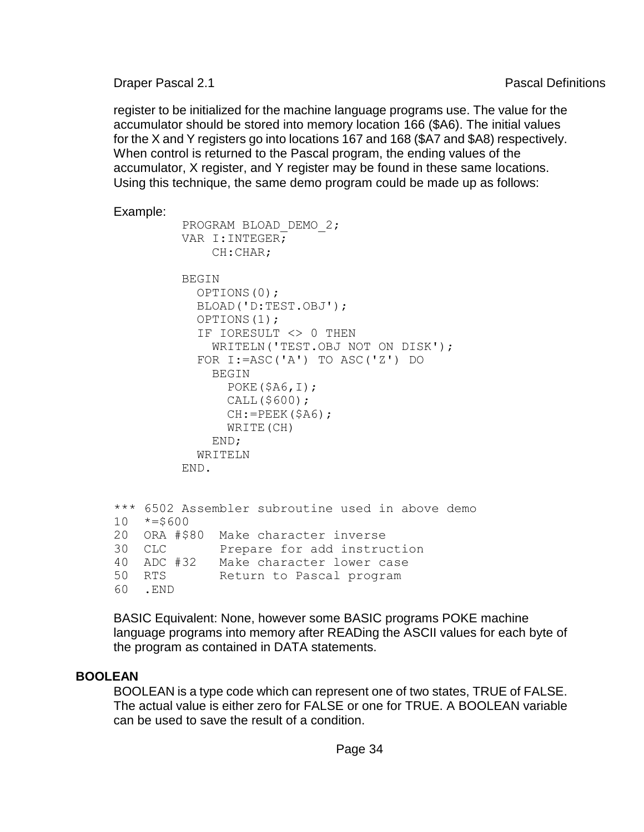register to be initialized for the machine language programs use. The value for the accumulator should be stored into memory location 166 (\$A6). The initial values for the X and Y registers go into locations 167 and 168 (\$A7 and \$A8) respectively. When control is returned to the Pascal program, the ending values of the accumulator, X register, and Y register may be found in these same locations. Using this technique, the same demo program could be made up as follows:

```
Example:
```

```
 PROGRAM BLOAD_DEMO_2; 
          VAR I:INTEGER; 
              CH:CHAR; 
          BEGIN 
            OPTIONS(0); 
            BLOAD('D:TEST.OBJ'); 
            OPTIONS(1); 
            IF IORESULT <> 0 THEN 
              WRITELN('TEST.OBJ NOT ON DISK'); 
            FOR I:=ASC('A') TO ASC('Z') DO 
              BEGIN 
               POKE(§A6, I); CALL($600); 
               CH:=PEEK(SA6); WRITE(CH) 
              END; 
            WRITELN 
          END. 
*** 6502 Assembler subroutine used in above demo 
10 * = $60020 ORA #$80 Make character inverse 
30 CLC Prepare for add instruction 
40 ADC #32 Make character lower case 
50 RTS Return to Pascal program 
60 .END
```
BASIC Equivalent: None, however some BASIC programs POKE machine language programs into memory after READing the ASCII values for each byte of the program as contained in DATA statements.

## **BOOLEAN**

BOOLEAN is a type code which can represent one of two states, TRUE of FALSE. The actual value is either zero for FALSE or one for TRUE. A BOOLEAN variable can be used to save the result of a condition.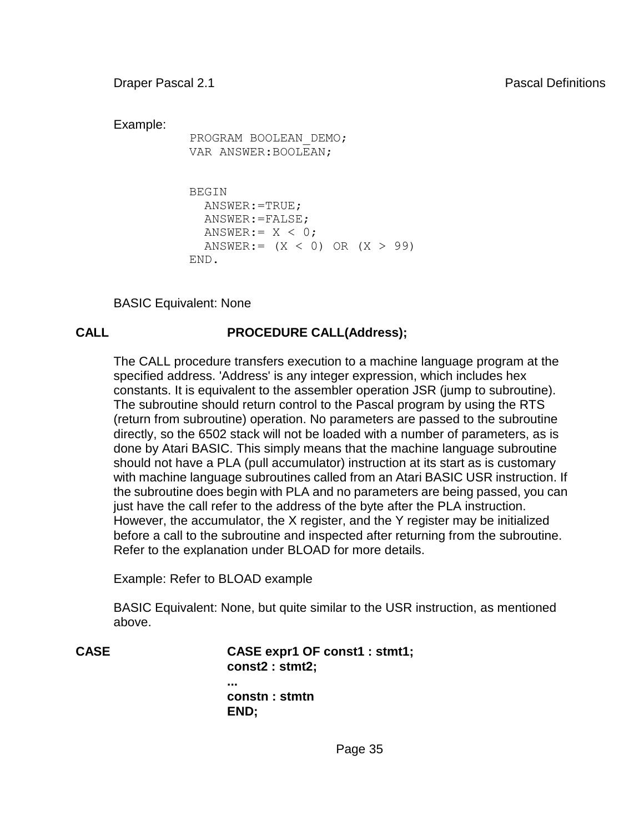Example:

 PROGRAM BOOLEAN\_DEMO; VAR ANSWER:BOOLEAN;

```
 BEGIN 
   ANSWER:=TRUE; 
   ANSWER:=FALSE; 
  ANSWER:= X < 0:
  ANSWER:= (X < 0) OR (X > 99) END.
```
BASIC Equivalent: None

## **CALL PROCEDURE CALL(Address);**

The CALL procedure transfers execution to a machine language program at the specified address. 'Address' is any integer expression, which includes hex constants. It is equivalent to the assembler operation JSR (jump to subroutine). The subroutine should return control to the Pascal program by using the RTS (return from subroutine) operation. No parameters are passed to the subroutine directly, so the 6502 stack will not be loaded with a number of parameters, as is done by Atari BASIC. This simply means that the machine language subroutine should not have a PLA (pull accumulator) instruction at its start as is customary with machine language subroutines called from an Atari BASIC USR instruction. If the subroutine does begin with PLA and no parameters are being passed, you can just have the call refer to the address of the byte after the PLA instruction. However, the accumulator, the X register, and the Y register may be initialized before a call to the subroutine and inspected after returning from the subroutine. Refer to the explanation under BLOAD for more details.

Example: Refer to BLOAD example

BASIC Equivalent: None, but quite similar to the USR instruction, as mentioned above.

**CASE CASE expr1 OF const1 : stmt1; const2 : stmt2; ... constn : stmtn END;**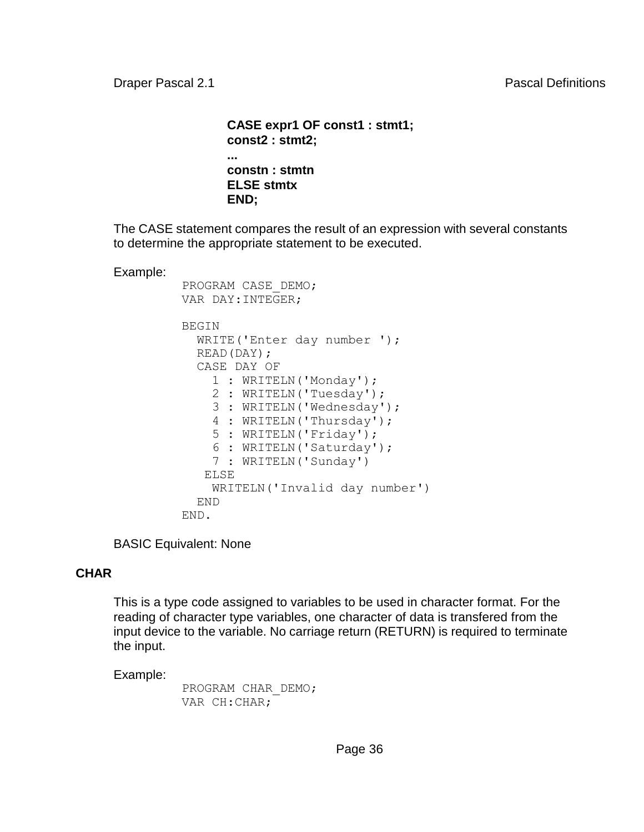```
CASE expr1 OF const1 : stmt1;
const2 : stmt2;
...
constn : stmtn
ELSE stmtx
END;
```
The CASE statement compares the result of an expression with several constants to determine the appropriate statement to be executed.

Example:

```
 PROGRAM CASE_DEMO; 
 VAR DAY:INTEGER; 
 BEGIN 
   WRITE('Enter day number '); 
   READ(DAY); 
   CASE DAY OF 
     1 : WRITELN('Monday'); 
     2 : WRITELN('Tuesday'); 
     3 : WRITELN('Wednesday'); 
     4 : WRITELN('Thursday'); 
     5 : WRITELN('Friday'); 
     6 : WRITELN('Saturday'); 
     7 : WRITELN('Sunday') 
    ELSE 
     WRITELN('Invalid day number') 
   END 
 END.
```
BASIC Equivalent: None

### **CHAR**

This is a type code assigned to variables to be used in character format. For the reading of character type variables, one character of data is transfered from the input device to the variable. No carriage return (RETURN) is required to terminate the input.

Example:

 PROGRAM CHAR\_DEMO; VAR CH:CHAR;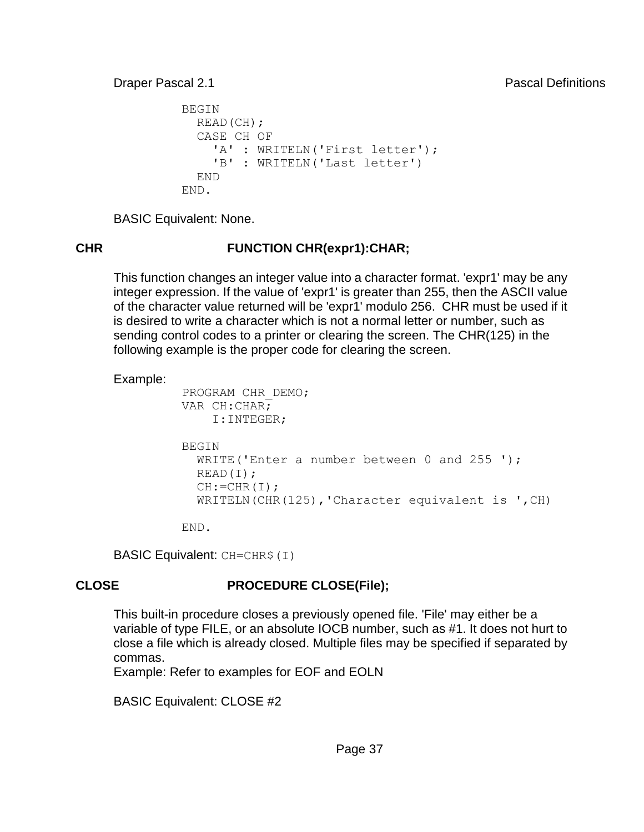```
 BEGIN 
   READ(CH); 
   CASE CH OF 
     'A' : WRITELN('First letter');
     'B' : WRITELN('Last letter') 
   END 
 END.
```
BASIC Equivalent: None.

# **CHR FUNCTION CHR(expr1):CHAR;**

This function changes an integer value into a character format. 'expr1' may be any integer expression. If the value of 'expr1' is greater than 255, then the ASCII value of the character value returned will be 'expr1' modulo 256. CHR must be used if it is desired to write a character which is not a normal letter or number, such as sending control codes to a printer or clearing the screen. The CHR(125) in the following example is the proper code for clearing the screen.

Example:

```
 PROGRAM CHR_DEMO; 
 VAR CH:CHAR; 
     I:INTEGER; 
 BEGIN 
  WRITE('Enter a number between 0 and 255 ');
   READ(I); 
  CH: = CHR(I); WRITELN(CHR(125),'Character equivalent is ',CH)
```
END.

BASIC Equivalent: CH=CHR\$(I)

# **CLOSE PROCEDURE CLOSE(File);**

This built-in procedure closes a previously opened file. 'File' may either be a variable of type FILE, or an absolute IOCB number, such as #1. It does not hurt to close a file which is already closed. Multiple files may be specified if separated by commas.

Example: Refer to examples for EOF and EOLN

BASIC Equivalent: CLOSE #2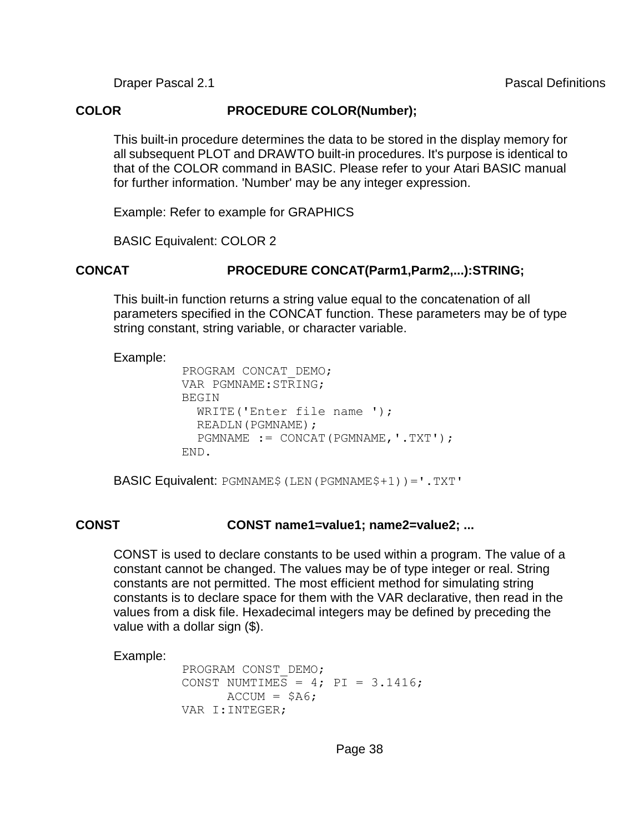#### **COLOR PROCEDURE COLOR(Number);**

This built-in procedure determines the data to be stored in the display memory for all subsequent PLOT and DRAWTO built-in procedures. It's purpose is identical to that of the COLOR command in BASIC. Please refer to your Atari BASIC manual for further information. 'Number' may be any integer expression.

Example: Refer to example for GRAPHICS

BASIC Equivalent: COLOR 2

### **CONCAT PROCEDURE CONCAT(Parm1,Parm2,...):STRING;**

This built-in function returns a string value equal to the concatenation of all parameters specified in the CONCAT function. These parameters may be of type string constant, string variable, or character variable.

#### Example:

```
 PROGRAM CONCAT_DEMO; 
 VAR PGMNAME:STRING; 
 BEGIN 
  WRITE('Enter file name ');
   READLN(PGMNAME); 
   PGMNAME := CONCAT(PGMNAME,'.TXT'); 
 END.
```
BASIC Equivalent: PGMNAME\$(LEN(PGMNAME\$+1))='.TXT'

### **CONST CONST name1=value1; name2=value2; ...**

CONST is used to declare constants to be used within a program. The value of a constant cannot be changed. The values may be of type integer or real. String constants are not permitted. The most efficient method for simulating string constants is to declare space for them with the VAR declarative, then read in the values from a disk file. Hexadecimal integers may be defined by preceding the value with a dollar sign (\$).

```
 PROGRAM CONST_DEMO; 
CONST NUMTIMES = 4; PI = 3.1416;
      \text{ACCUM} = \text{SAG} VAR I:INTEGER;
```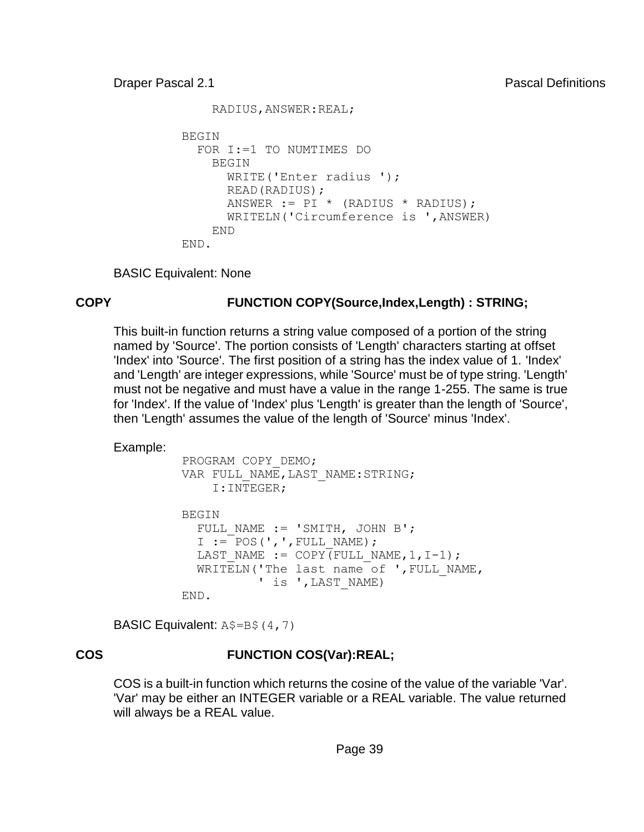```
 RADIUS,ANSWER:REAL; 
BEGIN
   FOR I:=1 TO NUMTIMES DO 
     BEGIN 
       WRITE('Enter radius '); 
       READ(RADIUS); 
      ANSWER := PI * (RADIUS * RADIUS);
       WRITELN('Circumference is ',ANSWER) 
     END 
 END.
```
BASIC Equivalent: None

## **COPY FUNCTION COPY(Source,Index,Length) : STRING;**

This built-in function returns a string value composed of a portion of the string named by 'Source'. The portion consists of 'Length' characters starting at offset 'Index' into 'Source'. The first position of a string has the index value of 1. 'Index' and 'Length' are integer expressions, while 'Source' must be of type string. 'Length' must not be negative and must have a value in the range 1-255. The same is true for 'Index'. If the value of 'Index' plus 'Length' is greater than the length of 'Source', then 'Length' assumes the value of the length of 'Source' minus 'Index'.

Example:

```
 PROGRAM COPY_DEMO; 
VAR FULL NAME, LAST NAME:STRING;
     I:INTEGER; 
 BEGIN 
  FULL NAME := 'SMITH, JOHN B';
  I := POS(', ', FULL NAME);LAST NAME := COPY(FULL NAME, 1, I-1);
  WRITELN('The last name of ', FULL NAME,
           ' is ', LAST NAME)
 END.
```
**BASIC Equivalent:**  $A\$  =  $B\$  (4,7)

# **COS FUNCTION COS(Var):REAL;**

COS is a built-in function which returns the cosine of the value of the variable 'Var'. 'Var' may be either an INTEGER variable or a REAL variable. The value returned will always be a REAL value.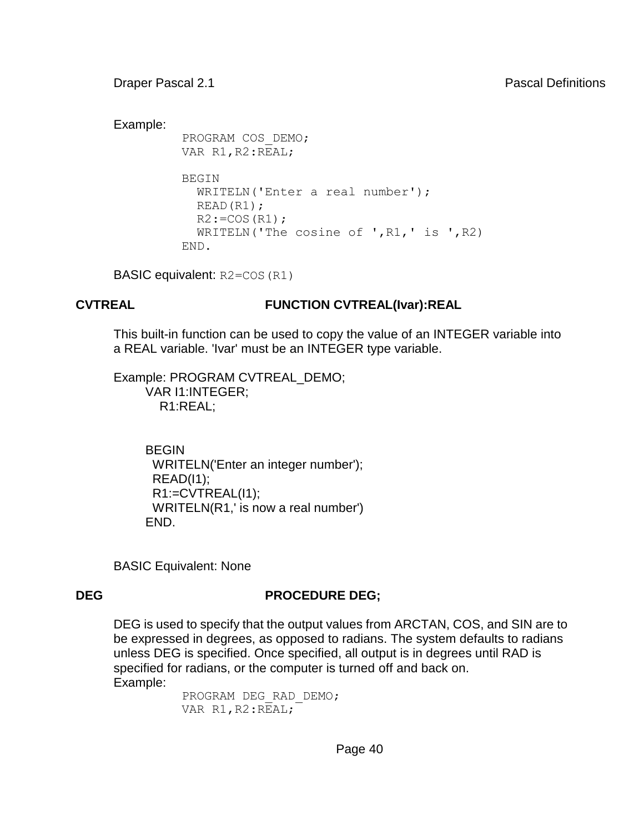Example:

```
 PROGRAM COS_DEMO; 
VAR R1, R2:REAL;
 BEGIN 
   WRITELN('Enter a real number'); 
   READ(R1); 
  R2: = COS(R1); WRITELN('The cosine of ',R1,' is ',R2) 
 END.
```
BASIC equivalent: R2=COS(R1)

## **CVTREAL FUNCTION CVTREAL(Ivar):REAL**

This built-in function can be used to copy the value of an INTEGER variable into a REAL variable. 'Ivar' must be an INTEGER type variable.

Example: PROGRAM CVTREAL\_DEMO; VAR I1:INTEGER; R1:REAL;

> BEGIN WRITELN('Enter an integer number');  $READ(11);$  R1:=CVTREAL(I1); WRITELN(R1,' is now a real number') END.

BASIC Equivalent: None

# **DEG PROCEDURE DEG;**

DEG is used to specify that the output values from ARCTAN, COS, and SIN are to be expressed in degrees, as opposed to radians. The system defaults to radians unless DEG is specified. Once specified, all output is in degrees until RAD is specified for radians, or the computer is turned off and back on. Example:

> PROGRAM DEG\_RAD\_DEMO; VAR R1, R2:REAL;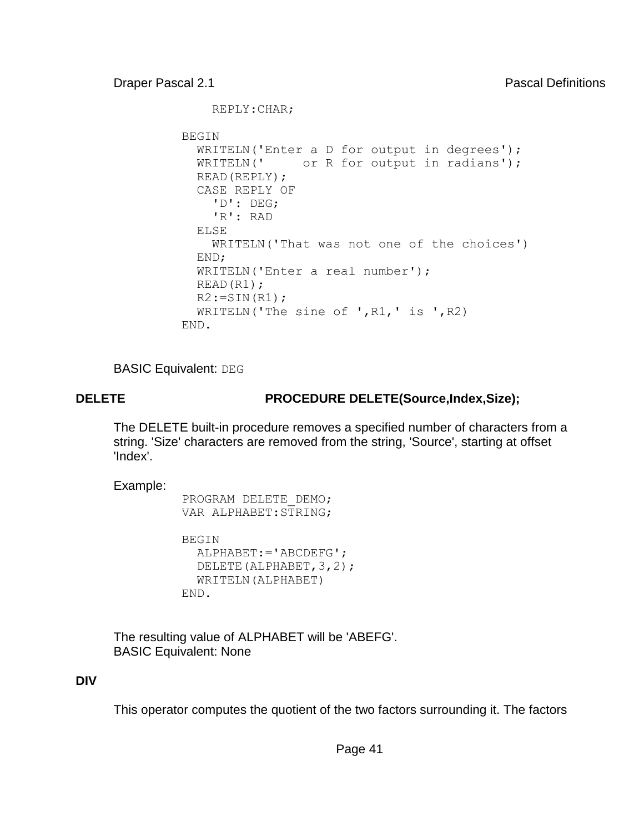REPLY:CHAR;

```
 BEGIN 
   WRITELN('Enter a D for output in degrees'); 
  WRITELN(' or R for output in radians');
   READ(REPLY); 
   CASE REPLY OF 
     'D': DEG; 
     'R': RAD 
   ELSE 
     WRITELN('That was not one of the choices') 
   END; 
   WRITELN('Enter a real number'); 
   READ(R1); 
  R2:=SIN(R1); WRITELN('The sine of ',R1,' is ',R2) 
 END.
```
**BASIC Equivalent: DEG** 

# **DELETE PROCEDURE DELETE(Source,Index,Size);**

The DELETE built-in procedure removes a specified number of characters from a string. 'Size' characters are removed from the string, 'Source', starting at offset 'Index'.

Example:

```
 PROGRAM DELETE_DEMO; 
 VAR ALPHABET:STRING;
```

```
 BEGIN 
   ALPHABET:='ABCDEFG'; 
   DELETE(ALPHABET,3,2); 
   WRITELN(ALPHABET) 
 END.
```
The resulting value of ALPHABET will be 'ABEFG'. BASIC Equivalent: None

# **DIV**

This operator computes the quotient of the two factors surrounding it. The factors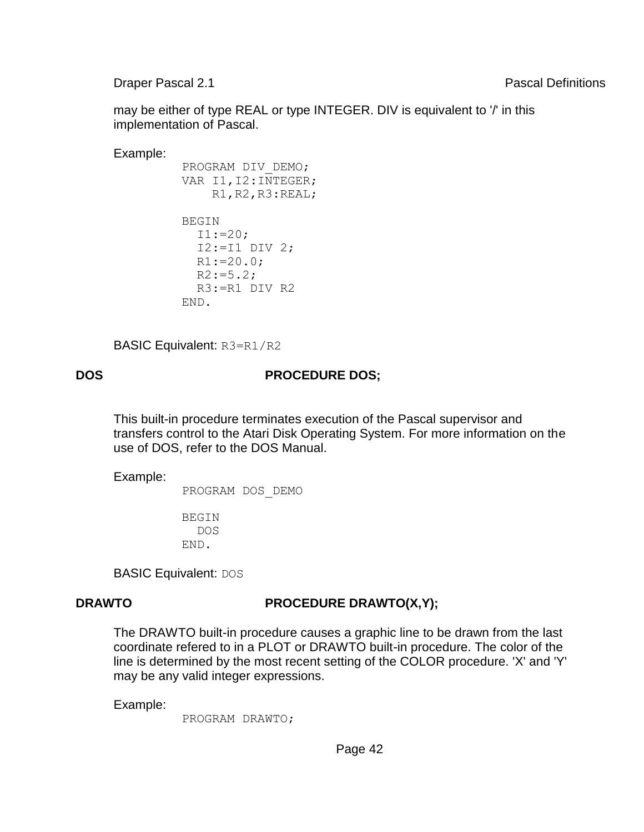may be either of type REAL or type INTEGER. DIV is equivalent to '/' in this implementation of Pascal.

Example:

```
 PROGRAM DIV_DEMO; 
VAR I1, I2: INTEGER;
     R1,R2,R3:REAL; 
 BEGIN 
  I1:=20;I2:=I1 DIV 2;
  R1:=20.0;R2:=5.2; R3:=R1 DIV R2 
 END.
```
BASIC Equivalent: R3=R1/R2

## **DOS PROCEDURE DOS;**

This built-in procedure terminates execution of the Pascal supervisor and transfers control to the Atari Disk Operating System. For more information on the use of DOS, refer to the DOS Manual.

Example:

PROGRAM DOS\_DEMO

 BEGIN DOS END.

BASIC Equivalent: DOS

# **DRAWTO PROCEDURE DRAWTO(X,Y);**

The DRAWTO built-in procedure causes a graphic line to be drawn from the last coordinate refered to in a PLOT or DRAWTO built-in procedure. The color of the line is determined by the most recent setting of the COLOR procedure. 'X' and 'Y' may be any valid integer expressions.

Example:

PROGRAM DRAWTO;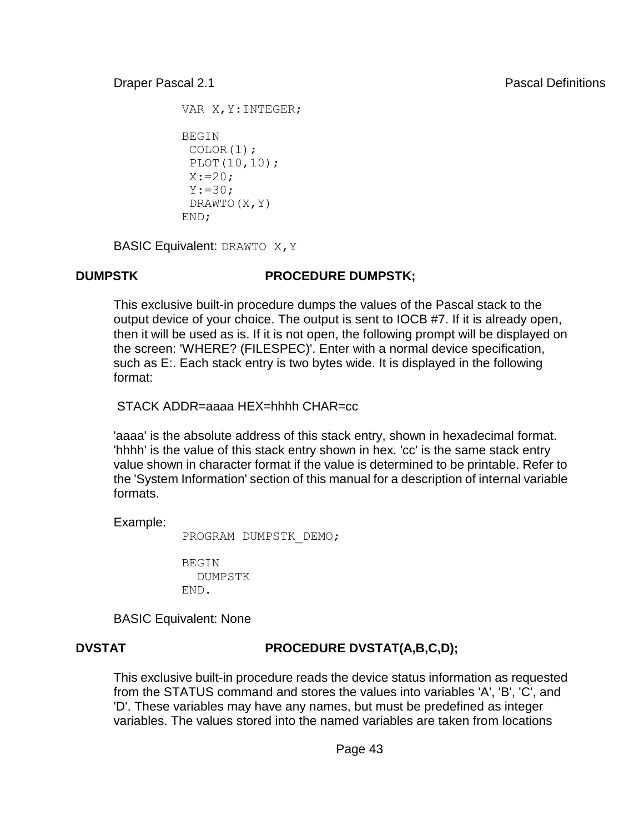```
VAR X, Y: INTEGER;
```

```
 BEGIN 
  COLOR(1); 
  PLOT(10,10); 
 X: = 20;Y:=30; DRAWTO(X,Y) 
 END;
```
BASIC Equivalent: DRAWTO X, Y

## **DUMPSTK PROCEDURE DUMPSTK;**

This exclusive built-in procedure dumps the values of the Pascal stack to the output device of your choice. The output is sent to IOCB #7. If it is already open, then it will be used as is. If it is not open, the following prompt will be displayed on the screen: 'WHERE? (FILESPEC)'. Enter with a normal device specification, such as E:. Each stack entry is two bytes wide. It is displayed in the following format:

STACK ADDR=aaaa HEX=hhhh CHAR=cc

'aaaa' is the absolute address of this stack entry, shown in hexadecimal format. 'hhhh' is the value of this stack entry shown in hex. 'cc' is the same stack entry value shown in character format if the value is determined to be printable. Refer to the 'System Information' section of this manual for a description of internal variable formats.

Example:

PROGRAM DUMPSTK\_DEMO;

**BEGIN**  DUMPSTK END.

BASIC Equivalent: None

# **DVSTAT PROCEDURE DVSTAT(A,B,C,D);**

This exclusive built-in procedure reads the device status information as requested from the STATUS command and stores the values into variables 'A', 'B', 'C', and 'D'. These variables may have any names, but must be predefined as integer variables. The values stored into the named variables are taken from locations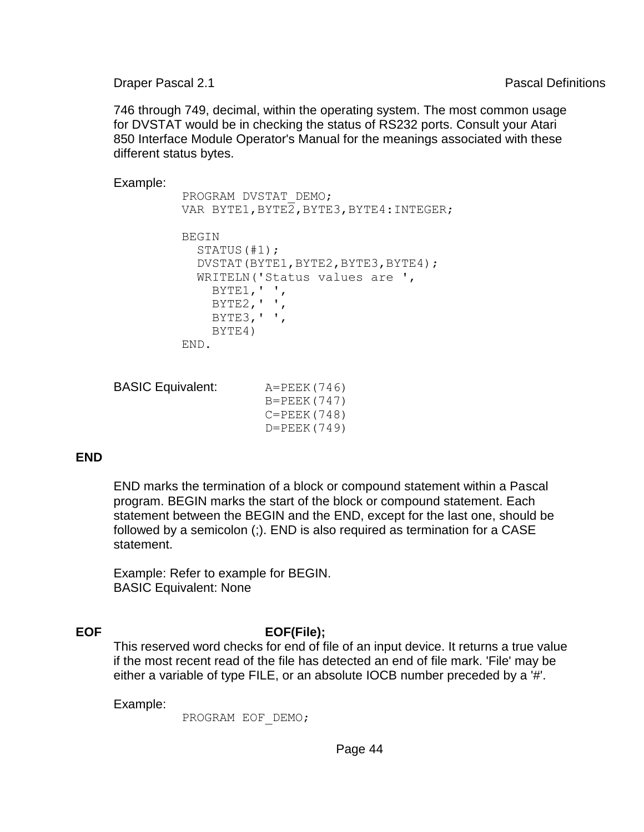746 through 749, decimal, within the operating system. The most common usage for DVSTAT would be in checking the status of RS232 ports. Consult your Atari 850 Interface Module Operator's Manual for the meanings associated with these different status bytes.

Example:

```
 PROGRAM DVSTAT_DEMO; 
VAR BYTE1, BYTE2, BYTE3, BYTE4: INTEGER;
 BEGIN 
   STATUS(#1); 
   DVSTAT(BYTE1,BYTE2,BYTE3,BYTE4); 
   WRITELN('Status values are ', 
    BYTE1, ',
    BYTE2, ' ' BYTE3,' ', 
     BYTE4) 
 END.
```

```
BASIC Equivalent: A=PEEK(746)
                    B=PEEK(747) 
                    C=PEEK(748) 
                    D=PEEK(749)
```
### **END**

END marks the termination of a block or compound statement within a Pascal program. BEGIN marks the start of the block or compound statement. Each statement between the BEGIN and the END, except for the last one, should be followed by a semicolon (;). END is also required as termination for a CASE statement.

Example: Refer to example for BEGIN. BASIC Equivalent: None

# **EOF EOF(File);**

This reserved word checks for end of file of an input device. It returns a true value if the most recent read of the file has detected an end of file mark. 'File' may be either a variable of type FILE, or an absolute IOCB number preceded by a '#'.

Example:

PROGRAM EOF\_DEMO;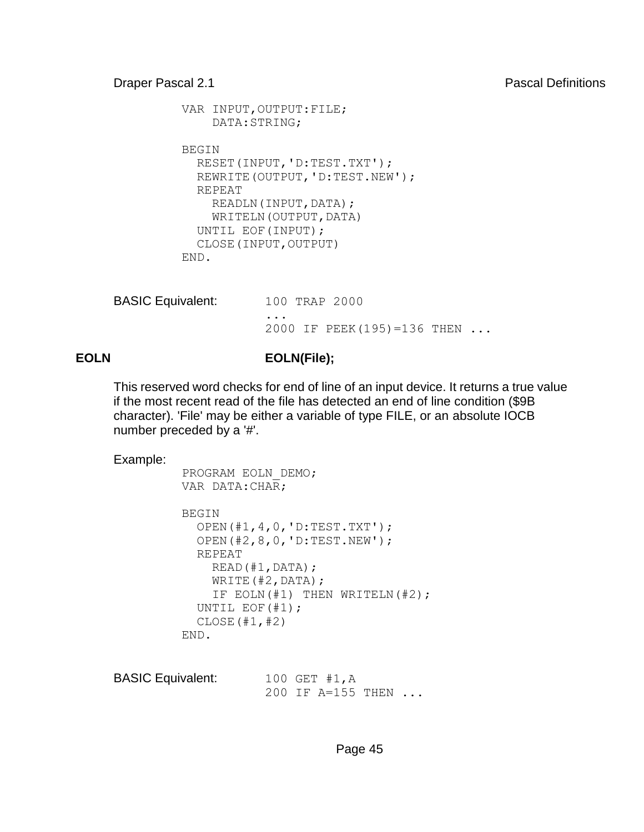```
VAR INPUT, OUTPUT: FILE;
     DATA:STRING; 
 BEGIN 
   RESET(INPUT,'D:TEST.TXT'); 
   REWRITE(OUTPUT,'D:TEST.NEW'); 
   REPEAT 
    READLN(INPUT, DATA);
    WRITELN(OUTPUT, DATA)
   UNTIL EOF(INPUT); 
   CLOSE(INPUT,OUTPUT) 
 END.
```

| <b>BASIC Equivalent:</b> | 100 TRAP 2000                                   |
|--------------------------|-------------------------------------------------|
|                          | $\cdots$<br>2000 IF PEEK(195)=136 THEN $\ldots$ |

# **EOLN EOLN(File);**

This reserved word checks for end of line of an input device. It returns a true value if the most recent read of the file has detected an end of line condition (\$9B character). 'File' may be either a variable of type FILE, or an absolute IOCB number preceded by a '#'.

```
 PROGRAM EOLN_DEMO; 
 VAR DATA:CHAR; 
 BEGIN 
   OPEN(#1,4,0,'D:TEST.TXT'); 
   OPEN(#2,8,0,'D:TEST.NEW'); 
   REPEAT 
     READ(#1,DATA); 
     WRITE(#2,DATA); 
     IF EOLN(#1) THEN WRITELN(#2); 
   UNTIL EOF(#1); 
   CLOSE(#1,#2) 
 END.
```

| <b>BASIC Equivalent:</b> | 100 GET $#1, A$            |  |
|--------------------------|----------------------------|--|
|                          | 200 IF A=155 THEN $\ldots$ |  |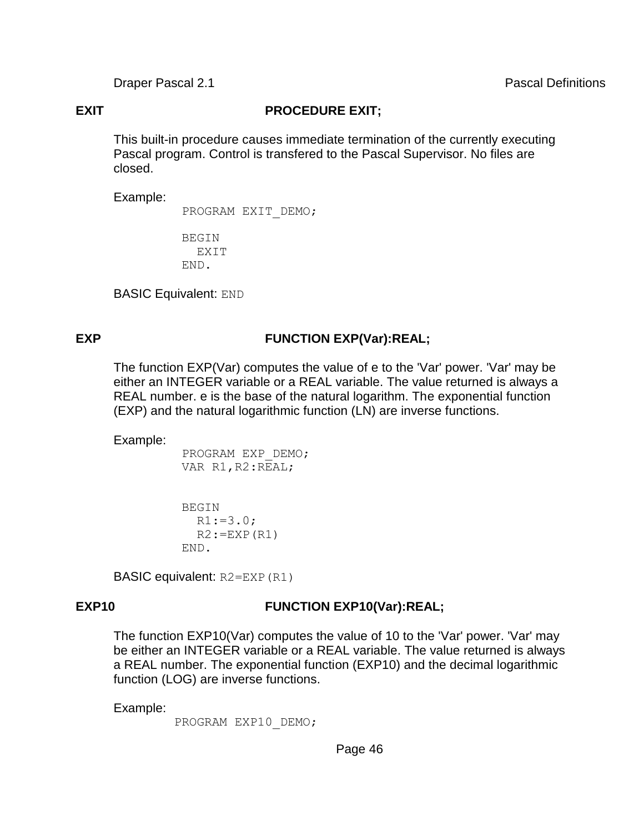**EXIT PROCEDURE EXIT;** 

This built-in procedure causes immediate termination of the currently executing Pascal program. Control is transfered to the Pascal Supervisor. No files are closed.

Example:

PROGRAM EXIT\_DEMO;

 BEGIN EXIT END.

BASIC Equivalent: END

### **EXP FUNCTION EXP(Var):REAL;**

The function EXP(Var) computes the value of e to the 'Var' power. 'Var' may be either an INTEGER variable or a REAL variable. The value returned is always a REAL number. e is the base of the natural logarithm. The exponential function (EXP) and the natural logarithmic function (LN) are inverse functions.

Example:

 PROGRAM EXP\_DEMO; VAR R1, R2:REAL;

 BEGIN  $R1:=3.0;$  $R2:=EXP(R1)$ END.

BASIC equivalent: R2=EXP(R1)

## **EXP10 FUNCTION EXP10(Var):REAL;**

The function EXP10(Var) computes the value of 10 to the 'Var' power. 'Var' may be either an INTEGER variable or a REAL variable. The value returned is always a REAL number. The exponential function (EXP10) and the decimal logarithmic function (LOG) are inverse functions.

Example:

PROGRAM EXP10 DEMO;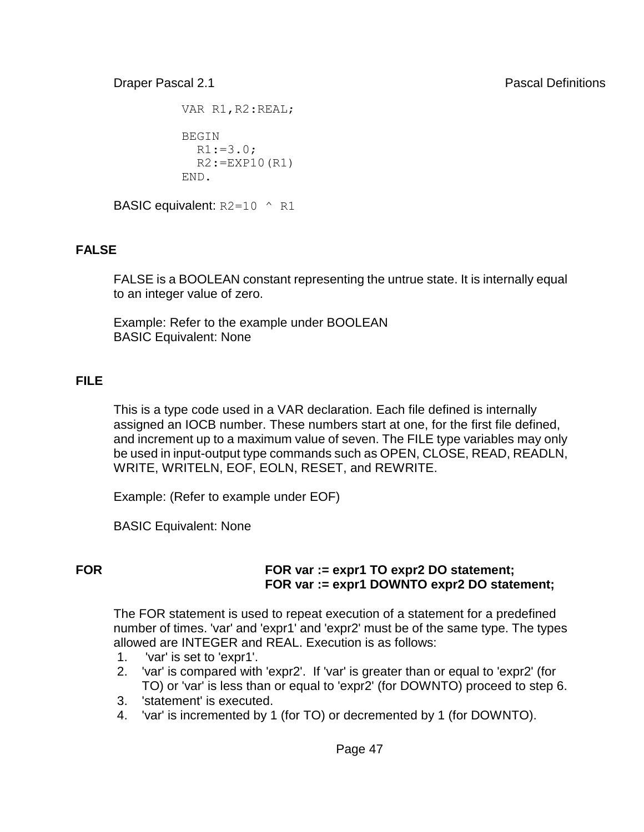VAR R1, R2:REAL; **BEGIN**  $R1:=3.0;$  $R2:=EXP10(R1)$ END.

**BASIC equivalent:**  $R2=10$  ^ R1

# **FALSE**

FALSE is a BOOLEAN constant representing the untrue state. It is internally equal to an integer value of zero.

Example: Refer to the example under BOOLEAN BASIC Equivalent: None

# **FILE**

This is a type code used in a VAR declaration. Each file defined is internally assigned an IOCB number. These numbers start at one, for the first file defined, and increment up to a maximum value of seven. The FILE type variables may only be used in input-output type commands such as OPEN, CLOSE, READ, READLN, WRITE, WRITELN, EOF, EOLN, RESET, and REWRITE.

Example: (Refer to example under EOF)

BASIC Equivalent: None

### **FOR FOR var := expr1 TO expr2 DO statement; FOR var := expr1 DOWNTO expr2 DO statement;**

The FOR statement is used to repeat execution of a statement for a predefined number of times. 'var' and 'expr1' and 'expr2' must be of the same type. The types allowed are INTEGER and REAL. Execution is as follows:

- 1. 'var' is set to 'expr1'.
- 2. 'var' is compared with 'expr2'. If 'var' is greater than or equal to 'expr2' (for TO) or 'var' is less than or equal to 'expr2' (for DOWNTO) proceed to step 6.
- 3. 'statement' is executed.
- 4. 'var' is incremented by 1 (for TO) or decremented by 1 (for DOWNTO).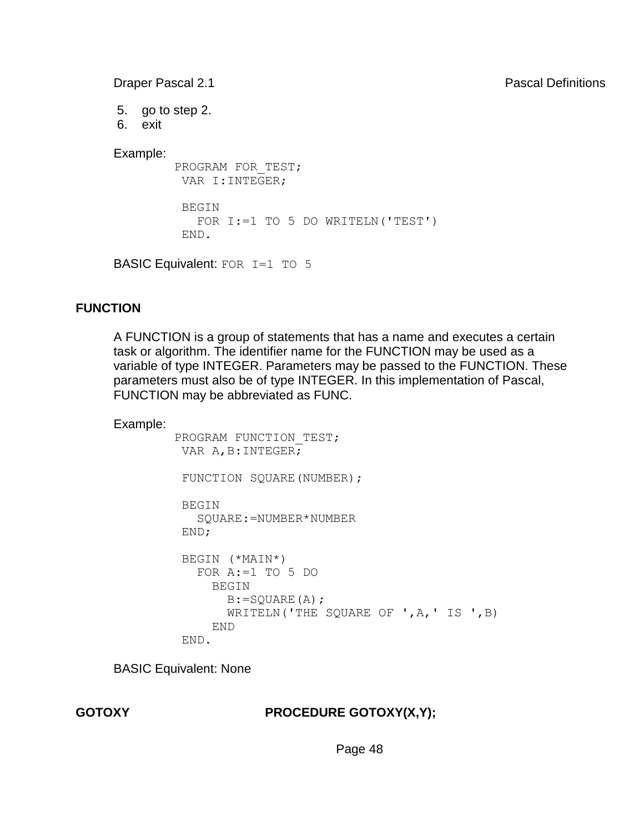5. go to step 2.

6. exit

Example:

PROGRAM FOR TEST; VAR I:INTEGER;

 BEGIN FOR I:=1 TO 5 DO WRITELN('TEST') END.

BASIC Equivalent: FOR I=1 TO 5

# **FUNCTION**

A FUNCTION is a group of statements that has a name and executes a certain task or algorithm. The identifier name for the FUNCTION may be used as a variable of type INTEGER. Parameters may be passed to the FUNCTION. These parameters must also be of type INTEGER. In this implementation of Pascal, FUNCTION may be abbreviated as FUNC.

Example:

```
PROGRAM FUNCTION TEST;
VAR A, B: INTEGER;
FUNCTION SQUARE(NUMBER);
 BEGIN 
    SQUARE:=NUMBER*NUMBER 
 END; 
 BEGIN (*MAIN*) 
    FOR A:=1 TO 5 DO 
      BEGIN 
        B:=SQUARE(A); 
        WRITELN('THE SQUARE OF ',A,' IS ',B) 
      END 
  END.
```
BASIC Equivalent: None

### **GOTOXY PROCEDURE GOTOXY(X,Y);**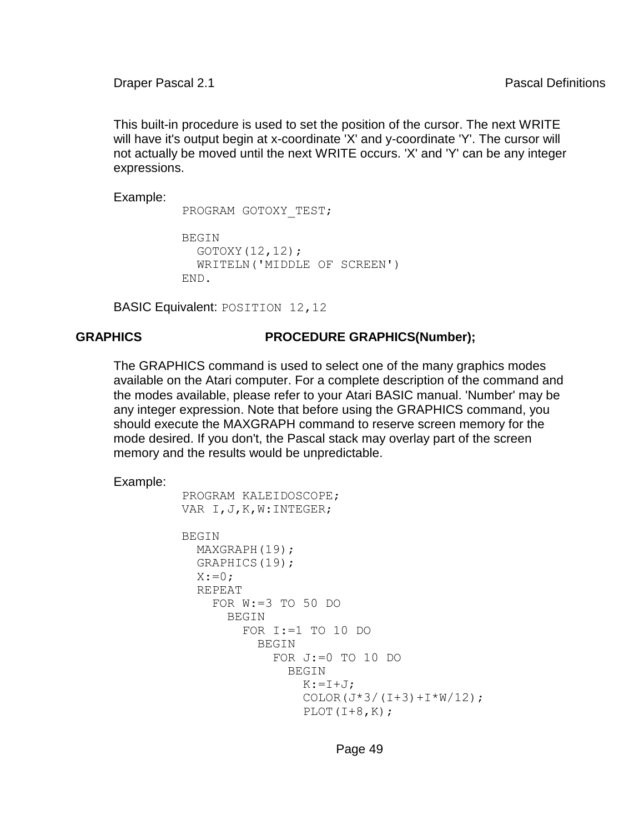This built-in procedure is used to set the position of the cursor. The next WRITE will have it's output begin at x-coordinate 'X' and y-coordinate 'Y'. The cursor will not actually be moved until the next WRITE occurs. 'X' and 'Y' can be any integer expressions.

Example:

PROGRAM GOTOXY TEST;

```
 BEGIN 
   GOTOXY(12,12); 
   WRITELN('MIDDLE OF SCREEN') 
 END.
```
BASIC Equivalent: POSITION 12,12

#### **GRAPHICS PROCEDURE GRAPHICS(Number);**

The GRAPHICS command is used to select one of the many graphics modes available on the Atari computer. For a complete description of the command and the modes available, please refer to your Atari BASIC manual. 'Number' may be any integer expression. Note that before using the GRAPHICS command, you should execute the MAXGRAPH command to reserve screen memory for the mode desired. If you don't, the Pascal stack may overlay part of the screen memory and the results would be unpredictable.

```
 PROGRAM KALEIDOSCOPE; 
 VAR I,J,K,W:INTEGER; 
BEGIN
   MAXGRAPH(19); 
   GRAPHICS(19); 
  X:=0:
   REPEAT 
     FOR W:=3 TO 50 DO 
        BEGIN 
          FOR I:=1 TO 10 DO 
            BEGIN 
              FOR J:=0 TO 10 DO
                 BEGIN 
                  K: = I + J:
                  COLOR(J*3/(I+3)+I*W/12);
                  PLOT(I+8,K);
```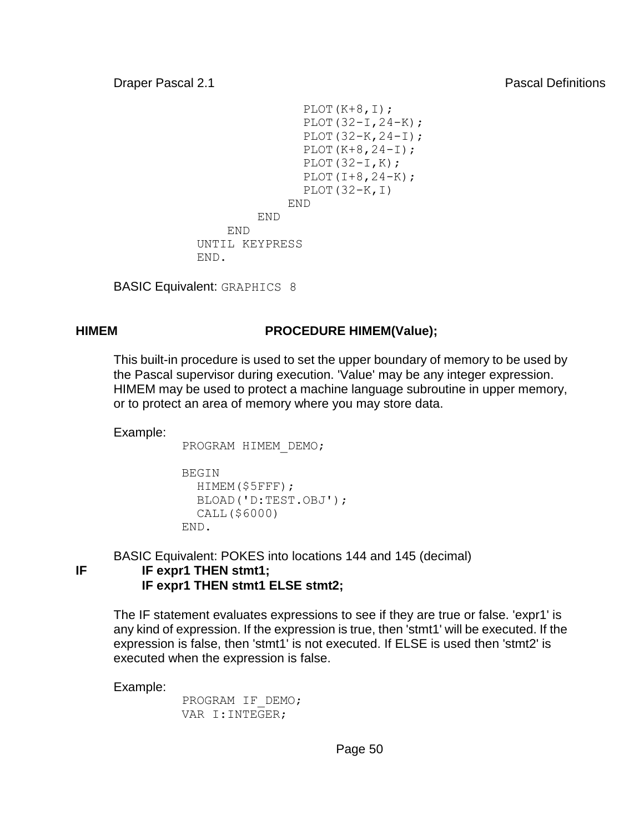```
PLOT(K+8, I);
                     PLOT(32-I,24-K);
                     PLOT(32-K, 24-I);
                     PLOT(K+8, 24-I);PLOT(32-I,K);PLOT(I+8, 24-K);PLOT(32-K,I) 
 END 
END END
             END 
          UNTIL KEYPRESS 
          END.
```
BASIC Equivalent: GRAPHICS 8

## **HIMEM PROCEDURE HIMEM(Value);**

This built-in procedure is used to set the upper boundary of memory to be used by the Pascal supervisor during execution. 'Value' may be any integer expression. HIMEM may be used to protect a machine language subroutine in upper memory, or to protect an area of memory where you may store data.

Example:

PROGRAM HIMEM\_DEMO;

```
 BEGIN 
   HIMEM($5FFF); 
   BLOAD('D:TEST.OBJ'); 
   CALL($6000) 
 END.
```
BASIC Equivalent: POKES into locations 144 and 145 (decimal) **IF IF expr1 THEN stmt1; IF expr1 THEN stmt1 ELSE stmt2;**

The IF statement evaluates expressions to see if they are true or false. 'expr1' is any kind of expression. If the expression is true, then 'stmt1' will be executed. If the expression is false, then 'stmt1' is not executed. If ELSE is used then 'stmt2' is executed when the expression is false.

Example:

 PROGRAM IF\_DEMO; VAR I:INTEGER;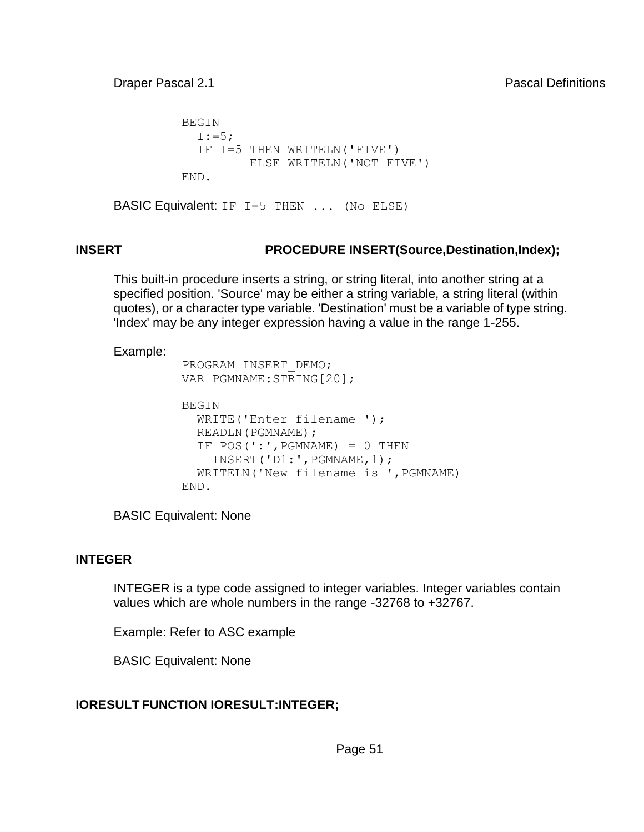BEGIN  $I:=5$ : IF I=5 THEN WRITELN('FIVE') ELSE WRITELN('NOT FIVE') END.

BASIC Equivalent: IF I=5 THEN ... (No ELSE)

# **INSERT PROCEDURE INSERT(Source,Destination,Index);**

This built-in procedure inserts a string, or string literal, into another string at a specified position. 'Source' may be either a string variable, a string literal (within quotes), or a character type variable. 'Destination' must be a variable of type string. 'Index' may be any integer expression having a value in the range 1-255.

#### Example:

```
 PROGRAM INSERT_DEMO; 
 VAR PGMNAME:STRING[20]; 
 BEGIN 
  WRITE('Enter filename '); 
  READLN(PGMNAME);
  IF POS('::', PGMNAME = 0 THEN
     INSERT('D1:',PGMNAME,1); 
   WRITELN('New filename is ',PGMNAME) 
 END.
```
BASIC Equivalent: None

### **INTEGER**

INTEGER is a type code assigned to integer variables. Integer variables contain values which are whole numbers in the range -32768 to +32767.

Example: Refer to ASC example

BASIC Equivalent: None

# **IORESULT FUNCTION IORESULT:INTEGER;**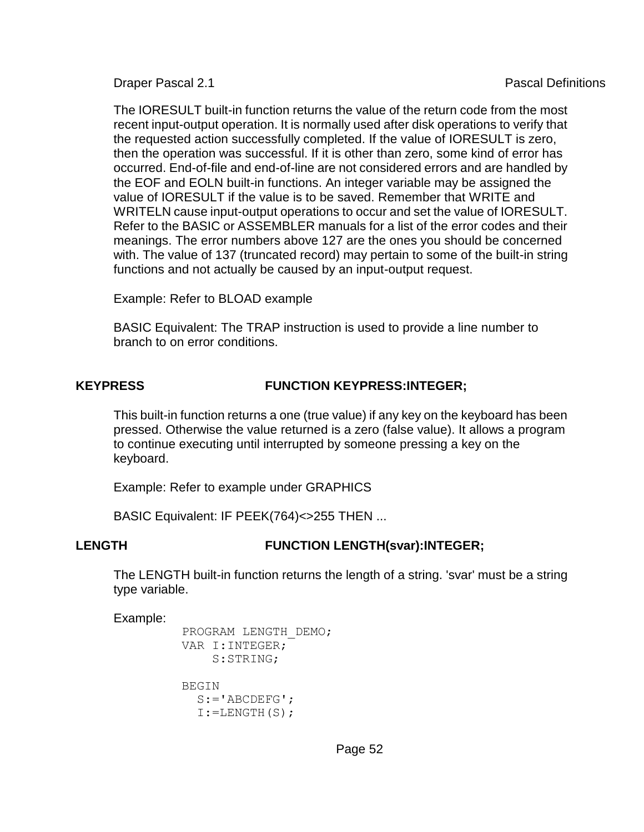The IORESULT built-in function returns the value of the return code from the most recent input-output operation. It is normally used after disk operations to verify that the requested action successfully completed. If the value of IORESULT is zero, then the operation was successful. If it is other than zero, some kind of error has occurred. End-of-file and end-of-line are not considered errors and are handled by the EOF and EOLN built-in functions. An integer variable may be assigned the value of IORESULT if the value is to be saved. Remember that WRITE and WRITELN cause input-output operations to occur and set the value of IORESULT. Refer to the BASIC or ASSEMBLER manuals for a list of the error codes and their meanings. The error numbers above 127 are the ones you should be concerned with. The value of 137 (truncated record) may pertain to some of the built-in string functions and not actually be caused by an input-output request.

Example: Refer to BLOAD example

BASIC Equivalent: The TRAP instruction is used to provide a line number to branch to on error conditions.

# **KEYPRESS FUNCTION KEYPRESS:INTEGER;**

This built-in function returns a one (true value) if any key on the keyboard has been pressed. Otherwise the value returned is a zero (false value). It allows a program to continue executing until interrupted by someone pressing a key on the keyboard.

Example: Refer to example under GRAPHICS

BASIC Equivalent: IF PEEK(764)<>255 THEN ...

### **LENGTH FUNCTION LENGTH(svar):INTEGER;**

The LENGTH built-in function returns the length of a string. 'svar' must be a string type variable.

```
 PROGRAM LENGTH_DEMO; 
 VAR I:INTEGER; 
     S:STRING; 
 BEGIN 
  S := 'ABCDEFG';
  I:=LENGTH(S);
```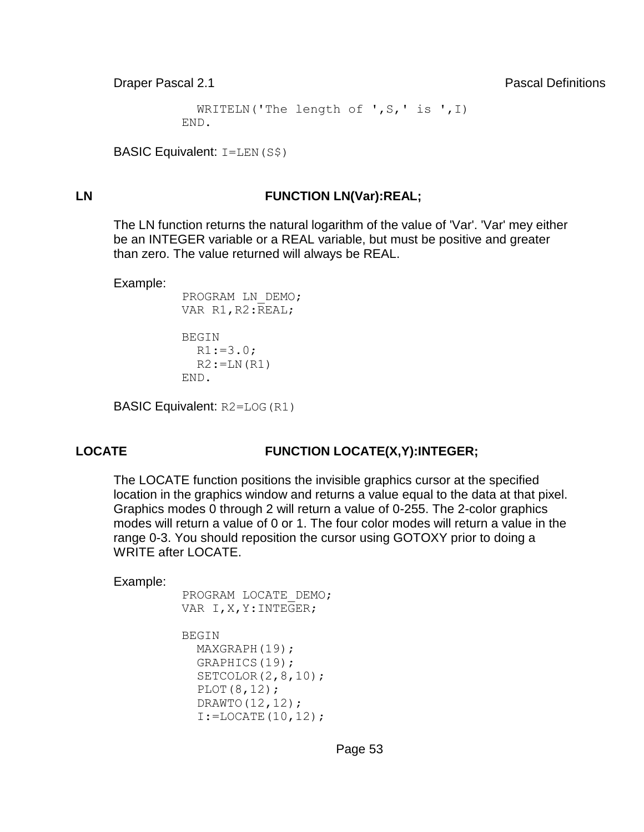```
WRITELN('The length of ', S, ' is ', I)
 END.
```

```
BASIC Equivalent: I = LEN(S$)
```
#### **LN FUNCTION LN(Var):REAL;**

The LN function returns the natural logarithm of the value of 'Var'. 'Var' mey either be an INTEGER variable or a REAL variable, but must be positive and greater than zero. The value returned will always be REAL.

Example:

```
 PROGRAM LN_DEMO; 
VAR R1, R2: REAL;
```

```
 BEGIN 
  R1:=3.0;R2:=LN(R1) END.
```
BASIC Equivalent: R2=LOG(R1)

### **LOCATE FUNCTION LOCATE(X,Y):INTEGER;**

The LOCATE function positions the invisible graphics cursor at the specified location in the graphics window and returns a value equal to the data at that pixel. Graphics modes 0 through 2 will return a value of 0-255. The 2-color graphics modes will return a value of 0 or 1. The four color modes will return a value in the range 0-3. You should reposition the cursor using GOTOXY prior to doing a WRITE after LOCATE.

```
 PROGRAM LOCATE_DEMO; 
VAR I, X, Y: INTEGER;
 BEGIN 
   MAXGRAPH(19); 
   GRAPHICS(19); 
   SETCOLOR(2,8,10); 
   PLOT(8,12); 
   DRAWTO(12,12); 
  I:=LOCATE(10,12);
```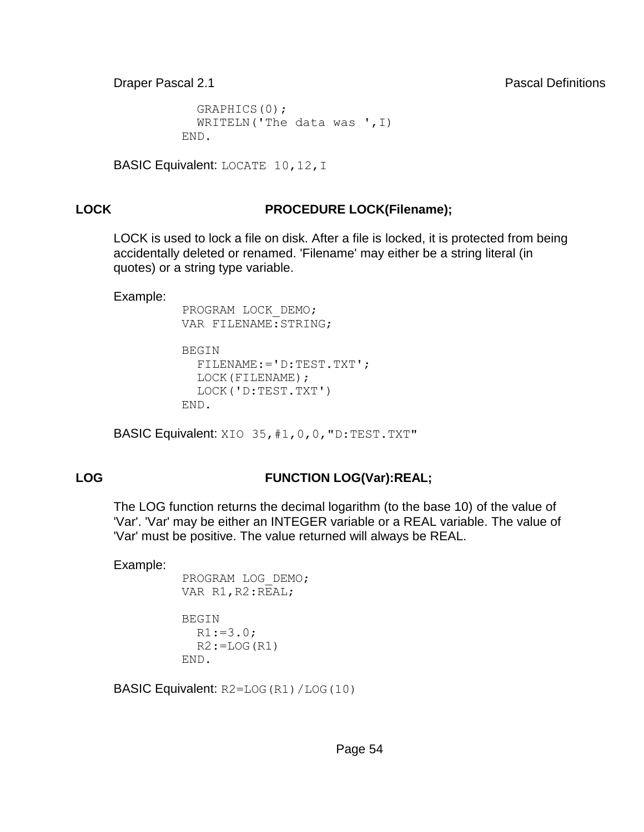```
 GRAPHICS(0); 
  WRITELN('The data was ', I)
 END.
```

```
BASIC Equivalent: LOCATE 10, 12, I
```
# **LOCK PROCEDURE LOCK(Filename);**

LOCK is used to lock a file on disk. After a file is locked, it is protected from being accidentally deleted or renamed. 'Filename' may either be a string literal (in quotes) or a string type variable.

Example:

 PROGRAM LOCK\_DEMO; VAR FILENAME: STRING;

```
 BEGIN 
  FILENAME:='D:TEST.TXT'; 
   LOCK(FILENAME); 
   LOCK('D:TEST.TXT') 
 END.
```
BASIC Equivalent: XIO 35, #1, 0, 0, "D: TEST. TXT"

# **LOG FUNCTION LOG(Var):REAL;**

The LOG function returns the decimal logarithm (to the base 10) of the value of 'Var'. 'Var' may be either an INTEGER variable or a REAL variable. The value of 'Var' must be positive. The value returned will always be REAL.

Example:

```
 PROGRAM LOG_DEMO; 
VAR R1, R2:REAL;
```

```
 BEGIN 
  R1:=3.0;
  R2:=LOG(R1)
 END.
```
BASIC Equivalent: R2=LOG(R1)/LOG(10)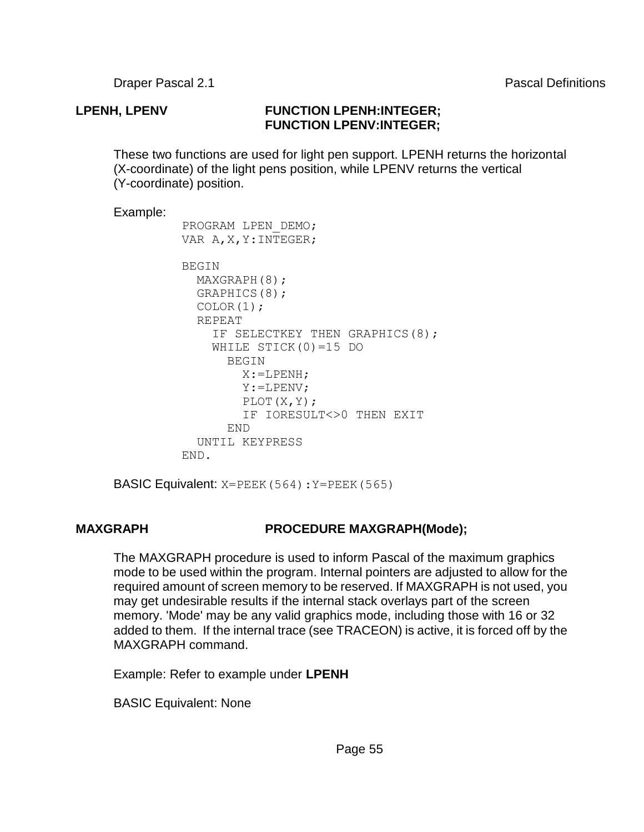### **LPENH, LPENV FUNCTION LPENH:INTEGER; FUNCTION LPENV:INTEGER;**

These two functions are used for light pen support. LPENH returns the horizontal (X-coordinate) of the light pens position, while LPENV returns the vertical (Y-coordinate) position.

#### Example:

```
 PROGRAM LPEN_DEMO; 
 VAR A,X,Y:INTEGER; 
 BEGIN 
  MAXGRAPH(8); 
   GRAPHICS(8); 
   COLOR(1); 
   REPEAT 
    IF SELECTKEY THEN GRAPHICS(8);
     WHILE STICK(0)=15 DO 
       BEGIN 
         X:=LPENH; 
         Y:=LPENV; 
        PLOT(X,Y); 
        IF IORESULT<>0 THEN EXIT 
       END 
   UNTIL KEYPRESS 
 END.
```
BASIC Equivalent: X=PEEK(564):Y=PEEK(565)

### **MAXGRAPH PROCEDURE MAXGRAPH(Mode);**

The MAXGRAPH procedure is used to inform Pascal of the maximum graphics mode to be used within the program. Internal pointers are adjusted to allow for the required amount of screen memory to be reserved. If MAXGRAPH is not used, you may get undesirable results if the internal stack overlays part of the screen memory. 'Mode' may be any valid graphics mode, including those with 16 or 32 added to them. If the internal trace (see TRACEON) is active, it is forced off by the MAXGRAPH command.

Example: Refer to example under **LPENH**

BASIC Equivalent: None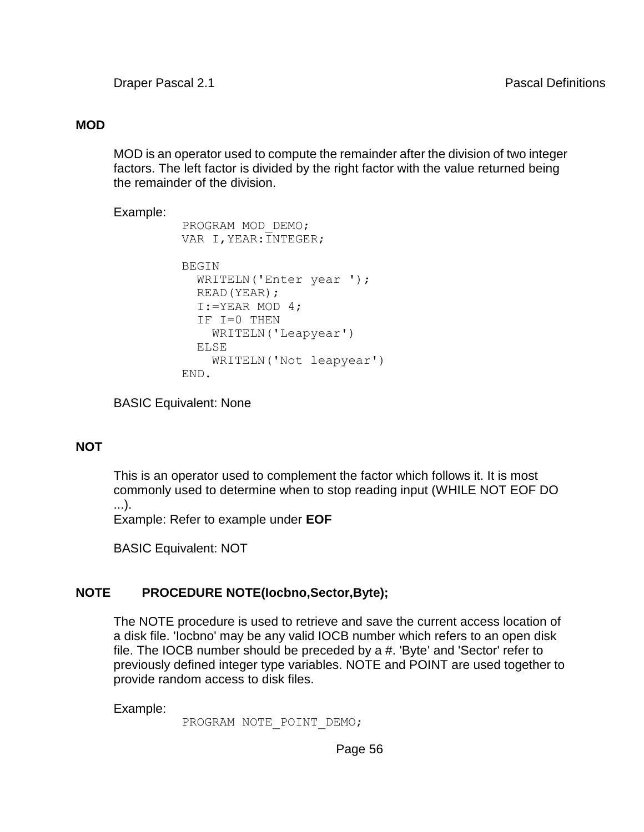#### **MOD**

MOD is an operator used to compute the remainder after the division of two integer factors. The left factor is divided by the right factor with the value returned being the remainder of the division.

```
Example:
           PROGRAM MOD_DEMO; 
           VAR I,YEAR:INTEGER; 
           BEGIN 
            WRITELN('Enter year ');
             READ(YEAR); 
            I:=YEAR MOD 4; IF I=0 THEN 
               WRITELN('Leapyear') 
             ELSE 
               WRITELN('Not leapyear') 
           END.
```
BASIC Equivalent: None

### **NOT**

This is an operator used to complement the factor which follows it. It is most commonly used to determine when to stop reading input (WHILE NOT EOF DO ...).

Example: Refer to example under **EOF**

BASIC Equivalent: NOT

### **NOTE PROCEDURE NOTE(Iocbno,Sector,Byte);**

The NOTE procedure is used to retrieve and save the current access location of a disk file. 'Iocbno' may be any valid IOCB number which refers to an open disk file. The IOCB number should be preceded by a #. 'Byte' and 'Sector' refer to previously defined integer type variables. NOTE and POINT are used together to provide random access to disk files.

Example:

PROGRAM NOTE POINT DEMO;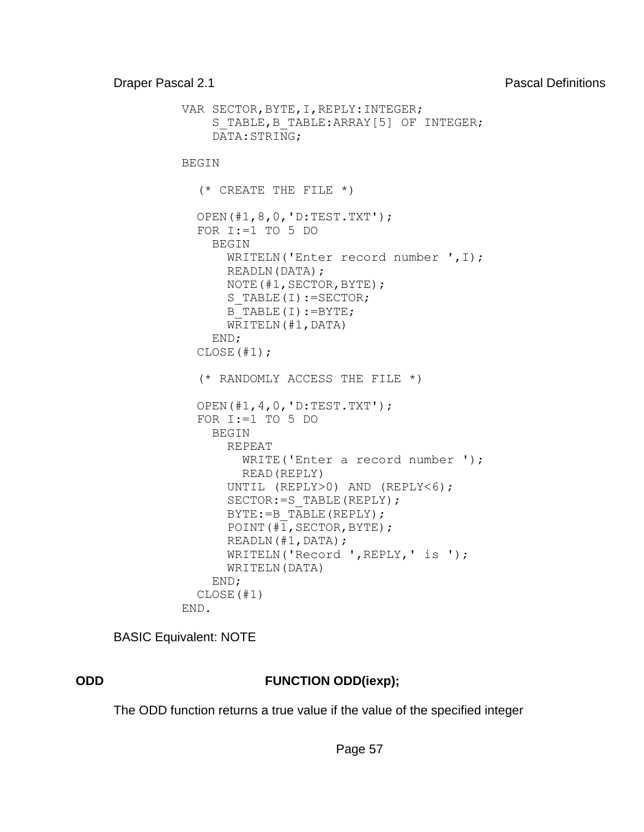```
 VAR SECTOR,BYTE,I,REPLY:INTEGER; 
    S_TABLE,B_TABLE:ARRAY[5] OF INTEGER;
     DATA:STRING; 
 BEGIN 
   (* CREATE THE FILE *) 
   OPEN(#1,8,0,'D:TEST.TXT'); 
  FOR I:=1 TO 5 DO
     BEGIN 
        WRITELN('Enter record number ',I);
        READLN(DATA); 
        NOTE(#1,SECTOR,BYTE); 
       S TABLE(I):=SECTOR;
       B<sup>TABLE</sup>(I):=BYTE;
        WRITELN(#1,DATA) 
     END; 
   CLOSE(#1); 
   (* RANDOMLY ACCESS THE FILE *) 
   OPEN(#1,4,0,'D:TEST.TXT'); 
  FOR I:=1 TO 5 DO
     BEGIN 
        REPEAT 
         WRITE('Enter a record number ');
         READ(REPLY) 
        UNTIL (REPLY>0) AND (REPLY<6); 
       SECTOR: = S_TABLE(REPLY);
       BYTE: = B_TABLE(REPLY);
       POINT (\sqrt{41}, \text{SECTION}, \text{BYTE});
        READLN(#1,DATA); 
        WRITELN('Record ',REPLY,' is '); 
        WRITELN(DATA) 
     END; 
   CLOSE(#1) 
 END.
```
BASIC Equivalent: NOTE

#### **ODD FUNCTION ODD(iexp);**

The ODD function returns a true value if the value of the specified integer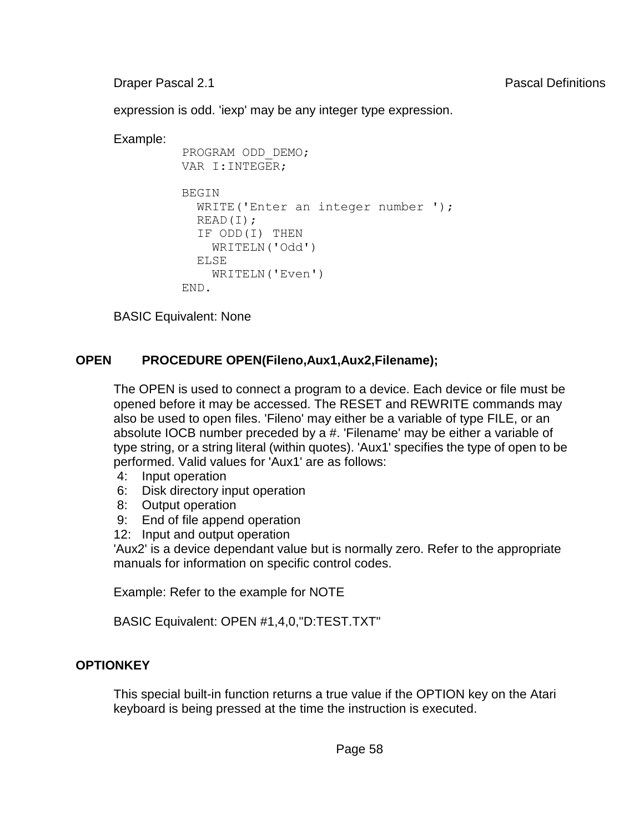expression is odd. 'iexp' may be any integer type expression.

Example:

```
 PROGRAM ODD_DEMO; 
 VAR I:INTEGER; 
BEGIN
   WRITE('Enter an integer number '); 
   READ(I); 
   IF ODD(I) THEN 
     WRITELN('Odd') 
   ELSE 
     WRITELN('Even') 
 END.
```
BASIC Equivalent: None

# **OPEN PROCEDURE OPEN(Fileno,Aux1,Aux2,Filename);**

The OPEN is used to connect a program to a device. Each device or file must be opened before it may be accessed. The RESET and REWRITE commands may also be used to open files. 'Fileno' may either be a variable of type FILE, or an absolute IOCB number preceded by a #. 'Filename' may be either a variable of type string, or a string literal (within quotes). 'Aux1' specifies the type of open to be performed. Valid values for 'Aux1' are as follows:

- 4: Input operation
- 6: Disk directory input operation
- 8: Output operation
- 9: End of file append operation
- 12: Input and output operation

'Aux2' is a device dependant value but is normally zero. Refer to the appropriate manuals for information on specific control codes.

Example: Refer to the example for NOTE

BASIC Equivalent: OPEN #1,4,0,"D:TEST.TXT"

# **OPTIONKEY**

This special built-in function returns a true value if the OPTION key on the Atari keyboard is being pressed at the time the instruction is executed.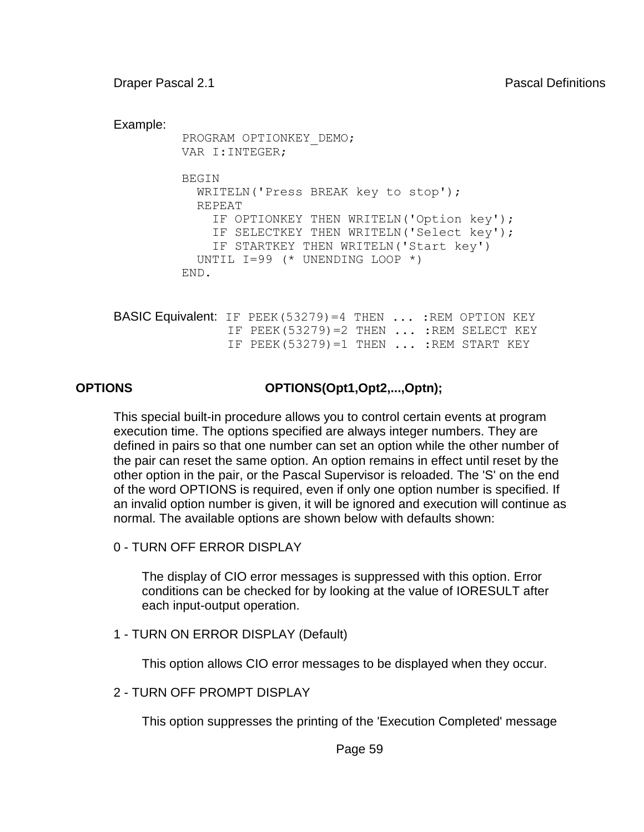```
Example:
          PROGRAM OPTIONKEY_DEMO; 
          VAR I:INTEGER; 
          BEGIN 
            WRITELN('Press BREAK key to stop'); 
            REPEAT 
              IF OPTIONKEY THEN WRITELN('Option key'); 
               IF SELECTKEY THEN WRITELN('Select key'); 
              IF STARTKEY THEN WRITELN('Start key') 
            UNTIL I=99 (* UNENDING LOOP *) 
          END. 
BASIC Equivalent: IF PEEK(53279)=4 THEN ... :REM OPTION KEY 
                IF PEEK(53279)=2 THEN ... :REM SELECT KEY 
                 IF PEEK(53279)=1 THEN ... :REM START KEY
```
**OPTIONS OPTIONS(Opt1,Opt2,...,Optn);**

This special built-in procedure allows you to control certain events at program execution time. The options specified are always integer numbers. They are defined in pairs so that one number can set an option while the other number of the pair can reset the same option. An option remains in effect until reset by the other option in the pair, or the Pascal Supervisor is reloaded. The 'S' on the end of the word OPTIONS is required, even if only one option number is specified. If an invalid option number is given, it will be ignored and execution will continue as normal. The available options are shown below with defaults shown:

0 - TURN OFF ERROR DISPLAY

The display of CIO error messages is suppressed with this option. Error conditions can be checked for by looking at the value of IORESULT after each input-output operation.

1 - TURN ON ERROR DISPLAY (Default)

This option allows CIO error messages to be displayed when they occur.

2 - TURN OFF PROMPT DISPLAY

This option suppresses the printing of the 'Execution Completed' message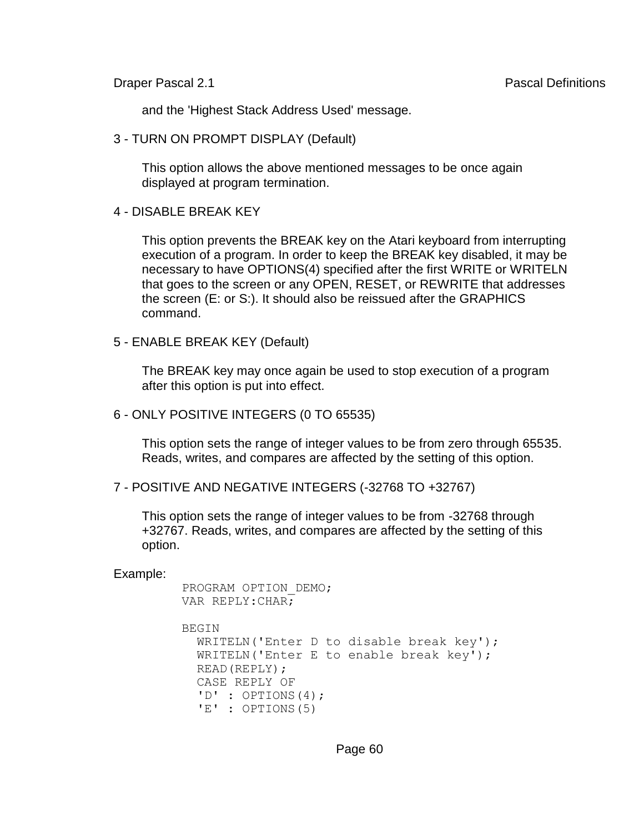and the 'Highest Stack Address Used' message.

3 - TURN ON PROMPT DISPLAY (Default)

This option allows the above mentioned messages to be once again displayed at program termination.

```
4 - DISABLE BREAK KEY
```
This option prevents the BREAK key on the Atari keyboard from interrupting execution of a program. In order to keep the BREAK key disabled, it may be necessary to have OPTIONS(4) specified after the first WRITE or WRITELN that goes to the screen or any OPEN, RESET, or REWRITE that addresses the screen (E: or S:). It should also be reissued after the GRAPHICS command.

5 - ENABLE BREAK KEY (Default)

The BREAK key may once again be used to stop execution of a program after this option is put into effect.

6 - ONLY POSITIVE INTEGERS (0 TO 65535)

This option sets the range of integer values to be from zero through 65535. Reads, writes, and compares are affected by the setting of this option.

```
7 - POSITIVE AND NEGATIVE INTEGERS (-32768 TO +32767)
```
This option sets the range of integer values to be from -32768 through +32767. Reads, writes, and compares are affected by the setting of this option.

```
 PROGRAM OPTION_DEMO; 
 VAR REPLY:CHAR; 
 BEGIN 
   WRITELN('Enter D to disable break key'); 
   WRITELN('Enter E to enable break key'); 
   READ(REPLY); 
   CASE REPLY OF 
  'D' : OPTIONS(4);
  'E' : OPTIONS(5)
```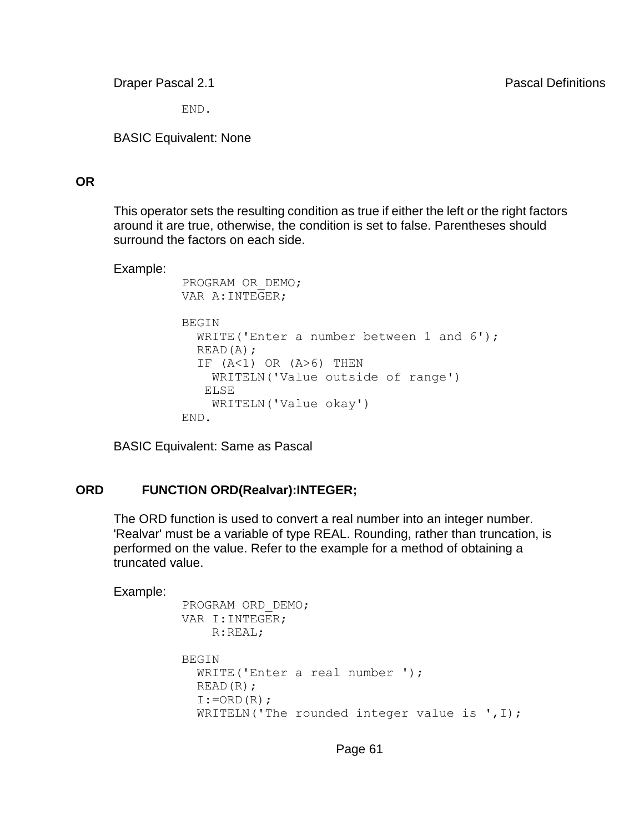END.

BASIC Equivalent: None

#### **OR**

This operator sets the resulting condition as true if either the left or the right factors around it are true, otherwise, the condition is set to false. Parentheses should surround the factors on each side.

#### Example:

```
 PROGRAM OR_DEMO; 
 VAR A:INTEGER; 
 BEGIN 
  WRITE('Enter a number between 1 and 6');
   READ(A); 
  IF (A<1) OR (A>6) THEN
     WRITELN('Value outside of range') 
    ELSE 
     WRITELN('Value okay') 
 END.
```
BASIC Equivalent: Same as Pascal

### **ORD FUNCTION ORD(Realvar):INTEGER;**

The ORD function is used to convert a real number into an integer number. 'Realvar' must be a variable of type REAL. Rounding, rather than truncation, is performed on the value. Refer to the example for a method of obtaining a truncated value.

```
 PROGRAM ORD_DEMO; 
 VAR I:INTEGER; 
     R:REAL; 
 BEGIN 
   WRITE('Enter a real number '); 
   READ(R); 
  I:=\text{ORD}(R);
  WRITELN('The rounded integer value is ', I);
```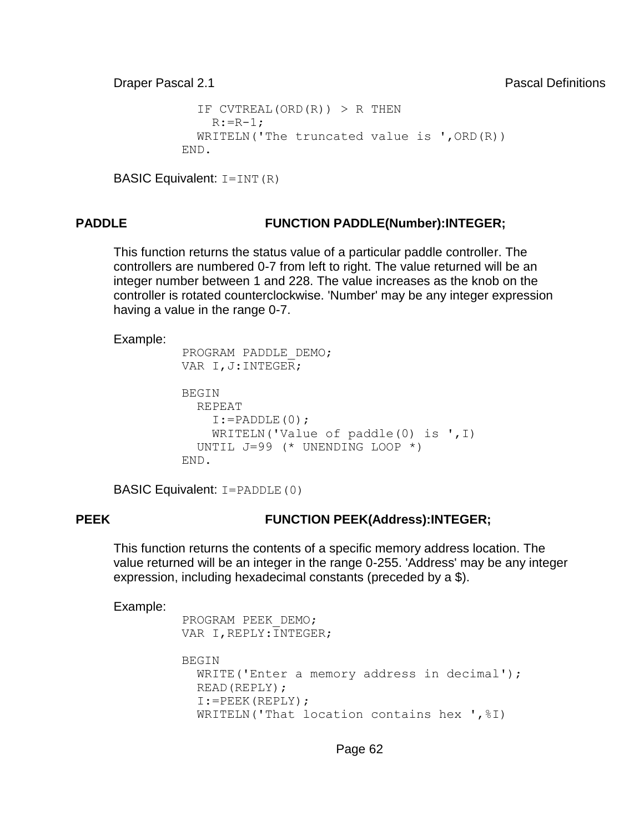```
IF CVTREAL(ORD(R)) > R THEN
    R: = R - 1; WRITELN('The truncated value is ',ORD(R)) 
 END.
```

```
BASIC Equivalent: I=INT(R)
```
## **PADDLE FUNCTION PADDLE(Number):INTEGER;**

This function returns the status value of a particular paddle controller. The controllers are numbered 0-7 from left to right. The value returned will be an integer number between 1 and 228. The value increases as the knob on the controller is rotated counterclockwise. 'Number' may be any integer expression having a value in the range 0-7.

#### Example:

```
 PROGRAM PADDLE_DEMO; 
VAR I, J:INTEGER;
 BEGIN 
   REPEAT 
    I:=PADDLE(0); WRITELN('Value of paddle(0) is ',I) 
   UNTIL J=99 (* UNENDING LOOP *) 
 END.
```
BASIC Equivalent: I=PADDLE(0)

### **PEEK FUNCTION PEEK(Address):INTEGER;**

This function returns the contents of a specific memory address location. The value returned will be an integer in the range 0-255. 'Address' may be any integer expression, including hexadecimal constants (preceded by a \$).

```
 PROGRAM PEEK_DEMO; 
VAR I, REPLY: INTEGER;
 BEGIN 
   WRITE('Enter a memory address in decimal'); 
   READ(REPLY); 
   I:=PEEK(REPLY); 
  WRITELN('That location contains hex ', \S I)
```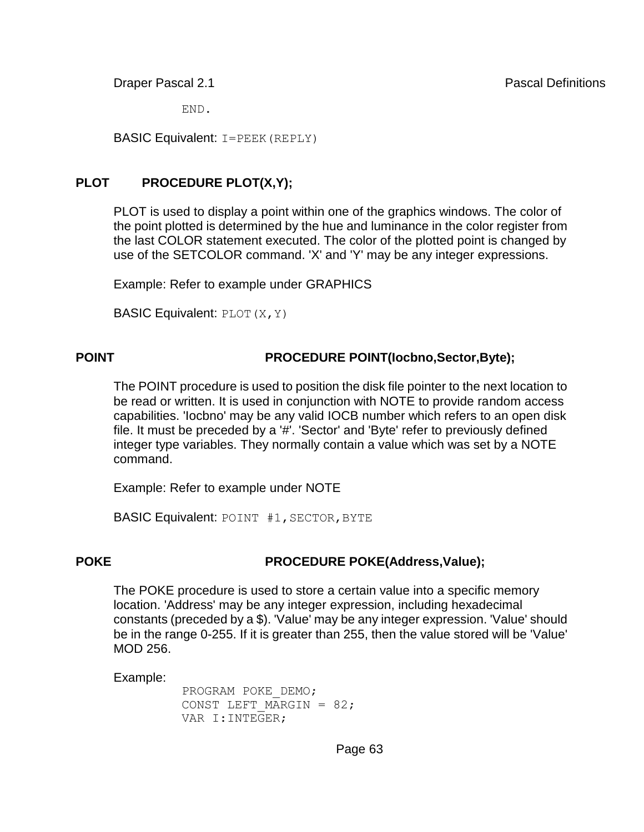END.

BASIC Equivalent: I=PEEK(REPLY)

# **PLOT PROCEDURE PLOT(X,Y);**

PLOT is used to display a point within one of the graphics windows. The color of the point plotted is determined by the hue and luminance in the color register from the last COLOR statement executed. The color of the plotted point is changed by use of the SETCOLOR command. 'X' and 'Y' may be any integer expressions.

Example: Refer to example under GRAPHICS

**BASIC Equivalent: PLOT**  $(X, Y)$ 

## **POINT PROCEDURE POINT(Iocbno,Sector,Byte);**

The POINT procedure is used to position the disk file pointer to the next location to be read or written. It is used in conjunction with NOTE to provide random access capabilities. 'Iocbno' may be any valid IOCB number which refers to an open disk file. It must be preceded by a '#'. 'Sector' and 'Byte' refer to previously defined integer type variables. They normally contain a value which was set by a NOTE command.

Example: Refer to example under NOTE

BASIC Equivalent: POINT #1, SECTOR, BYTE

### **POKE PROCEDURE POKE(Address,Value);**

The POKE procedure is used to store a certain value into a specific memory location. 'Address' may be any integer expression, including hexadecimal constants (preceded by a \$). 'Value' may be any integer expression. 'Value' should be in the range 0-255. If it is greater than 255, then the value stored will be 'Value' MOD 256.

Example:

 PROGRAM POKE\_DEMO; CONST LEFT MARGIN =  $82;$ VAR I:INTEGER;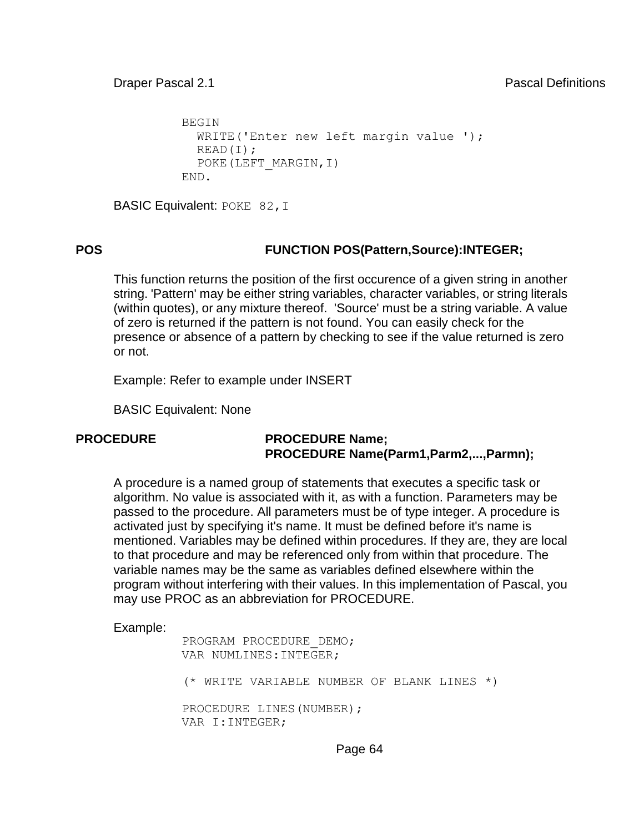```
 BEGIN 
  WRITE('Enter new left margin value ');
   READ(I); 
   POKE(LEFT_MARGIN,I) 
 END.
```
BASIC Equivalent: POKE 82, I

## **POS FUNCTION POS(Pattern,Source):INTEGER;**

This function returns the position of the first occurence of a given string in another string. 'Pattern' may be either string variables, character variables, or string literals (within quotes), or any mixture thereof. 'Source' must be a string variable. A value of zero is returned if the pattern is not found. You can easily check for the presence or absence of a pattern by checking to see if the value returned is zero or not.

Example: Refer to example under INSERT

BASIC Equivalent: None

#### **PROCEDURE PROCEDURE Name; PROCEDURE Name(Parm1,Parm2,...,Parmn);**

A procedure is a named group of statements that executes a specific task or algorithm. No value is associated with it, as with a function. Parameters may be passed to the procedure. All parameters must be of type integer. A procedure is activated just by specifying it's name. It must be defined before it's name is mentioned. Variables may be defined within procedures. If they are, they are local to that procedure and may be referenced only from within that procedure. The variable names may be the same as variables defined elsewhere within the program without interfering with their values. In this implementation of Pascal, you may use PROC as an abbreviation for PROCEDURE.

```
 PROGRAM PROCEDURE_DEMO; 
 VAR NUMLINES:INTEGER; 
 (* WRITE VARIABLE NUMBER OF BLANK LINES *) 
PROCEDURE LINES (NUMBER) ;
 VAR I:INTEGER;
```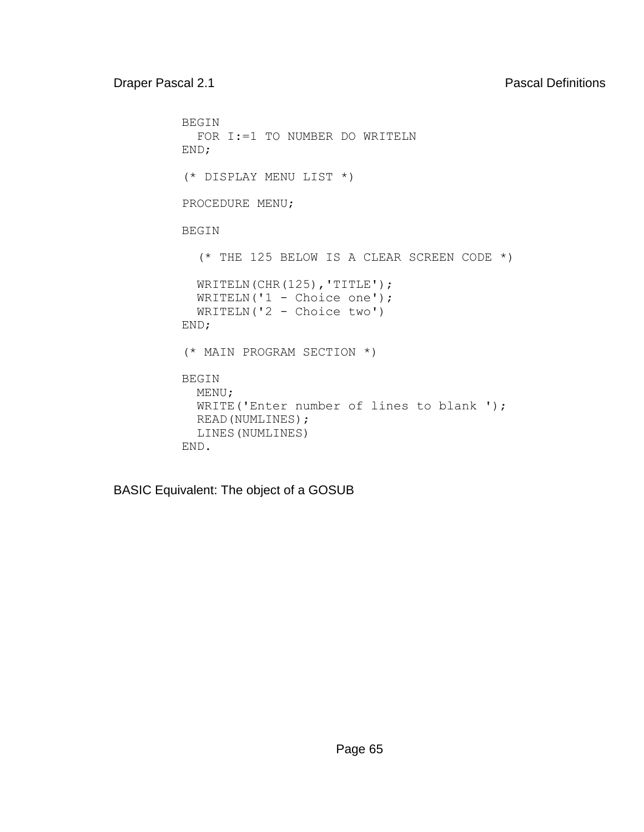```
 BEGIN 
           FOR I:=1 TO NUMBER DO WRITELN 
          END; 
          (* DISPLAY MENU LIST *) 
          PROCEDURE MENU; 
          BEGIN 
            (* THE 125 BELOW IS A CLEAR SCREEN CODE *) 
           WRITELN(CHR(125), 'TITLE');
WRITELN('1 - Choice one');
 WRITELN('2 - Choice two') 
          END; 
          (* MAIN PROGRAM SECTION *) 
          BEGIN 
           MENU; 
          WRITE('Enter number of lines to blank ');
           READ(NUMLINES); 
            LINES(NUMLINES) 
          END.
```
BASIC Equivalent: The object of a GOSUB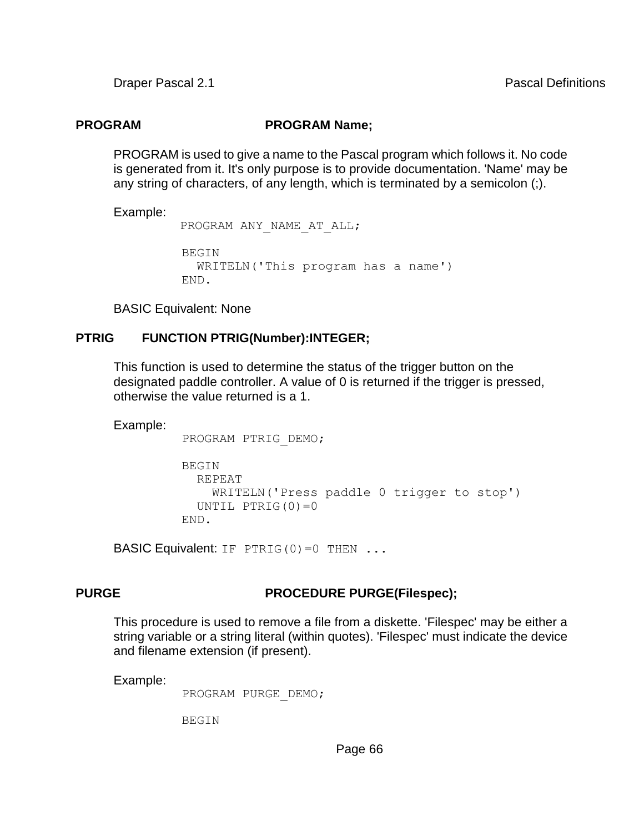### **PROGRAM PROGRAM Name;**

PROGRAM is used to give a name to the Pascal program which follows it. No code is generated from it. It's only purpose is to provide documentation. 'Name' may be any string of characters, of any length, which is terminated by a semicolon (;).

Example:

PROGRAM ANY NAME AT ALL;

```
 BEGIN 
   WRITELN('This program has a name') 
 END.
```
BASIC Equivalent: None

#### **PTRIG FUNCTION PTRIG(Number):INTEGER;**

This function is used to determine the status of the trigger button on the designated paddle controller. A value of 0 is returned if the trigger is pressed, otherwise the value returned is a 1.

Example:

PROGRAM PTRIG\_DEMO;

```
 BEGIN 
   REPEAT 
     WRITELN('Press paddle 0 trigger to stop') 
  UNTIL PTRIG(0)=0 END.
```
**BASIC Equivalent:** IF PTRIG(0)=0 THEN  $\ldots$ 

### **PURGE PURGE PROCEDURE PURGE(Filespec);**

This procedure is used to remove a file from a diskette. 'Filespec' may be either a string variable or a string literal (within quotes). 'Filespec' must indicate the device and filename extension (if present).

Example:

PROGRAM PURGE\_DEMO;

BEGIN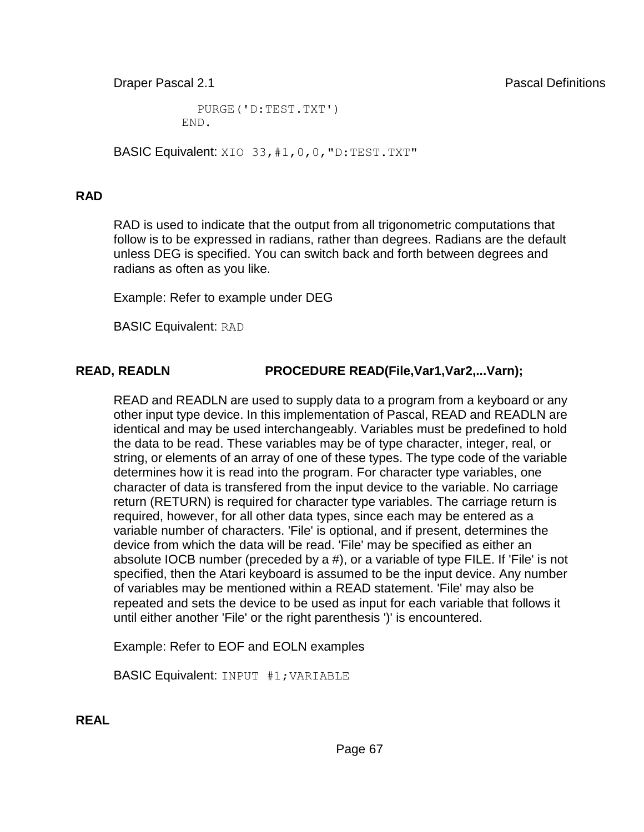PURGE('D:TEST.TXT') END.

BASIC Equivalent: XIO 33, #1, 0, 0, "D: TEST. TXT"

### **RAD**

RAD is used to indicate that the output from all trigonometric computations that follow is to be expressed in radians, rather than degrees. Radians are the default unless DEG is specified. You can switch back and forth between degrees and radians as often as you like.

Example: Refer to example under DEG

BASIC Equivalent: RAD

# **READ, READLN PROCEDURE READ(File,Var1,Var2,...Varn);**

READ and READLN are used to supply data to a program from a keyboard or any other input type device. In this implementation of Pascal, READ and READLN are identical and may be used interchangeably. Variables must be predefined to hold the data to be read. These variables may be of type character, integer, real, or string, or elements of an array of one of these types. The type code of the variable determines how it is read into the program. For character type variables, one character of data is transfered from the input device to the variable. No carriage return (RETURN) is required for character type variables. The carriage return is required, however, for all other data types, since each may be entered as a variable number of characters. 'File' is optional, and if present, determines the device from which the data will be read. 'File' may be specified as either an absolute IOCB number (preceded by a #), or a variable of type FILE. If 'File' is not specified, then the Atari keyboard is assumed to be the input device. Any number of variables may be mentioned within a READ statement. 'File' may also be repeated and sets the device to be used as input for each variable that follows it until either another 'File' or the right parenthesis ')' is encountered.

Example: Refer to EOF and EOLN examples

BASIC Equivalent: INPUT #1;VARIABLE

**REAL**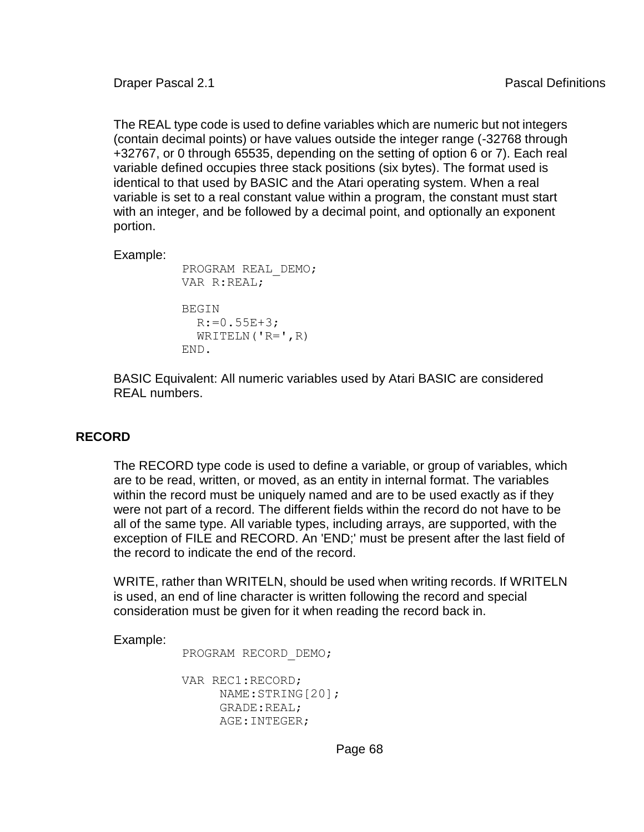The REAL type code is used to define variables which are numeric but not integers (contain decimal points) or have values outside the integer range (-32768 through +32767, or 0 through 65535, depending on the setting of option 6 or 7). Each real variable defined occupies three stack positions (six bytes). The format used is identical to that used by BASIC and the Atari operating system. When a real variable is set to a real constant value within a program, the constant must start with an integer, and be followed by a decimal point, and optionally an exponent portion.

Example:

```
 PROGRAM REAL_DEMO; 
 VAR R:REAL; 
 BEGIN 
  R:=0.55E+3;WRITELN(VR=V,R) END.
```
BASIC Equivalent: All numeric variables used by Atari BASIC are considered REAL numbers.

#### **RECORD**

The RECORD type code is used to define a variable, or group of variables, which are to be read, written, or moved, as an entity in internal format. The variables within the record must be uniquely named and are to be used exactly as if they were not part of a record. The different fields within the record do not have to be all of the same type. All variable types, including arrays, are supported, with the exception of FILE and RECORD. An 'END;' must be present after the last field of the record to indicate the end of the record.

WRITE, rather than WRITELN, should be used when writing records. If WRITELN is used, an end of line character is written following the record and special consideration must be given for it when reading the record back in.

Example:

PROGRAM RECORD\_DEMO;

```
 VAR REC1:RECORD; 
      NAME:STRING[20]; 
      GRADE:REAL; 
      AGE:INTEGER;
```
Page 68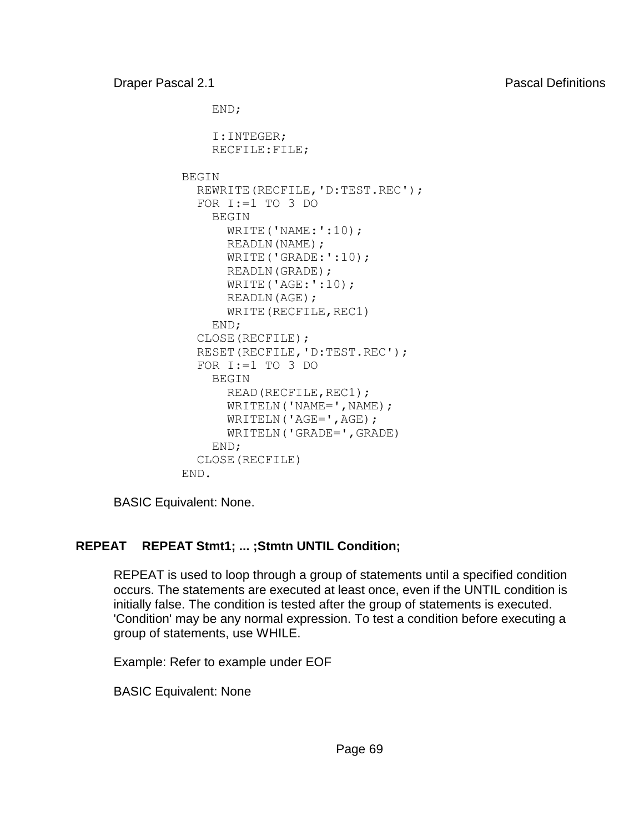```
 END; 
     I:INTEGER; 
     RECFILE:FILE; 
 BEGIN 
   REWRITE(RECFILE,'D:TEST.REC'); 
  FOR I:=1 TO 3 DO
     BEGIN 
      WRITE('NAME:':10);
       READLN(NAME); 
       WRITE('GRADE:':10); 
       READLN(GRADE); 
       WRITE('AGE:':10); 
       READLN(AGE); 
      WRITE (RECFILE, REC1)
     END; 
   CLOSE(RECFILE); 
   RESET(RECFILE,'D:TEST.REC'); 
   FOR I:=1 TO 3 DO 
     BEGIN 
       READ(RECFILE,REC1); 
      WRITELN('NAME=',NAME);
      WRITELN('AGE=',AGE);
       WRITELN('GRADE=',GRADE) 
     END; 
   CLOSE(RECFILE) 
 END.
```
BASIC Equivalent: None.

# **REPEAT REPEAT Stmt1; ... ;Stmtn UNTIL Condition;**

REPEAT is used to loop through a group of statements until a specified condition occurs. The statements are executed at least once, even if the UNTIL condition is initially false. The condition is tested after the group of statements is executed. 'Condition' may be any normal expression. To test a condition before executing a group of statements, use WHILE.

Example: Refer to example under EOF

BASIC Equivalent: None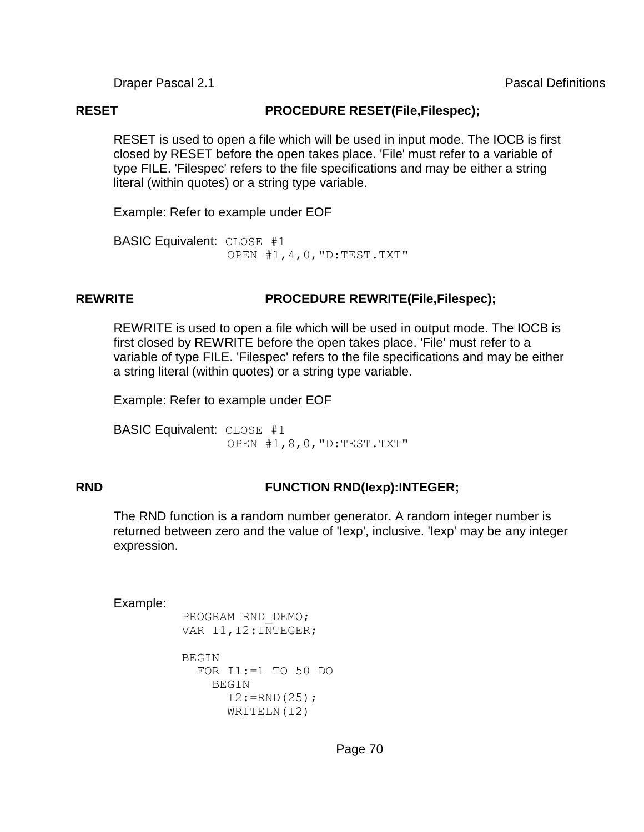#### **RESET PROCEDURE RESET(File,Filespec);**

RESET is used to open a file which will be used in input mode. The IOCB is first closed by RESET before the open takes place. 'File' must refer to a variable of type FILE. 'Filespec' refers to the file specifications and may be either a string literal (within quotes) or a string type variable.

Example: Refer to example under EOF

BASIC Equivalent: CLOSE #1 OPEN #1,4,0,"D:TEST.TXT"

## **REWRITE PROCEDURE REWRITE(File,Filespec);**

REWRITE is used to open a file which will be used in output mode. The IOCB is first closed by REWRITE before the open takes place. 'File' must refer to a variable of type FILE. 'Filespec' refers to the file specifications and may be either a string literal (within quotes) or a string type variable.

Example: Refer to example under EOF

BASIC Equivalent: CLOSE #1 OPEN #1,8,0,"D:TEST.TXT"

### **RND FUNCTION RND(Iexp):INTEGER;**

The RND function is a random number generator. A random integer number is returned between zero and the value of 'Iexp', inclusive. 'Iexp' may be any integer expression.

```
 PROGRAM RND_DEMO; 
VAR I1, I2: INTEGER;
```

```
BEGIN
   FOR I1:=1 TO 50 DO 
     BEGIN 
      I2:=RND(25); WRITELN(I2)
```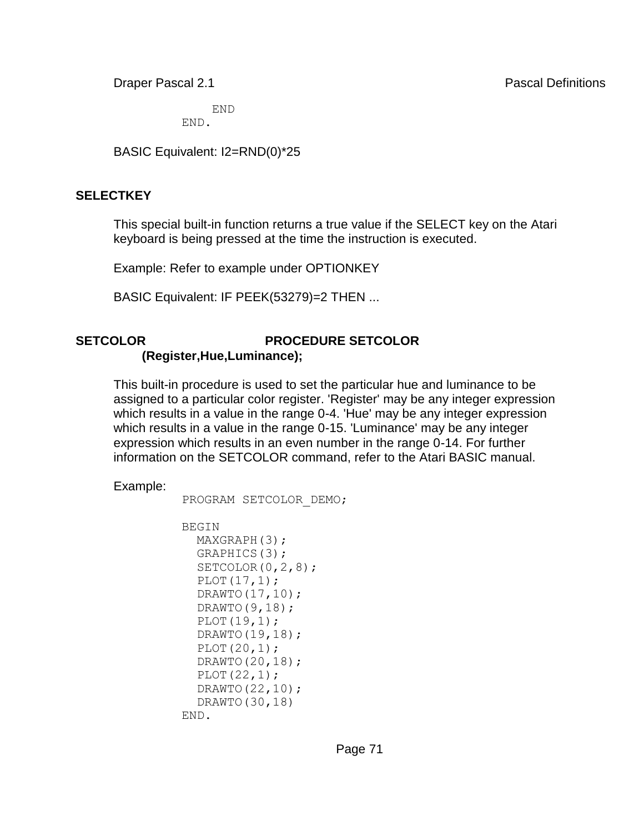END END.

BASIC Equivalent: I2=RND(0)\*25

### **SELECTKEY**

This special built-in function returns a true value if the SELECT key on the Atari keyboard is being pressed at the time the instruction is executed.

Example: Refer to example under OPTIONKEY

BASIC Equivalent: IF PEEK(53279)=2 THEN ...

#### **SETCOLOR PROCEDURE SETCOLOR (Register,Hue,Luminance);**

This built-in procedure is used to set the particular hue and luminance to be assigned to a particular color register. 'Register' may be any integer expression which results in a value in the range 0-4. 'Hue' may be any integer expression which results in a value in the range 0-15. 'Luminance' may be any integer expression which results in an even number in the range 0-14. For further information on the SETCOLOR command, refer to the Atari BASIC manual.

Example:

```
 PROGRAM SETCOLOR_DEMO; 
 BEGIN 
  MAXGRAPH(3); 
   GRAPHICS(3); 
  SETCOLOR(0, 2, 8);
  PLOT(17,1); DRAWTO(17,10); 
   DRAWTO(9,18); 
   PLOT(19,1);
```
 DRAWTO(19,18); PLOT(20,1); DRAWTO(20,18); PLOT(22,1);

END.

```
 DRAWTO(22,10); 
 DRAWTO(30,18)
```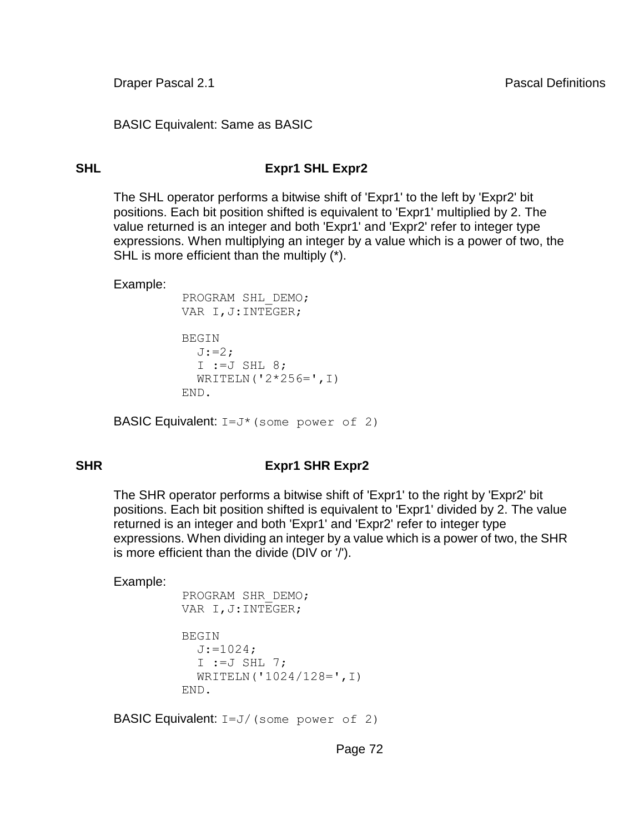BASIC Equivalent: Same as BASIC

# **SHL Expr1 SHL Expr2**

The SHL operator performs a bitwise shift of 'Expr1' to the left by 'Expr2' bit positions. Each bit position shifted is equivalent to 'Expr1' multiplied by 2. The value returned is an integer and both 'Expr1' and 'Expr2' refer to integer type expressions. When multiplying an integer by a value which is a power of two, the SHL is more efficient than the multiply (\*).

Example:

```
 PROGRAM SHL_DEMO; 
 VAR I,J:INTEGER;
```

```
 BEGIN 
  J:=2;I := J SHL 8;
  WRITELN('2*256=', I) END.
```
**BASIC Equivalent:**  $I=J*$  (some power of 2)

# **SHR Expr1 SHR Expr2**

The SHR operator performs a bitwise shift of 'Expr1' to the right by 'Expr2' bit positions. Each bit position shifted is equivalent to 'Expr1' divided by 2. The value returned is an integer and both 'Expr1' and 'Expr2' refer to integer type expressions. When dividing an integer by a value which is a power of two, the SHR is more efficient than the divide (DIV or '/').

Example:

```
 PROGRAM SHR_DEMO; 
 VAR I,J:INTEGER; 
 BEGIN 
 J:=1024;I :=J SHL 7;
   WRITELN('1024/128=',I) 
 END.
```
BASIC Equivalent: I=J/(some power of 2)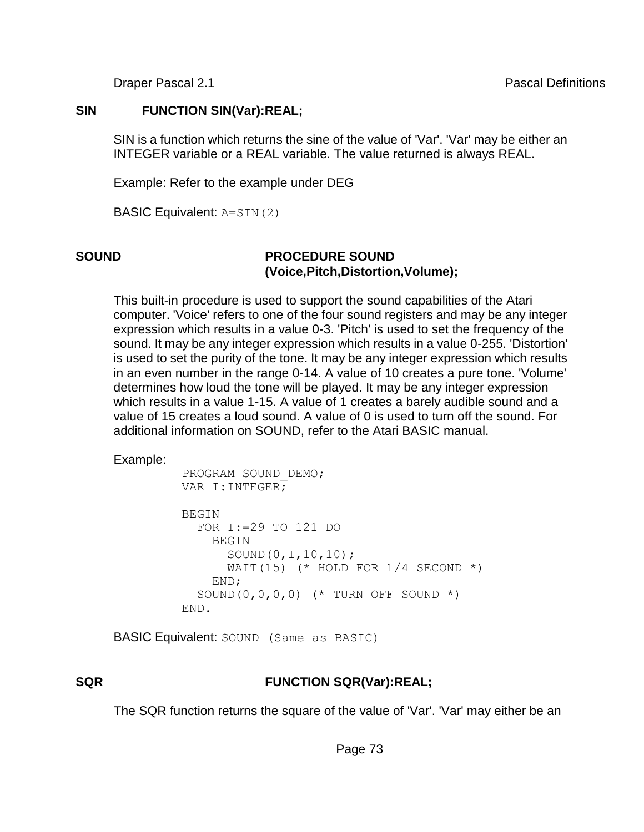### **SIN FUNCTION SIN(Var):REAL;**

SIN is a function which returns the sine of the value of 'Var'. 'Var' may be either an INTEGER variable or a REAL variable. The value returned is always REAL.

Example: Refer to the example under DEG

BASIC Equivalent: A=SIN(2)

### **SOUND PROCEDURE SOUND (Voice,Pitch,Distortion,Volume);**

This built-in procedure is used to support the sound capabilities of the Atari computer. 'Voice' refers to one of the four sound registers and may be any integer expression which results in a value 0-3. 'Pitch' is used to set the frequency of the sound. It may be any integer expression which results in a value 0-255. 'Distortion' is used to set the purity of the tone. It may be any integer expression which results in an even number in the range 0-14. A value of 10 creates a pure tone. 'Volume' determines how loud the tone will be played. It may be any integer expression which results in a value 1-15. A value of 1 creates a barely audible sound and a value of 15 creates a loud sound. A value of 0 is used to turn off the sound. For additional information on SOUND, refer to the Atari BASIC manual.

Example:

```
 PROGRAM SOUND_DEMO; 
 VAR I:INTEGER; 
BEGIN
   FOR I:=29 TO 121 DO 
     BEGIN 
        SOUND(0,I,10,10); 
      WAIT(15) (* HOLD FOR 1/4 SECOND *)
     END; 
  SOUND(0, 0, 0, 0) (* TURN OFF SOUND *)
 END.
```
BASIC Equivalent: SOUND (Same as BASIC)

### **SQR FUNCTION SQR(Var):REAL;**

The SQR function returns the square of the value of 'Var'. 'Var' may either be an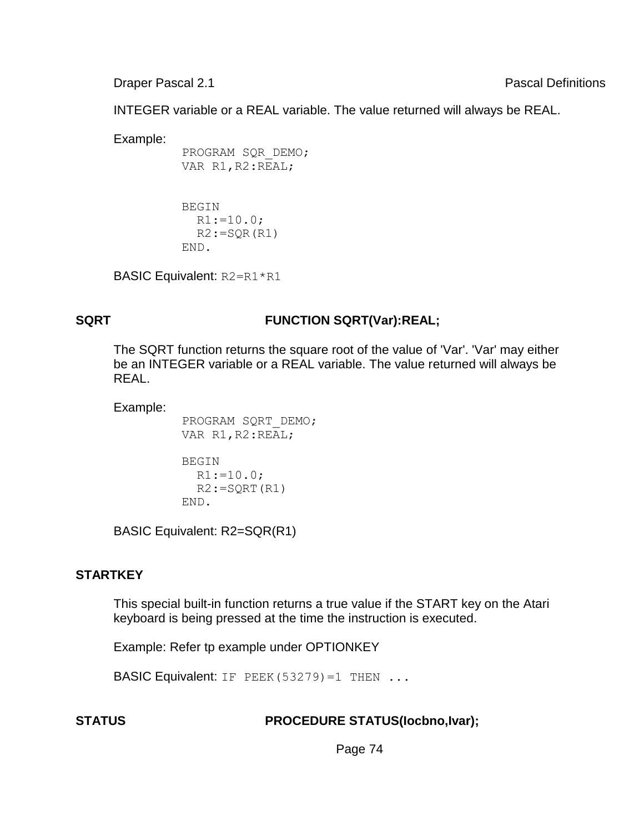INTEGER variable or a REAL variable. The value returned will always be REAL.

Example:

```
 PROGRAM SQR_DEMO; 
VAR R1, R2:REAL;
```

```
 BEGIN 
   R1:=10.0; 
  R2:=SQR(R1)
 END.
```
BASIC Equivalent: R2=R1\*R1

# **SQRT FUNCTION SQRT(Var):REAL;**

The SQRT function returns the square root of the value of 'Var'. 'Var' may either be an INTEGER variable or a REAL variable. The value returned will always be REAL.

Example:

```
 PROGRAM SQRT_DEMO; 
VAR R1, R2:REAL;
 BEGIN 
 R1:=10.0;R2:=SQRT(R1) END.
```
BASIC Equivalent: R2=SQR(R1)

### **STARTKEY**

This special built-in function returns a true value if the START key on the Atari keyboard is being pressed at the time the instruction is executed.

Example: Refer tp example under OPTIONKEY

**BASIC Equivalent:** IF PEEK(53279)=1 THEN ...

### **STATUS PROCEDURE STATUS(Iocbno,Ivar);**

Page 74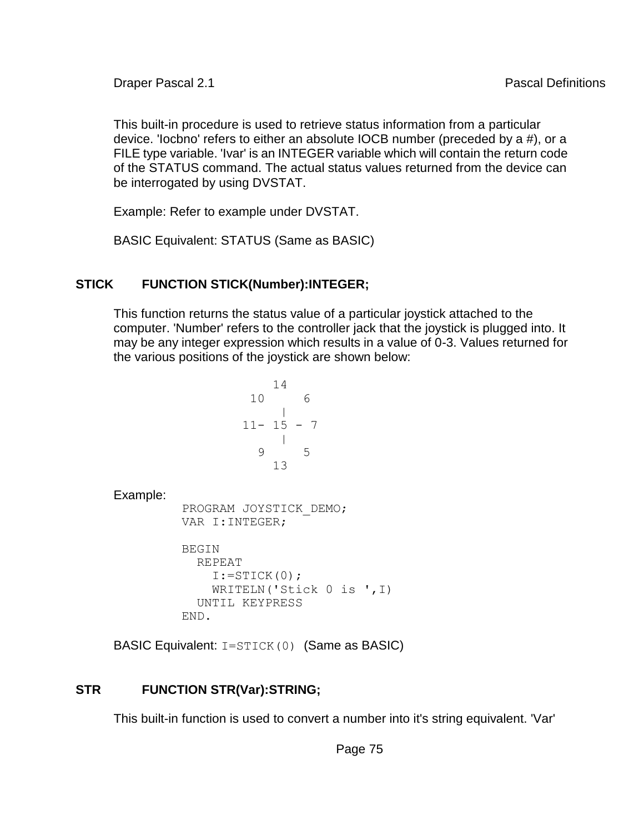This built-in procedure is used to retrieve status information from a particular device. 'Iocbno' refers to either an absolute IOCB number (preceded by a #), or a FILE type variable. 'Ivar' is an INTEGER variable which will contain the return code of the STATUS command. The actual status values returned from the device can be interrogated by using DVSTAT.

Example: Refer to example under DVSTAT.

BASIC Equivalent: STATUS (Same as BASIC)

# **STICK FUNCTION STICK(Number):INTEGER;**

This function returns the status value of a particular joystick attached to the computer. 'Number' refers to the controller jack that the joystick is plugged into. It may be any integer expression which results in a value of 0-3. Values returned for the various positions of the joystick are shown below:

```
 14 
              10 6 
 | 
            11- 15 - 7 | 
              9 5 
 13 
Example:
       PROGRAM JOYSTICK_DEMO; 
       VAR I:INTEGER; 
       BEGIN 
        REPEAT 
         I:=STICK(0); WRITELN('Stick 0 is ',I) 
        UNTIL KEYPRESS 
       END.
```
BASIC Equivalent: I=STICK(0) (Same as BASIC)

# **STR FUNCTION STR(Var):STRING;**

This built-in function is used to convert a number into it's string equivalent. 'Var'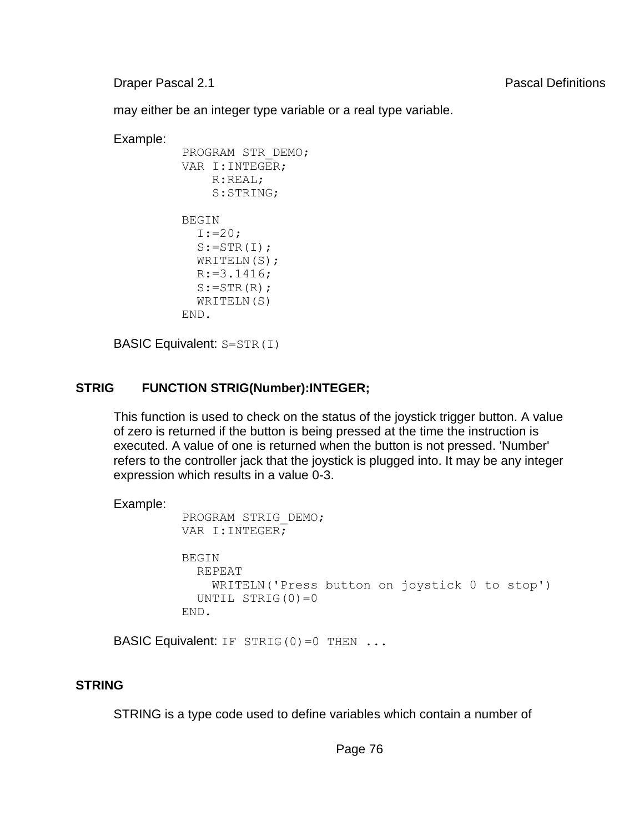**Draper Pascal 2.1** Pascal 2.1

may either be an integer type variable or a real type variable.

Example:

```
 PROGRAM STR_DEMO; 
 VAR I:INTEGER; 
     R:REAL; 
     S:STRING; 
 BEGIN 
  I := 20;S:=STR(I);WRITELN(S);
  R:=3.1416;S:=STR(R); WRITELN(S) 
 END.
```
BASIC Equivalent: S=STR(I)

### **STRIG FUNCTION STRIG(Number):INTEGER;**

This function is used to check on the status of the joystick trigger button. A value of zero is returned if the button is being pressed at the time the instruction is executed. A value of one is returned when the button is not pressed. 'Number' refers to the controller jack that the joystick is plugged into. It may be any integer expression which results in a value 0-3.

```
Example:
```

```
 PROGRAM STRIG_DEMO; 
 VAR I:INTEGER; 
 BEGIN 
   REPEAT 
     WRITELN('Press button on joystick 0 to stop') 
  UNTIL STRIG(0)=0 END.
```
**BASIC Equivalent:** IF STRIG(0)=0 THEN  $\ldots$ 

### **STRING**

STRING is a type code used to define variables which contain a number of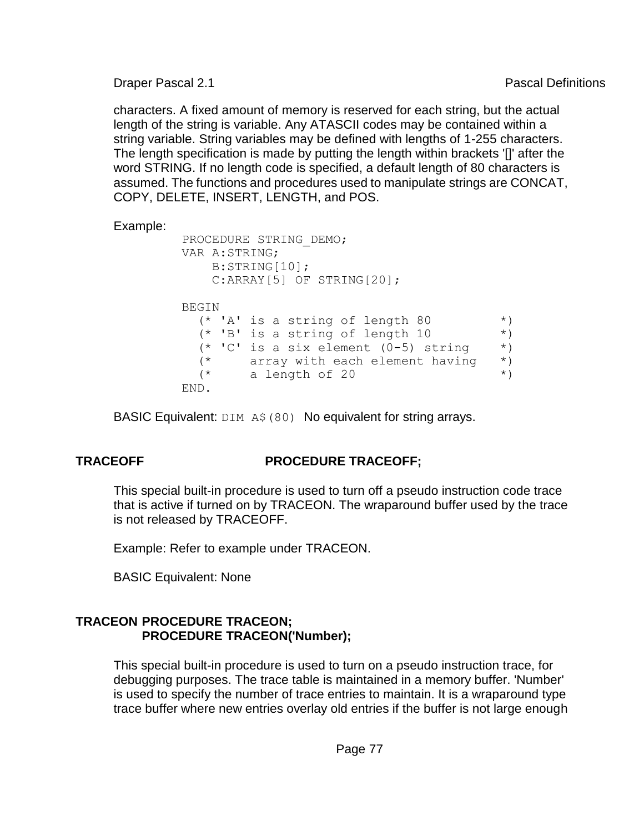characters. A fixed amount of memory is reserved for each string, but the actual length of the string is variable. Any ATASCII codes may be contained within a string variable. String variables may be defined with lengths of 1-255 characters. The length specification is made by putting the length within brackets '[]' after the word STRING. If no length code is specified, a default length of 80 characters is assumed. The functions and procedures used to manipulate strings are CONCAT, COPY, DELETE, INSERT, LENGTH, and POS.

Example:

```
 PROCEDURE STRING_DEMO; 
 VAR A:STRING; 
    B:STRING[10]; 
    C:ARRAY[5] OF STRING[20]; 
 BEGIN 
 (* 'A' is a string of length 80 *)
  (* 'B' is a string of length 10 *)
  (* 'C' is a six element (0-5) string * ) (* array with each element having *) 
  (* \t a length of 20 \t *) END.
```
BASIC Equivalent: DIM A\$ (80) No equivalent for string arrays.

# **TRACEOFF PROCEDURE TRACEOFF;**

This special built-in procedure is used to turn off a pseudo instruction code trace that is active if turned on by TRACEON. The wraparound buffer used by the trace is not released by TRACEOFF.

Example: Refer to example under TRACEON.

BASIC Equivalent: None

### **TRACEON PROCEDURE TRACEON; PROCEDURE TRACEON('Number);**

This special built-in procedure is used to turn on a pseudo instruction trace, for debugging purposes. The trace table is maintained in a memory buffer. 'Number' is used to specify the number of trace entries to maintain. It is a wraparound type trace buffer where new entries overlay old entries if the buffer is not large enough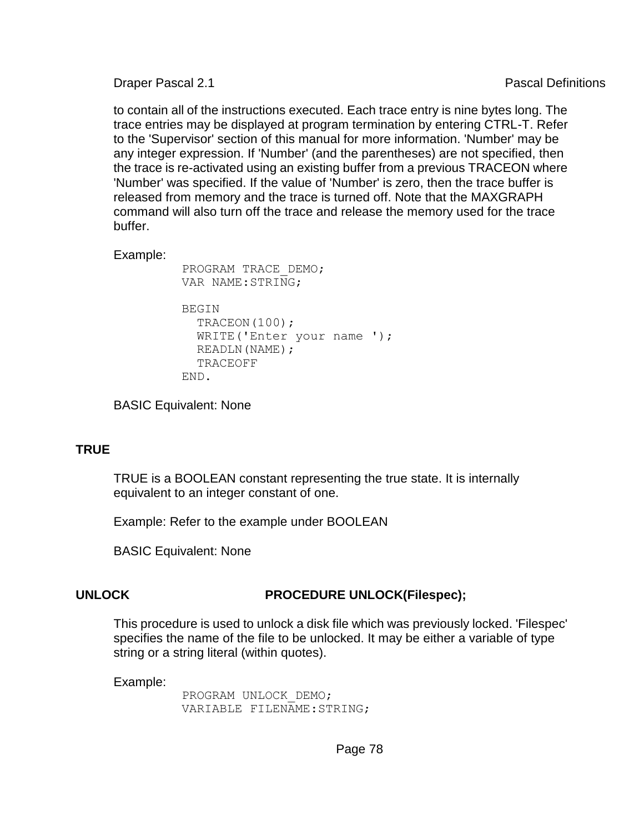to contain all of the instructions executed. Each trace entry is nine bytes long. The trace entries may be displayed at program termination by entering CTRL-T. Refer to the 'Supervisor' section of this manual for more information. 'Number' may be any integer expression. If 'Number' (and the parentheses) are not specified, then the trace is re-activated using an existing buffer from a previous TRACEON where 'Number' was specified. If the value of 'Number' is zero, then the trace buffer is released from memory and the trace is turned off. Note that the MAXGRAPH command will also turn off the trace and release the memory used for the trace buffer.

Example:

```
 PROGRAM TRACE_DEMO; 
 VAR NAME:STRING; 
BEGIN
  TRACEON(100);
   WRITE('Enter your name '); 
   READLN(NAME); 
   TRACEOFF 
 END.
```
BASIC Equivalent: None

### **TRUE**

TRUE is a BOOLEAN constant representing the true state. It is internally equivalent to an integer constant of one.

Example: Refer to the example under BOOLEAN

BASIC Equivalent: None

# **UNLOCK PROCEDURE UNLOCK(Filespec);**

This procedure is used to unlock a disk file which was previously locked. 'Filespec' specifies the name of the file to be unlocked. It may be either a variable of type string or a string literal (within quotes).

Example:

 PROGRAM UNLOCK\_DEMO; VARIABLE FILENAME:STRING;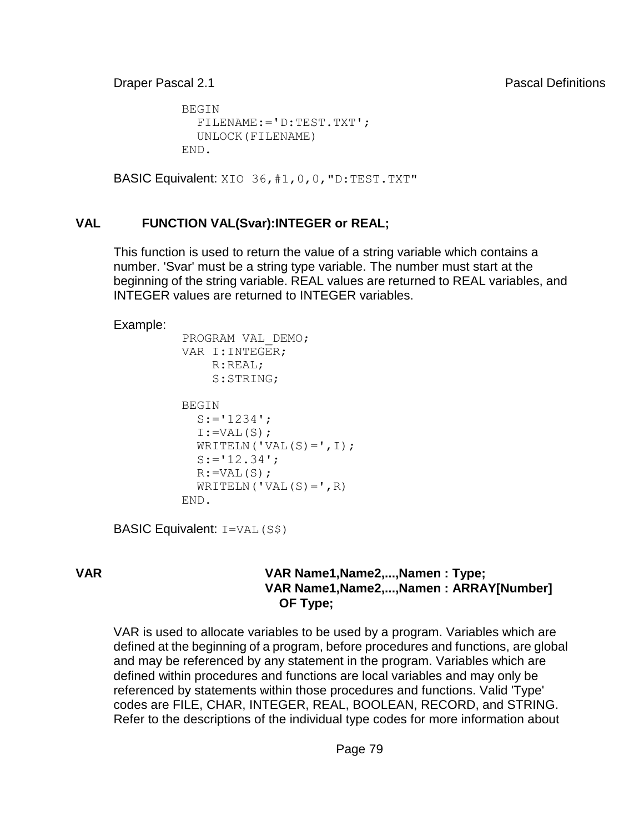```
 BEGIN 
   FILENAME:='D:TEST.TXT'; 
   UNLOCK(FILENAME) 
 END.
```
BASIC Equivalent: XIO 36, #1, 0, 0, "D: TEST. TXT"

### **VAL FUNCTION VAL(Svar):INTEGER or REAL;**

This function is used to return the value of a string variable which contains a number. 'Svar' must be a string type variable. The number must start at the beginning of the string variable. REAL values are returned to REAL variables, and INTEGER values are returned to INTEGER variables.

Example:

```
 PROGRAM VAL_DEMO; 
 VAR I:INTEGER; 
      R:REAL; 
      S:STRING; 
 BEGIN 
  S := '1234';
  I:=VAL(S);WRITELN(VAL(S) = ' , I);
  S := '12.34<sup>\prime</sup>;
  R:=VAL(S);WRITELN(VAL(S) = ', R)
 END.
```
BASIC Equivalent: I=VAL(S\$)

### **VAR VAR Name1,Name2,...,Namen : Type; VAR Name1,Name2,...,Namen : ARRAY[Number] OF Type;**

VAR is used to allocate variables to be used by a program. Variables which are defined at the beginning of a program, before procedures and functions, are global and may be referenced by any statement in the program. Variables which are defined within procedures and functions are local variables and may only be referenced by statements within those procedures and functions. Valid 'Type' codes are FILE, CHAR, INTEGER, REAL, BOOLEAN, RECORD, and STRING. Refer to the descriptions of the individual type codes for more information about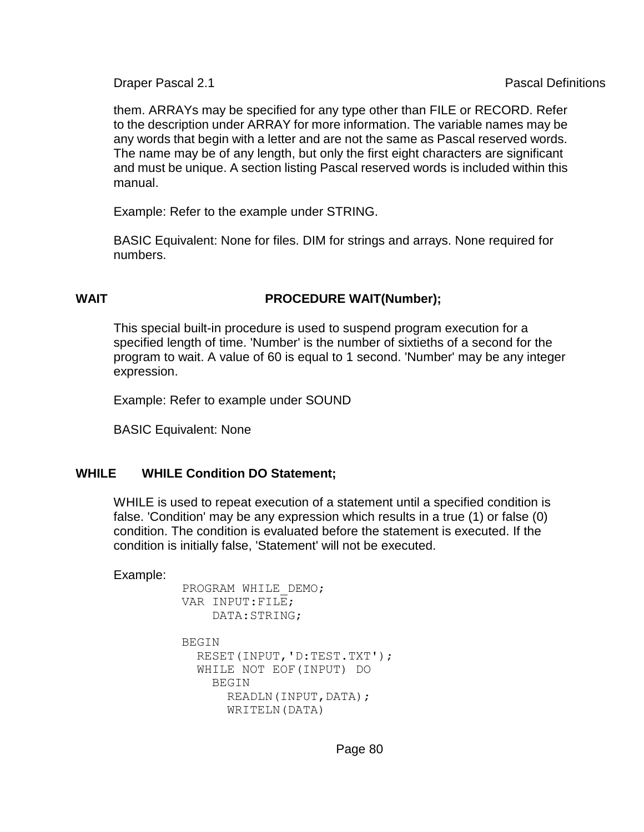them. ARRAYs may be specified for any type other than FILE or RECORD. Refer to the description under ARRAY for more information. The variable names may be any words that begin with a letter and are not the same as Pascal reserved words. The name may be of any length, but only the first eight characters are significant and must be unique. A section listing Pascal reserved words is included within this manual.

Example: Refer to the example under STRING.

BASIC Equivalent: None for files. DIM for strings and arrays. None required for numbers.

# **WAIT PROCEDURE WAIT(Number);**

This special built-in procedure is used to suspend program execution for a specified length of time. 'Number' is the number of sixtieths of a second for the program to wait. A value of 60 is equal to 1 second. 'Number' may be any integer expression.

Example: Refer to example under SOUND

BASIC Equivalent: None

### **WHILE WHILE Condition DO Statement;**

WHILE is used to repeat execution of a statement until a specified condition is false. 'Condition' may be any expression which results in a true (1) or false (0) condition. The condition is evaluated before the statement is executed. If the condition is initially false, 'Statement' will not be executed.

Example:

```
 PROGRAM WHILE_DEMO; 
 VAR INPUT:FILE; 
     DATA:STRING; 
 BEGIN 
   RESET(INPUT,'D:TEST.TXT'); 
   WHILE NOT EOF(INPUT) DO 
     BEGIN 
      READLN(INPUT, DATA);
       WRITELN(DATA)
```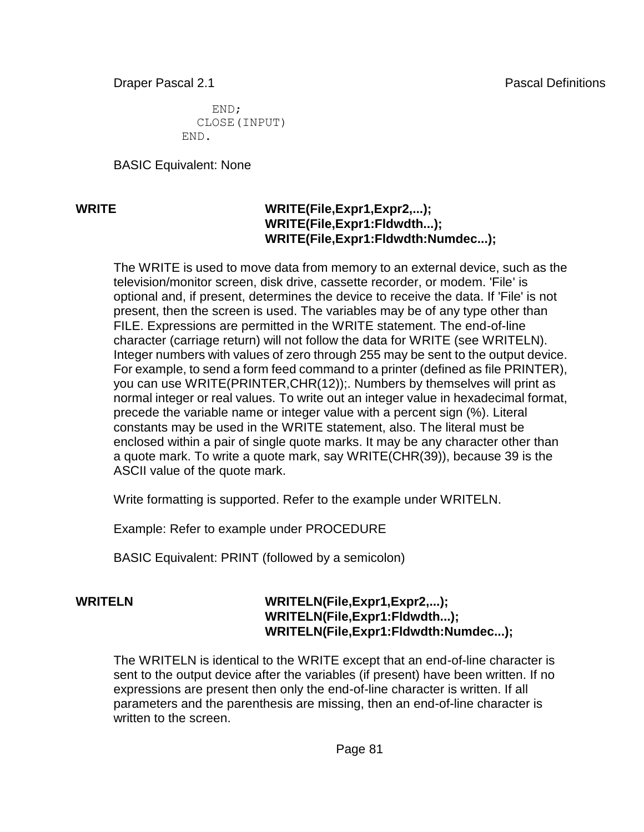END; CLOSE(INPUT) END.

BASIC Equivalent: None

### **WRITE WRITE(File,Expr1,Expr2,...)**; **WRITE(File,Expr1:Fldwdth...); WRITE(File,Expr1:Fldwdth:Numdec...);**

The WRITE is used to move data from memory to an external device, such as the television/monitor screen, disk drive, cassette recorder, or modem. 'File' is optional and, if present, determines the device to receive the data. If 'File' is not present, then the screen is used. The variables may be of any type other than FILE. Expressions are permitted in the WRITE statement. The end-of-line character (carriage return) will not follow the data for WRITE (see WRITELN). Integer numbers with values of zero through 255 may be sent to the output device. For example, to send a form feed command to a printer (defined as file PRINTER), you can use WRITE(PRINTER,CHR(12));. Numbers by themselves will print as normal integer or real values. To write out an integer value in hexadecimal format, precede the variable name or integer value with a percent sign (%). Literal constants may be used in the WRITE statement, also. The literal must be enclosed within a pair of single quote marks. It may be any character other than a quote mark. To write a quote mark, say WRITE(CHR(39)), because 39 is the ASCII value of the quote mark.

Write formatting is supported. Refer to the example under WRITELN.

Example: Refer to example under PROCEDURE

BASIC Equivalent: PRINT (followed by a semicolon)

### **WRITELN WRITELN(File,Expr1,Expr2,...); WRITELN(File,Expr1:Fldwdth...); WRITELN(File,Expr1:Fldwdth:Numdec...);**

The WRITELN is identical to the WRITE except that an end-of-line character is sent to the output device after the variables (if present) have been written. If no expressions are present then only the end-of-line character is written. If all parameters and the parenthesis are missing, then an end-of-line character is written to the screen.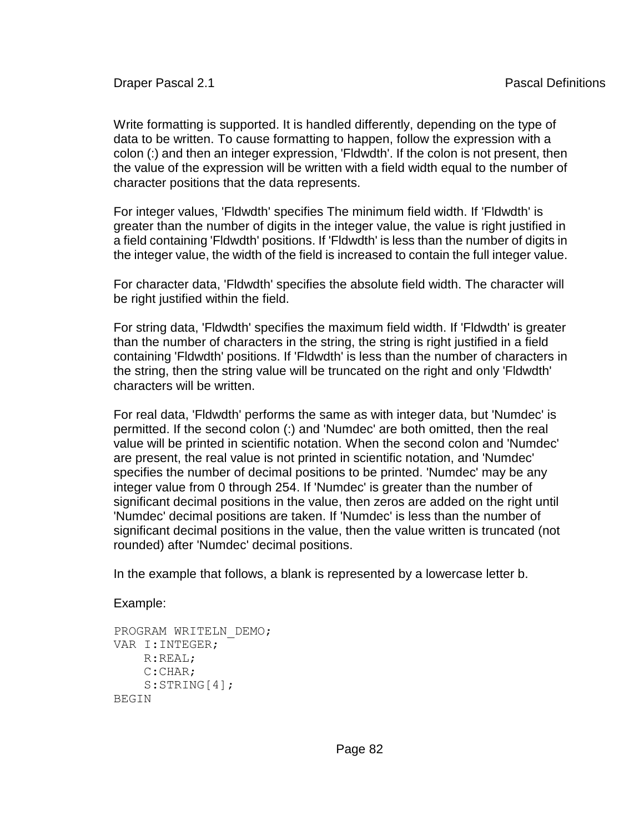Write formatting is supported. It is handled differently, depending on the type of data to be written. To cause formatting to happen, follow the expression with a colon (:) and then an integer expression, 'Fldwdth'. If the colon is not present, then the value of the expression will be written with a field width equal to the number of character positions that the data represents.

For integer values, 'Fldwdth' specifies The minimum field width. If 'Fldwdth' is greater than the number of digits in the integer value, the value is right justified in a field containing 'Fldwdth' positions. If 'Fldwdth' is less than the number of digits in the integer value, the width of the field is increased to contain the full integer value.

For character data, 'Fldwdth' specifies the absolute field width. The character will be right justified within the field.

For string data, 'Fldwdth' specifies the maximum field width. If 'Fldwdth' is greater than the number of characters in the string, the string is right justified in a field containing 'Fldwdth' positions. If 'Fldwdth' is less than the number of characters in the string, then the string value will be truncated on the right and only 'Fldwdth' characters will be written.

For real data, 'Fldwdth' performs the same as with integer data, but 'Numdec' is permitted. If the second colon (:) and 'Numdec' are both omitted, then the real value will be printed in scientific notation. When the second colon and 'Numdec' are present, the real value is not printed in scientific notation, and 'Numdec' specifies the number of decimal positions to be printed. 'Numdec' may be any integer value from 0 through 254. If 'Numdec' is greater than the number of significant decimal positions in the value, then zeros are added on the right until 'Numdec' decimal positions are taken. If 'Numdec' is less than the number of significant decimal positions in the value, then the value written is truncated (not rounded) after 'Numdec' decimal positions.

In the example that follows, a blank is represented by a lowercase letter b.

Example:

```
PROGRAM WRITELN_DEMO; 
VAR I:INTEGER; 
     R:REAL; 
     C:CHAR; 
    S:STRING[4];
BEGIN
```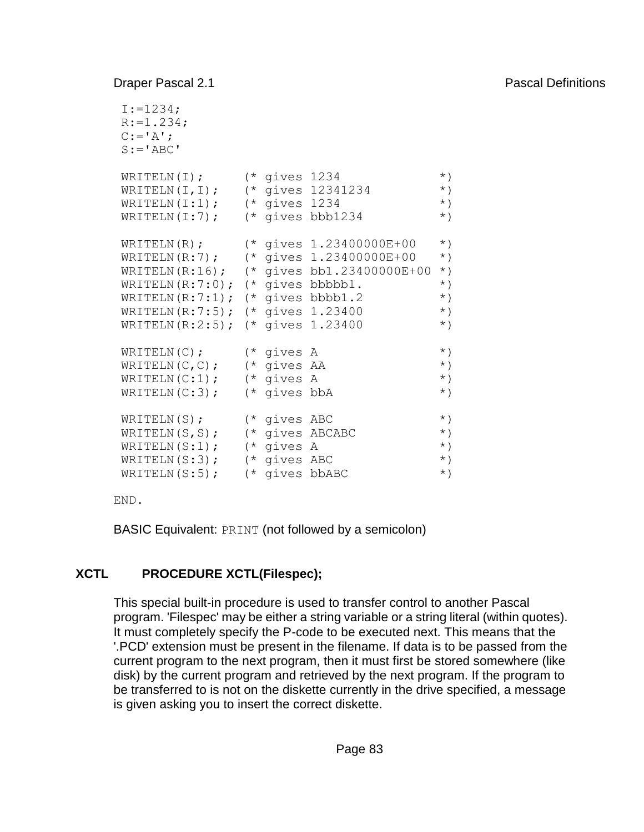```
I := 1234;R:=1.234;C := I A<sup>\cdot</sup>;
S := 'ABC'WRITELN(I); (* gives 1234 *)
WRITELN(I,I); (* gives 12341234 *) 
WRITELN(I:1); (* gives 1234 (*)WRITELN(I:7); (* gives bbb1234 (*)WRITELN(R); (* gives 1.23400000E+00 *)
\texttt{WRITELN(R:7)}; (* gives 1.23400000E+00 *)
\texttt{WRITELN(R:16)}; (* gives bb1.23400000E+00 *)
WRITELN(R:7:0); (* gives bbbbb1. *)
WRITELN(R:7:1); (* gives bbbb1.2 (*)WRITELN(R:7:5); (* gives 1.23400 *) 
WRITELN(R:2:5); (* gives 1.23400 *) 
WRITELN(C); (* gives A *)
WRITELN(C, C); (* gives AA (*)WRITELN(C:1); (* gives A (*)WRITELN(C:3); (* gives bbA (*)WRITELN(S); (* gives ABC *)
WRITELN(S,S); (* gives ABCABC *)
WRITELN(S:1); (* gives A *)
WRITELN(S:3); (* gives ABC *)
WRITELN(S:5); (* gives bbABC *)
```
END.

BASIC Equivalent: PRINT (not followed by a semicolon)

# **XCTL PROCEDURE XCTL(Filespec);**

This special built-in procedure is used to transfer control to another Pascal program. 'Filespec' may be either a string variable or a string literal (within quotes). It must completely specify the P-code to be executed next. This means that the '.PCD' extension must be present in the filename. If data is to be passed from the current program to the next program, then it must first be stored somewhere (like disk) by the current program and retrieved by the next program. If the program to be transferred to is not on the diskette currently in the drive specified, a message is given asking you to insert the correct diskette.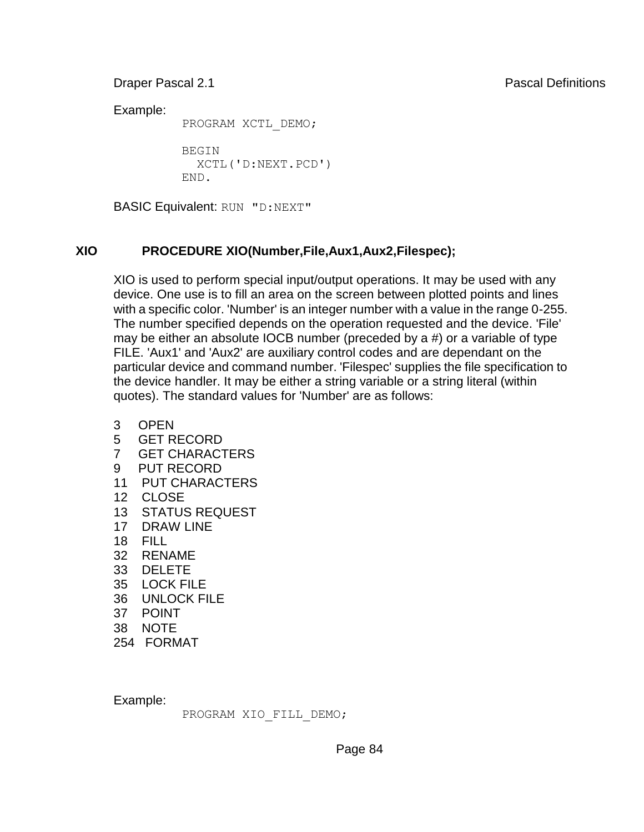Example:

PROGRAM XCTL\_DEMO;

 BEGIN XCTL('D:NEXT.PCD') END.

BASIC Equivalent: RUN "D:NEXT"

# **XIO PROCEDURE XIO(Number,File,Aux1,Aux2,Filespec);**

XIO is used to perform special input/output operations. It may be used with any device. One use is to fill an area on the screen between plotted points and lines with a specific color. 'Number' is an integer number with a value in the range 0-255. The number specified depends on the operation requested and the device. 'File' may be either an absolute IOCB number (preceded by a #) or a variable of type FILE. 'Aux1' and 'Aux2' are auxiliary control codes and are dependant on the particular device and command number. 'Filespec' supplies the file specification to the device handler. It may be either a string variable or a string literal (within quotes). The standard values for 'Number' are as follows:

- 3 OPEN
- 5 GET RECORD
- 7 GET CHARACTERS
- 9 PUT RECORD
- 11 PUT CHARACTERS
- 12 CLOSE
- 13 STATUS REQUEST
- 17 DRAW LINE
- 18 FILL
- 32 RENAME
- 33 DELETE
- 35 LOCK FILE
- 36 UNLOCK FILE
- 37 POINT
- 38 NOTE
- 254 FORMAT

Example:

PROGRAM XIO\_FILL\_DEMO;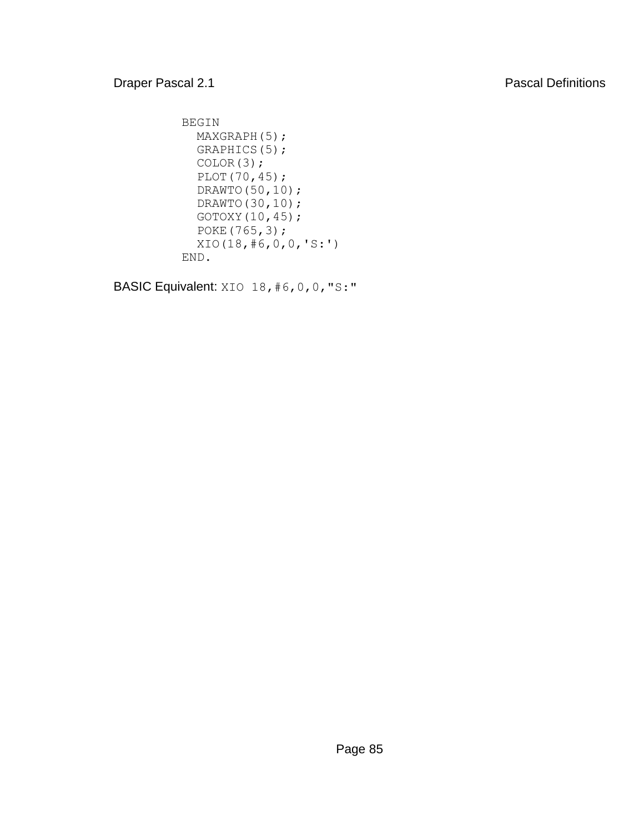```
 BEGIN 
 MAXGRAPH(5);
   GRAPHICS(5); 
   COLOR(3); 
   PLOT(70,45); 
   DRAWTO(50,10); 
   DRAWTO(30,10); 
   GOTOXY(10,45); 
   POKE(765,3); 
   XIO(18,#6,0,0,'S:') 
 END.
```
BASIC Equivalent: XIO 18, #6, 0, 0, "S:"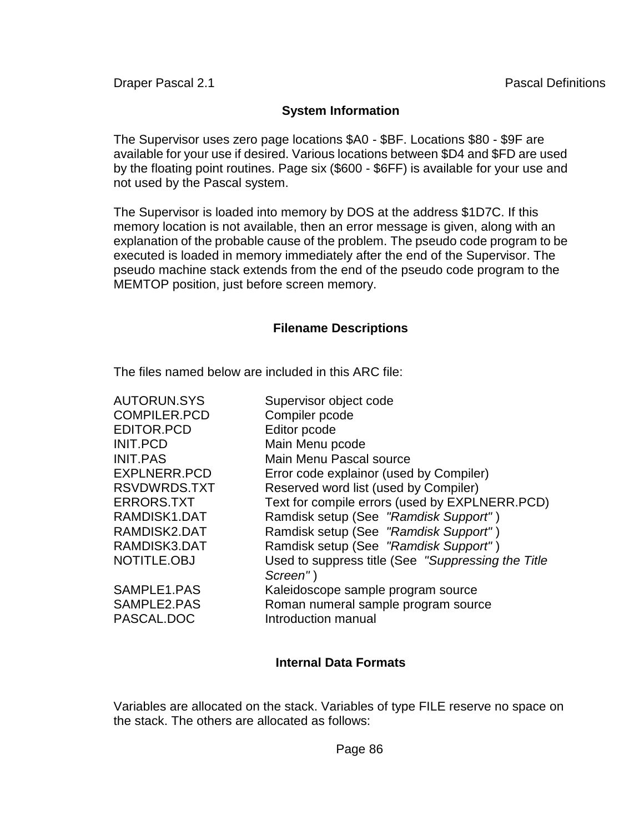### **System Information**

The Supervisor uses zero page locations \$A0 - \$BF. Locations \$80 - \$9F are available for your use if desired. Various locations between \$D4 and \$FD are used by the floating point routines. Page six (\$600 - \$6FF) is available for your use and not used by the Pascal system.

The Supervisor is loaded into memory by DOS at the address \$1D7C. If this memory location is not available, then an error message is given, along with an explanation of the probable cause of the problem. The pseudo code program to be executed is loaded in memory immediately after the end of the Supervisor. The pseudo machine stack extends from the end of the pseudo code program to the MEMTOP position, just before screen memory.

### **Filename Descriptions**

The files named below are included in this ARC file:

| <b>AUTORUN.SYS</b>                       | Supervisor object code                                                                           |
|------------------------------------------|--------------------------------------------------------------------------------------------------|
| <b>COMPILER.PCD</b>                      | Compiler pcode                                                                                   |
| <b>EDITOR.PCD</b>                        | Editor pcode                                                                                     |
| <b>INIT.PCD</b>                          | Main Menu pcode                                                                                  |
| <b>INIT.PAS</b>                          | Main Menu Pascal source                                                                          |
| EXPLNERR.PCD                             | Error code explainor (used by Compiler)                                                          |
| RSVDWRDS.TXT                             | Reserved word list (used by Compiler)                                                            |
| <b>ERRORS.TXT</b>                        | Text for compile errors (used by EXPLNERR.PCD)                                                   |
| RAMDISK1.DAT                             | Ramdisk setup (See "Ramdisk Support")                                                            |
| RAMDISK2.DAT                             | Ramdisk setup (See "Ramdisk Support")                                                            |
| RAMDISK3.DAT                             | Ramdisk setup (See "Ramdisk Support")                                                            |
| NOTITLE.OBJ                              | Used to suppress title (See "Suppressing the Title<br>Screen")                                   |
| SAMPLE1.PAS<br>SAMPLE2.PAS<br>PASCAL.DOC | Kaleidoscope sample program source<br>Roman numeral sample program source<br>Introduction manual |

### **Internal Data Formats**

Variables are allocated on the stack. Variables of type FILE reserve no space on the stack. The others are allocated as follows: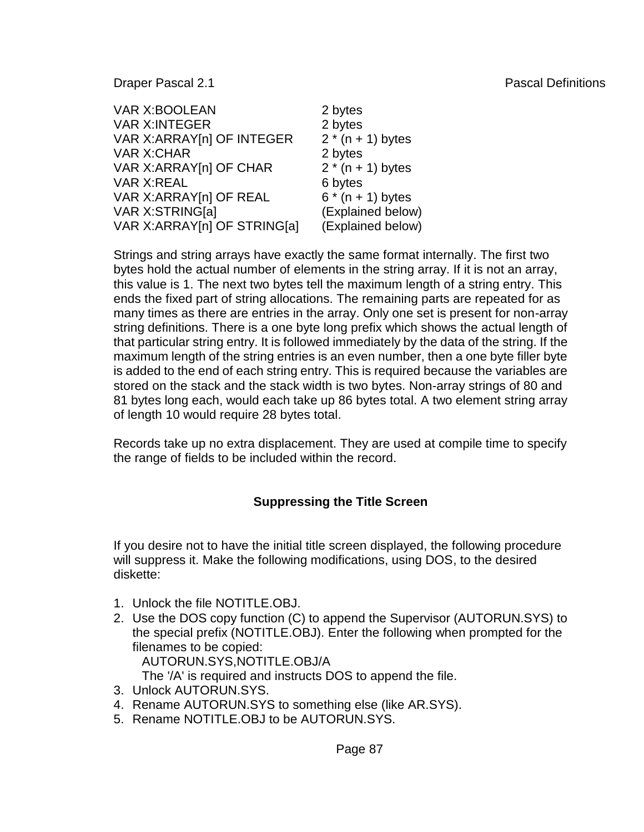| <b>VAR X:BOOLEAN</b>        | 2 bytes             |
|-----------------------------|---------------------|
| <b>VAR X:INTEGER</b>        | 2 bytes             |
| VAR X: ARRAY [n] OF INTEGER | $2 * (n + 1)$ bytes |
| <b>VAR X:CHAR</b>           | 2 bytes             |
| VAR X: ARRAY [n] OF CHAR    | $2 * (n + 1)$ bytes |
| <b>VAR X:REAL</b>           | 6 bytes             |
| VAR X: ARRAY [n] OF REAL    | $6 * (n + 1)$ bytes |
| VAR X:STRING[a]             | (Explained below)   |
| VAR X:ARRAY[n] OF STRING[a] | (Explained below)   |

Strings and string arrays have exactly the same format internally. The first two bytes hold the actual number of elements in the string array. If it is not an array, this value is 1. The next two bytes tell the maximum length of a string entry. This ends the fixed part of string allocations. The remaining parts are repeated for as many times as there are entries in the array. Only one set is present for non-array string definitions. There is a one byte long prefix which shows the actual length of that particular string entry. It is followed immediately by the data of the string. If the maximum length of the string entries is an even number, then a one byte filler byte is added to the end of each string entry. This is required because the variables are stored on the stack and the stack width is two bytes. Non-array strings of 80 and 81 bytes long each, would each take up 86 bytes total. A two element string array of length 10 would require 28 bytes total.

Records take up no extra displacement. They are used at compile time to specify the range of fields to be included within the record.

### **Suppressing the Title Screen**

If you desire not to have the initial title screen displayed, the following procedure will suppress it. Make the following modifications, using DOS, to the desired diskette:

- 1. Unlock the file NOTITLE OBJ.
- 2. Use the DOS copy function (C) to append the Supervisor (AUTORUN.SYS) to the special prefix (NOTITLE.OBJ). Enter the following when prompted for the filenames to be copied:

AUTORUN.SYS,NOTITLE.OBJ/A

The '/A' is required and instructs DOS to append the file.

- 3. Unlock AUTORUN.SYS.
- 4. Rename AUTORUN.SYS to something else (like AR.SYS).
- 5. Rename NOTITLE.OBJ to be AUTORUN.SYS.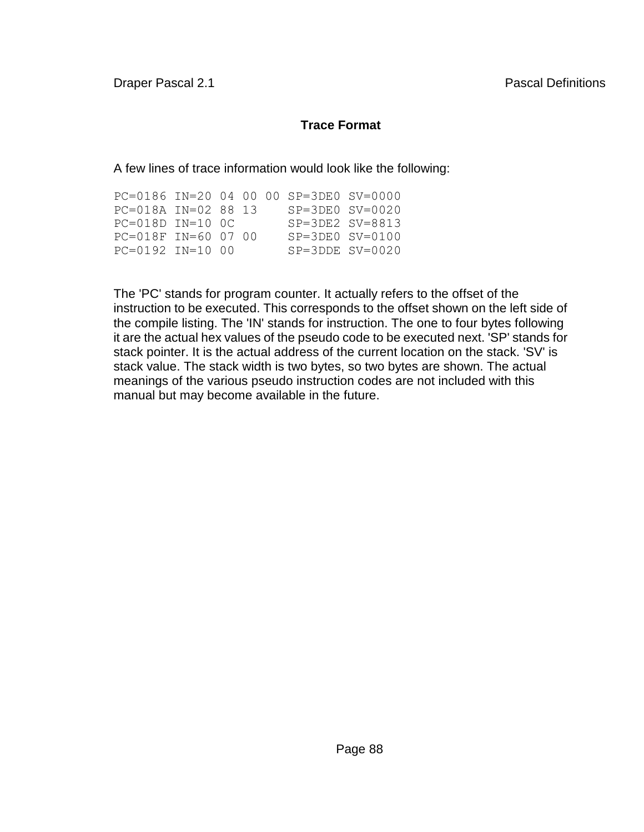# **Trace Format**

A few lines of trace information would look like the following:

|                        |  |  | PC=0186 IN=20 04 00 00 SP=3DE0 SV=0000 |  |
|------------------------|--|--|----------------------------------------|--|
| $PC=018A$ $IN=028813$  |  |  | $SP = 3DF0$ $SV = 0020$                |  |
| $PC=018D$ $IN=10$ $OC$ |  |  | $SP = 3DE2$ $SV = 8813$                |  |
| $PC=018F$ TN=60 07 00  |  |  | $SP = 3D E0$ $SV = 0100$               |  |
| $PC=0192$ TN=10 00     |  |  | $SP = 3DDF$ $SV = 0020$                |  |

The 'PC' stands for program counter. It actually refers to the offset of the instruction to be executed. This corresponds to the offset shown on the left side of the compile listing. The 'IN' stands for instruction. The one to four bytes following it are the actual hex values of the pseudo code to be executed next. 'SP' stands for stack pointer. It is the actual address of the current location on the stack. 'SV' is stack value. The stack width is two bytes, so two bytes are shown. The actual meanings of the various pseudo instruction codes are not included with this manual but may become available in the future.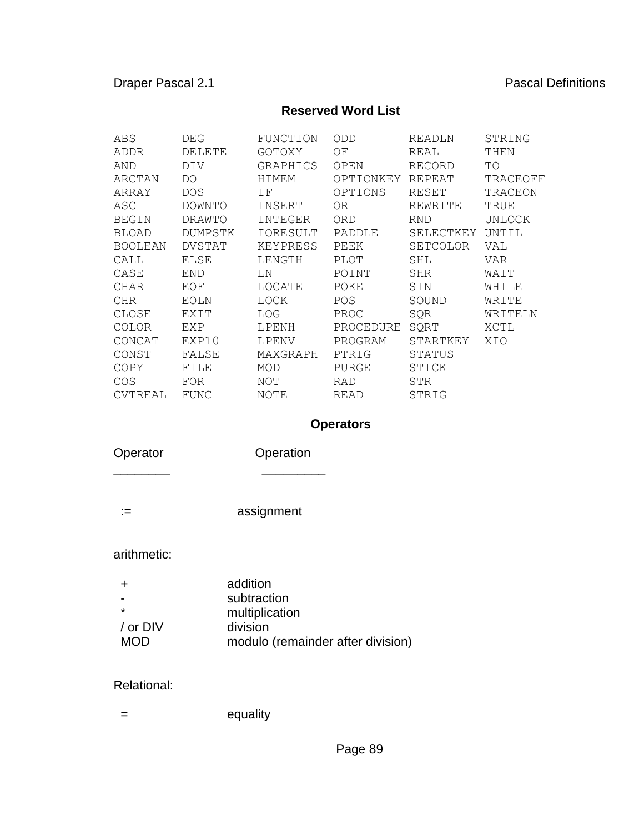### **Reserved Word List**

| ABS            | DEG           | FUNCTION | ODD         | READLN     | STRING   |
|----------------|---------------|----------|-------------|------------|----------|
| ADDR           | DELETE        | GOTOXY   | ΟF          | REAL       | THEN     |
| AND            | DIV           | GRAPHICS | OPEN        | RECORD     | TO       |
| ARCTAN         | DO            | HIMEM    | OPTIONKEY   | REPEAT     | TRACEOFF |
| ARRAY          | <b>DOS</b>    | ΙF       | OPTIONS     | RESET      | TRACEON  |
| ASC            | DOWNTO        | INSERT   | 0R          | REWRITE    | TRUE     |
| <b>BEGIN</b>   | DRAWTO        | INTEGER  | ORD         | <b>RND</b> | UNLOCK   |
| <b>BLOAD</b>   | DUMPSTK       | IORESULT | PADDLE      | SELECTKEY  | UNTIL    |
| <b>BOOLEAN</b> | <b>DVSTAT</b> | KEYPRESS | PEEK        | SETCOLOR   | VAL      |
| CALL           | ELSE          | LENGTH   | PLOT        | SHL        | VAR      |
| CASE           | END           | LΝ       | POINT       | SHR        | WAIT     |
| CHAR           | EOF           | LOCATE   | POKE        | SIN        | WHILE    |
| <b>CHR</b>     | EOLN          | LOCK     | POS         | SOUND      | WRITE    |
| CLOSE          | EXIT          | LOG      | PROC        | SQR        | WRITELN  |
| COLOR          | EXP           | LPENH    | PROCEDURE   | SQRT       | XCTL     |
| CONCAT         | EXP10         | LPENV    | PROGRAM     | STARTKEY   | XIO      |
| CONST          | FALSE         | MAXGRAPH | PTRIG       | STATUS     |          |
| COPY           | FILE          | MOD      | PURGE       | STICK      |          |
| COS            | FOR           | NOT      | RAD         | STR        |          |
| CVTREAL        | FUNC          | NOTE     | <b>READ</b> | STRIG      |          |

# **Operators**

 $\frac{1}{2}$ 

Operator **Operation** 

:= assignment

arithmetic:

|            | addition                          |
|------------|-----------------------------------|
|            | subtraction                       |
| *          | multiplication                    |
| / or DIV   | division                          |
| <b>MOD</b> | modulo (remainder after division) |

Relational:

= equality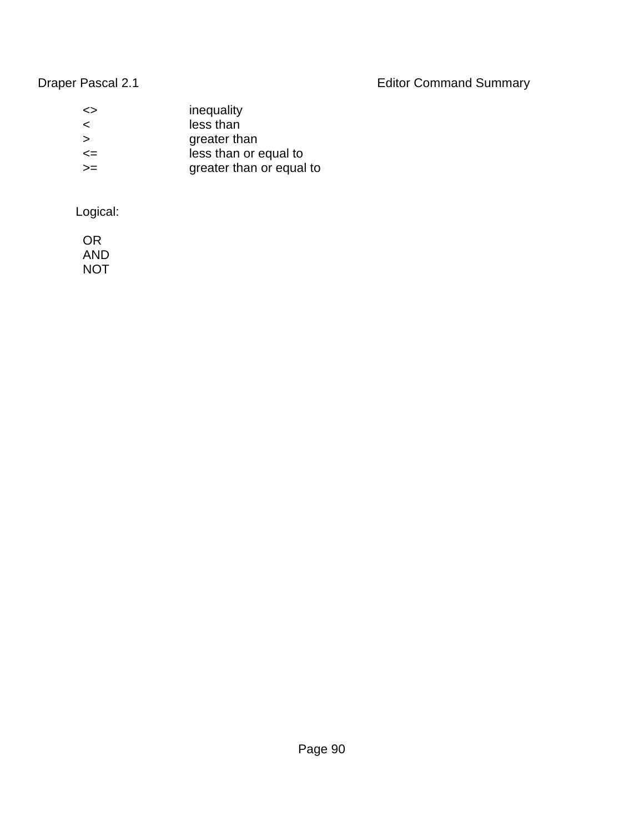Draper Pascal 2.1 **Editor Command Summary** 

| ≃>     | inequality               |
|--------|--------------------------|
| ≺      | less than                |
| ⋗      | greater than             |
| $\leq$ | less than or equal to    |
| $>=$   | greater than or equal to |
|        |                          |

Logical:

 OR AND NOT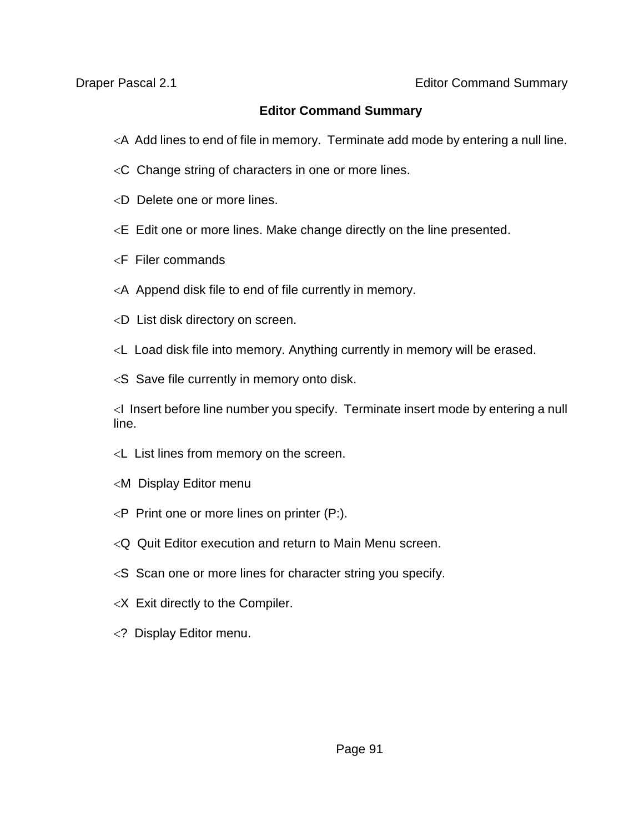### **Editor Command Summary**

- A Add lines to end of file in memory. Terminate add mode by entering a null line.
- $\leq$ C Change string of characters in one or more lines.
- D Delete one or more lines.
- $\leq$  E Edit one or more lines. Make change directly on the line presented.
- $\leq$ F Filer commands
- $\leq$  A Append disk file to end of file currently in memory.
- D List disk directory on screen.
- L Load disk file into memory. Anything currently in memory will be erased.
- $<$ S Save file currently in memory onto disk.

 $\leq$  Insert before line number you specify. Terminate insert mode by entering a null line.

- $\lt L$  List lines from memory on the screen.
- M Display Editor menu
- $\langle P \rangle$  Print one or more lines on printer (P:).
- Q Quit Editor execution and return to Main Menu screen.
- $\leq$ S Scan one or more lines for character string you specify.
- $\langle X \rangle$  Exit directly to the Compiler.
- ? Display Editor menu.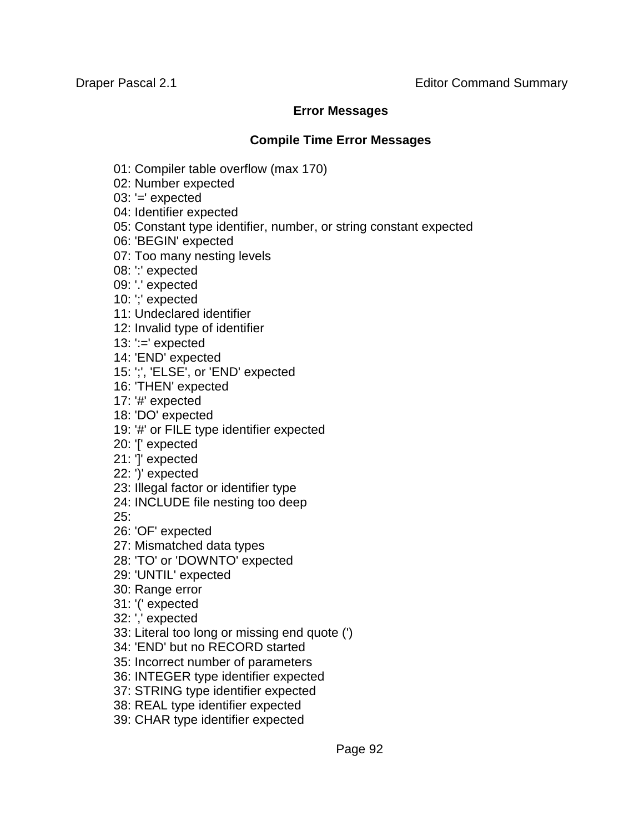### **Error Messages**

### **Compile Time Error Messages**

- 01: Compiler table overflow (max 170)
- 02: Number expected
- 03: '=' expected
- 04: Identifier expected
- 05: Constant type identifier, number, or string constant expected
- 06: 'BEGIN' expected
- 07: Too many nesting levels
- 08: ':' expected
- 09: '.' expected
- 10: ';' expected
- 11: Undeclared identifier
- 12: Invalid type of identifier
- 13:  $:=$ ' expected
- 14: 'END' expected
- 15: ';', 'ELSE', or 'END' expected
- 16: 'THEN' expected
- 17: '#' expected
- 18: 'DO' expected
- 19: '#' or FILE type identifier expected
- 20: '[' expected
- 21: ']' expected
- 22: ')' expected
- 23: Illegal factor or identifier type
- 24: INCLUDE file nesting too deep
- 25:
- 26: 'OF' expected
- 27: Mismatched data types
- 28: 'TO' or 'DOWNTO' expected
- 29: 'UNTIL' expected
- 30: Range error
- 31: '(' expected
- 32: ',' expected
- 33: Literal too long or missing end quote (')
- 34: 'END' but no RECORD started
- 35: Incorrect number of parameters
- 36: INTEGER type identifier expected
- 37: STRING type identifier expected
- 38: REAL type identifier expected
- 39: CHAR type identifier expected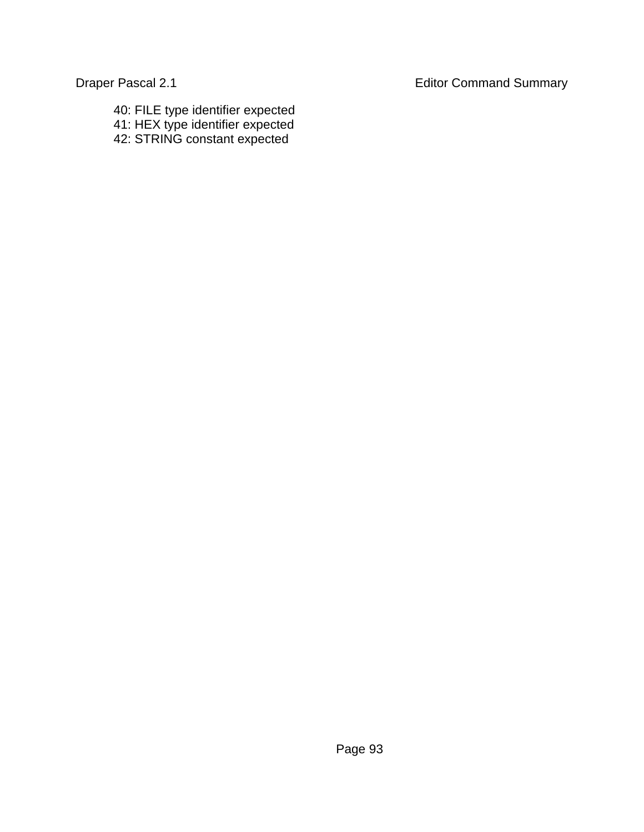- 40: FILE type identifier expected
- 41: HEX type identifier expected
- 42: STRING constant expected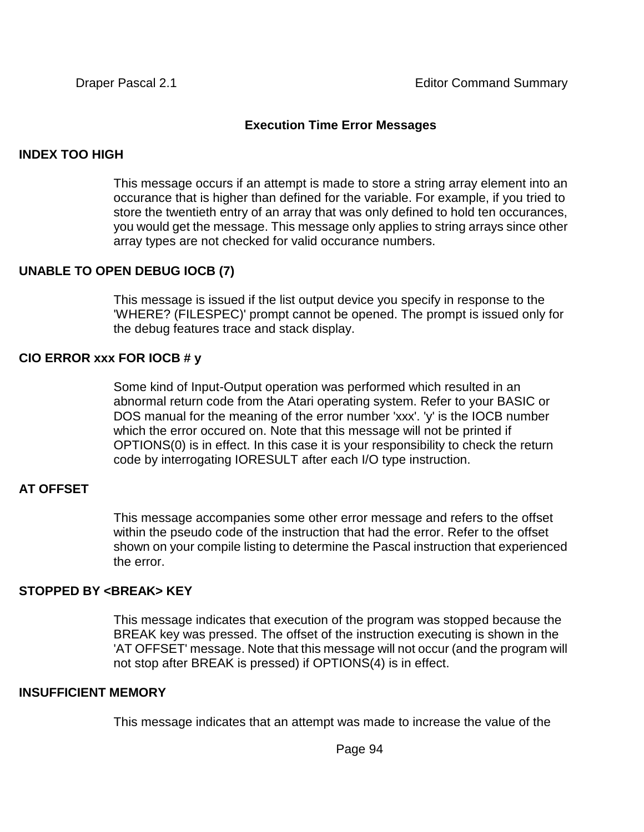### **Execution Time Error Messages**

### **INDEX TOO HIGH**

This message occurs if an attempt is made to store a string array element into an occurance that is higher than defined for the variable. For example, if you tried to store the twentieth entry of an array that was only defined to hold ten occurances, you would get the message. This message only applies to string arrays since other array types are not checked for valid occurance numbers.

### **UNABLE TO OPEN DEBUG IOCB (7)**

This message is issued if the list output device you specify in response to the 'WHERE? (FILESPEC)' prompt cannot be opened. The prompt is issued only for the debug features trace and stack display.

### **CIO ERROR xxx FOR IOCB # y**

Some kind of Input-Output operation was performed which resulted in an abnormal return code from the Atari operating system. Refer to your BASIC or DOS manual for the meaning of the error number 'xxx'. 'y' is the IOCB number which the error occured on. Note that this message will not be printed if OPTIONS(0) is in effect. In this case it is your responsibility to check the return code by interrogating IORESULT after each I/O type instruction.

### **AT OFFSET**

This message accompanies some other error message and refers to the offset within the pseudo code of the instruction that had the error. Refer to the offset shown on your compile listing to determine the Pascal instruction that experienced the error.

### **STOPPED BY <BREAK> KEY**

This message indicates that execution of the program was stopped because the BREAK key was pressed. The offset of the instruction executing is shown in the 'AT OFFSET' message. Note that this message will not occur (and the program will not stop after BREAK is pressed) if OPTIONS(4) is in effect.

### **INSUFFICIENT MEMORY**

This message indicates that an attempt was made to increase the value of the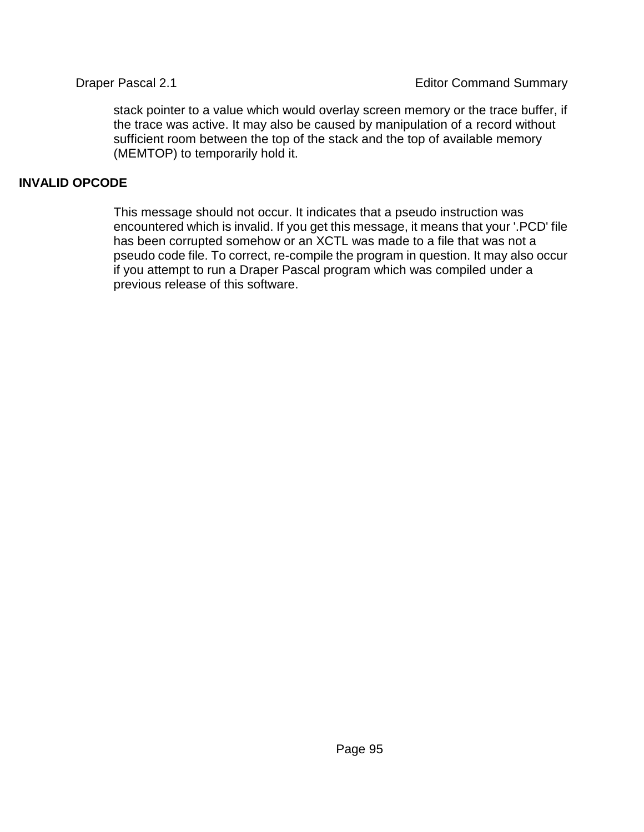stack pointer to a value which would overlay screen memory or the trace buffer, if the trace was active. It may also be caused by manipulation of a record without sufficient room between the top of the stack and the top of available memory (MEMTOP) to temporarily hold it.

### **INVALID OPCODE**

This message should not occur. It indicates that a pseudo instruction was encountered which is invalid. If you get this message, it means that your '.PCD' file has been corrupted somehow or an XCTL was made to a file that was not a pseudo code file. To correct, re-compile the program in question. It may also occur if you attempt to run a Draper Pascal program which was compiled under a previous release of this software.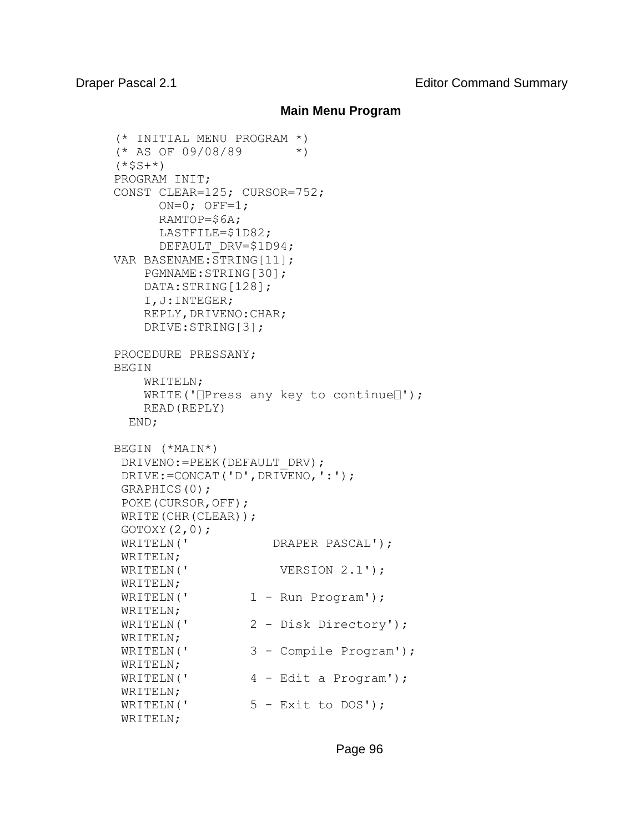### **Main Menu Program**

```
(* INITIAL MENU PROGRAM *)
(* AS OF 09/08/89 *)
(*$S+*)
PROGRAM INIT;
CONST CLEAR=125; CURSOR=752;
     ON=0; OFF=1;
      RAMTOP=$6A;
      LASTFILE=$1D82;
     DEFAULT DRV=$1D94;
VAR BASENAME:STRING[11];
    PGMNAME:STRING[30];
    DATA:STRING[128];
    I,J:INTEGER;
   REPLY, DRIVENO: CHAR;
    DRIVE:STRING[3];
PROCEDURE PRESSANY;
BEGIN 
    WRITELN;
   WRITE('Dress any key to continueD');
    READ(REPLY)
  END;
BEGIN (*MAIN*)
 DRIVENO:=PEEK(DEFAULT_DRV);
DRIVE:=CONCAT('D',DRIVENO,':');
GRAPHICS(0);
POKE(CURSOR,OFF);
WRITE(CHR(CLEAR));
 GOTOXY(2,0);WRITELN(' DRAPER PASCAL');
WRITELN;
WRITELN(' VERSION 2.1');
WRITELN;
WRITELN(' 1 - Run Program');
WRITELN;
WRITELN(' 2 - Disk Directory');
WRITELN;
WRITELN(' 3 - Compile Program');
WRITELN;
WRITELN(' 4 - Edit a Program');
WRITELN;
WRITELN(' 5 - Exit to DOS');
WRITELN;
```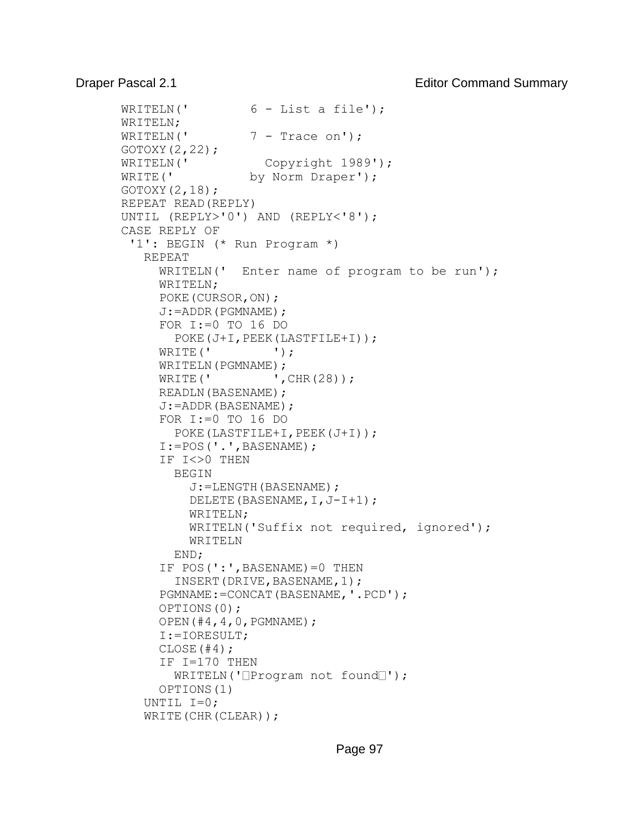```
WRITELN(' 6 - List a file');
WRITELN;
WRITELN(' 7 - Trace on');
GOTOXY(2,22);
WRITELN(' Copyright 1989');
WRITE(' by Norm Draper');
GOTOXY(2,18);REPEAT READ(REPLY)
UNTIL (REPLY>'0') AND (REPLY<'8');
CASE REPLY OF
  '1': BEGIN (* Run Program *)
    REPEAT
     WRITELN(' Enter name of program to be run');
     WRITELN;
     POKE(CURSOR,ON);
      J:=ADDR(PGMNAME);
      FOR I:=0 TO 16 DO
       POKE(J+I, PEEK(LASTFILE+I));
     WRITE(' ');
     WRITELN(PGMNAME);
     WRITE(' , CHR(28));
     READLN(BASENAME);
      J:=ADDR(BASENAME);
      FOR I:=0 TO 16 DO
        POKE(LASTFILE+I,PEEK(J+I));
      I:=POS('.',BASENAME);
     IF I<>0 THEN
        BEGIN
          J:=LENGTH(BASENAME);
          DELETE(BASENAME,I,J-I+1);
          WRITELN;
          WRITELN('Suffix not required, ignored');
          WRITELN
        END;
      IF POS(':',BASENAME)=0 THEN
        INSERT(DRIVE,BASENAME,1);
      PGMNAME:=CONCAT(BASENAME,'.PCD'); 
      OPTIONS(0);
      OPEN(#4,4,0,PGMNAME);
      I:=IORESULT;
     CLOSE(H4); IF I=170 THEN
       WRITELN('\BoxProgram not found\Box');
      OPTIONS(1)
    UNTIL I=0;
   WRITE(CHR(CLEAR));
```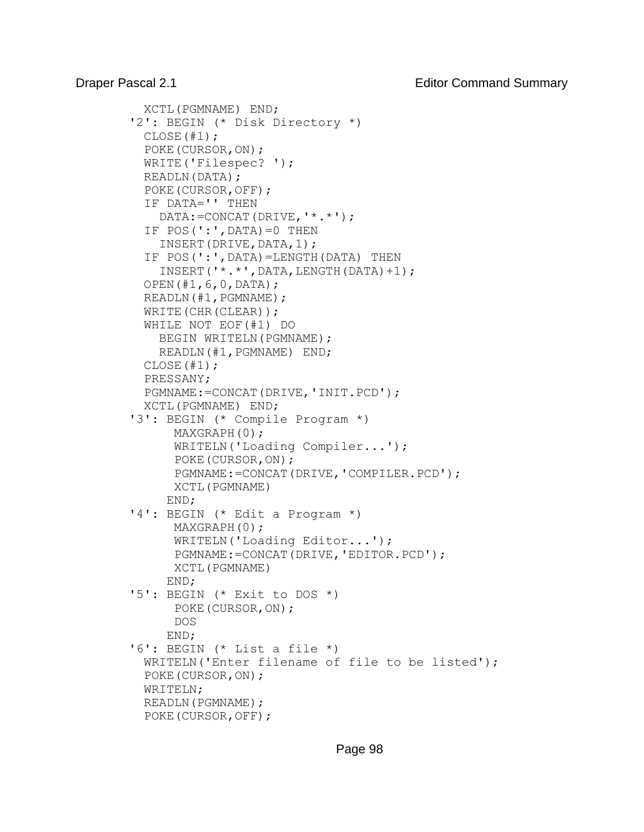```
 XCTL(PGMNAME) END;
 '2': BEGIN (* Disk Directory *)
  CLOSE(#1);
  POKE(CURSOR,ON);
  WRITE('Filespec? ');
  READLN(DATA);
  POKE(CURSOR,OFF);
  IF DATA='' THEN
    DATA:=CONCAT(DRIVE,'*.*');
 IF POS(':', DATA) = 0 THEN
    INSERT(DRIVE,DATA,1);
  IF POS(':',DATA)=LENGTH(DATA) THEN
     INSERT('*.*',DATA,LENGTH(DATA)+1);
  OPEN(#1,6,0,DATA);
  READLN(#1,PGMNAME);
 WRITE(CHR(CLEAR));
  WHILE NOT EOF(#1) DO
   BEGIN WRITELN(PGMNAME);
    READLN(#1,PGMNAME) END;
  CLOSE(#1);
  PRESSANY;
  PGMNAME:=CONCAT(DRIVE,'INIT.PCD');
  XCTL(PGMNAME) END;
 '3': BEGIN (* Compile Program *)
      MAXGRAPH(0);
       WRITELN('Loading Compiler...');
       POKE(CURSOR,ON);
       PGMNAME:=CONCAT(DRIVE,'COMPILER.PCD');
       XCTL(PGMNAME)
     END;
 '4': BEGIN (* Edit a Program *)
       MAXGRAPH(0);
       WRITELN('Loading Editor...');
       PGMNAME:=CONCAT(DRIVE,'EDITOR.PCD');
       XCTL(PGMNAME)
     END;
 '5': BEGIN (* Exit to DOS *)
       POKE(CURSOR,ON);
       DOS
     END;
 '6': BEGIN (* List a file *)
  WRITELN('Enter filename of file to be listed');
  POKE(CURSOR,ON);
  WRITELN;
 READLN(PGMNAME);
  POKE(CURSOR,OFF);
```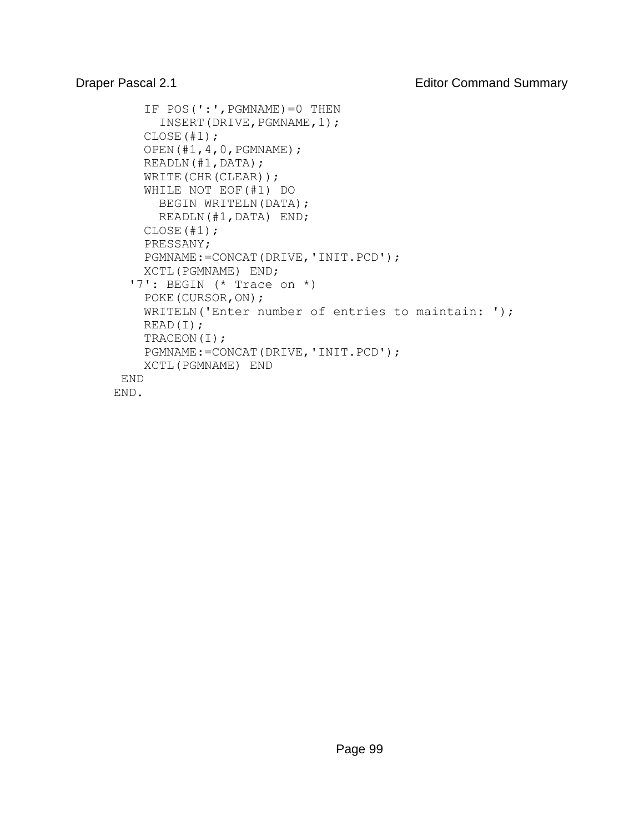```
IF POS(':', PGMNAME) = 0 THEN
      INSERT(DRIVE, PGMNAME, 1);
    CLOSE(+1);
     OPEN(#1,4,0,PGMNAME);
     READLN(#1,DATA);
    WRITE(CHR(CLEAR));
     WHILE NOT EOF(#1) DO
     BEGIN WRITELN(DATA);
       READLN(#1,DATA) END;
     CLOSE(#1);
     PRESSANY;
     PGMNAME:=CONCAT(DRIVE,'INIT.PCD');
     XCTL(PGMNAME) END;
   '7': BEGIN (* Trace on *)
     POKE(CURSOR,ON);
     WRITELN('Enter number of entries to maintain: ');
     READ(I);
     TRACEON(I);
     PGMNAME:=CONCAT(DRIVE,'INIT.PCD');
     XCTL(PGMNAME) END
 END
END.
```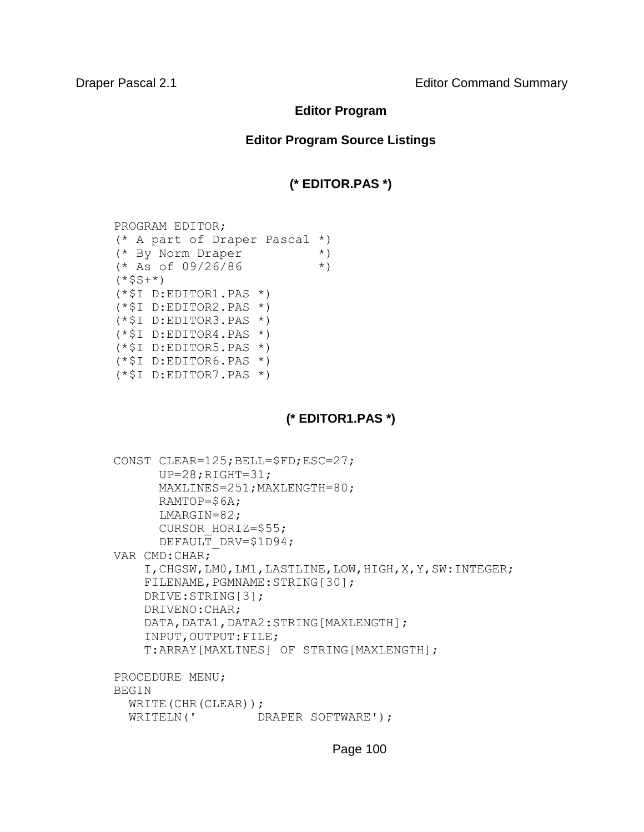**Draper Pascal 2.1 Editor Command Summary** 

### **Editor Program**

### **Editor Program Source Listings**

### **(\* EDITOR.PAS \*)**

PROGRAM EDITOR; (\* A part of Draper Pascal \*)  $(*$  By Norm Draper  $*$  )<br> $(*$  As of 09/26/86  $*$  )  $(*$  As of 09/26/86  $(*SS+*)$ (\*\$I D:EDITOR1.PAS \*)  $(*$I D:EDITOR2.PAS *)$ (\*\$I D:EDITOR3.PAS \*)  $(*$I D:EDITOR4.PAS *)$ (\*\$I D:EDITOR5.PAS \*)  $(*$I D:EDITOR6.PAS *)$ (\*\$I D:EDITOR7.PAS \*)

### **(\* EDITOR1.PAS \*)**

```
CONST CLEAR=125;BELL=$FD;ESC=27; 
     UP=28;RIGHT=31; MAXLINES=251;MAXLENGTH=80; 
       RAMTOP=$6A; 
       LMARGIN=82; 
      CURSOR HORIZ=$55;
      DEFAULT DRV=$1D94;
VAR CMD:CHAR; 
     I,CHGSW,LM0,LM1,LASTLINE,LOW,HIGH,X,Y,SW:INTEGER; 
    FILENAME, PGMNAME: STRING[30];
     DRIVE:STRING[3]; 
     DRIVENO:CHAR; 
    DATA, DATA1, DATA2: STRING [MAXLENGTH];
     INPUT,OUTPUT:FILE; 
     T:ARRAY[MAXLINES] OF STRING[MAXLENGTH]; 
PROCEDURE MENU; 
BEGIN 
  WRITE(CHR(CLEAR));
  WRITELN(' DRAPER SOFTWARE');
```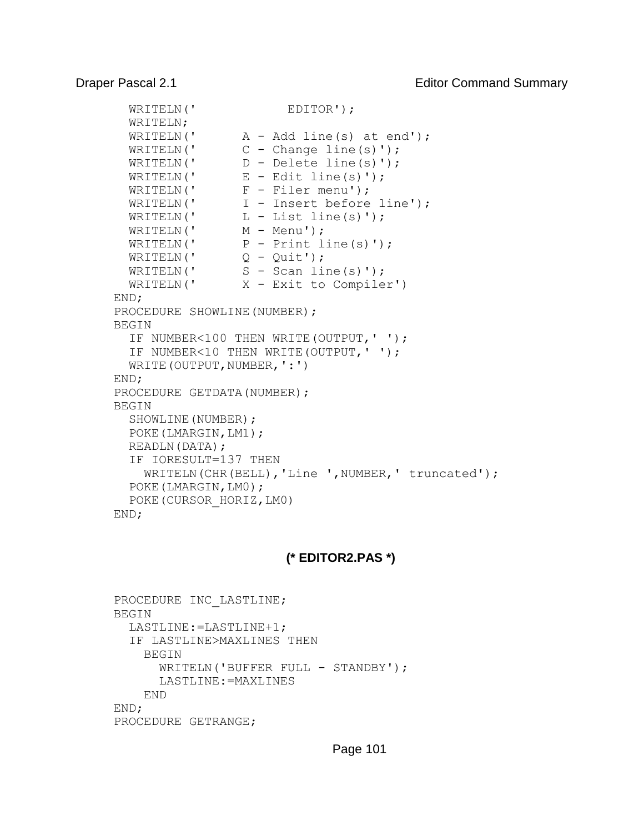```
WRITELN(' EDITOR');
 WRITELN; 
WRITELN(' A - Add line(s) at end');WRITELN(' C - Change line(s)');
 WRITELN(' D - Delete line(s)'); 
WRITELN(' E - Edit line(s)');
WRITELN(' F - Filer menu');
WRITELN(' I - Insert before line');
WRITELN(' L - List line(s)');
WRITELN(' M - Menu');
WRITELN(' P - Print line(s)');
WRITELN(' Q - Quit');
WRITELN(' S - Scan line(s)');
 WRITELN(' X - Exit to Compiler') 
END; 
PROCEDURE SHOWLINE(NUMBER);
BEGIN 
  IF NUMBER<100 THEN WRITE(OUTPUT,' '); 
  IF NUMBER<10 THEN WRITE(OUTPUT,' '); 
 WRITE(OUTPUT, NUMBER, ':')
END; 
PROCEDURE GETDATA(NUMBER);
BEGIN 
 SHOWLINE(NUMBER);
  POKE(LMARGIN,LM1); 
  READLN(DATA); 
  IF IORESULT=137 THEN 
   WRITELN(CHR(BELL), 'Line ', NUMBER, ' truncated');
  POKE(LMARGIN,LM0); 
  POKE(CURSOR_HORIZ,LM0) 
END;
```
### **(\* EDITOR2.PAS \*)**

```
PROCEDURE INC LASTLINE;
BEGIN 
   LASTLINE:=LASTLINE+1; 
   IF LASTLINE>MAXLINES THEN 
     BEGIN 
       WRITELN('BUFFER FULL - STANDBY'); 
       LASTLINE:=MAXLINES 
     END 
END; 
PROCEDURE GETRANGE;
```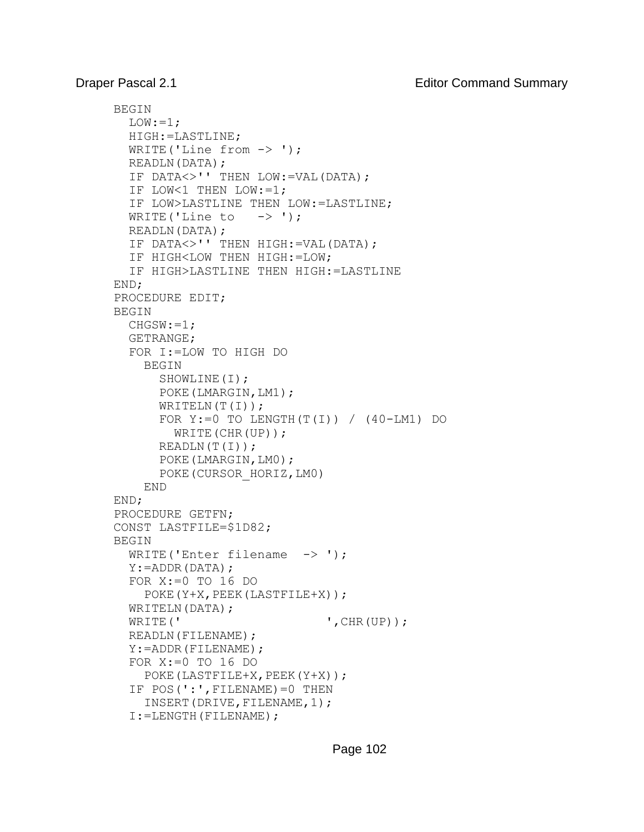```
BEGIN 
  LOW := 1; HIGH:=LASTLINE; 
  WRITE('Line from \rightarrow ');
   READLN(DATA); 
   IF DATA<>'' THEN LOW:=VAL(DATA); 
   IF LOW<1 THEN LOW:=1; 
   IF LOW>LASTLINE THEN LOW:=LASTLINE; 
  WRITE('Line to \rightarrow ');
   READLN(DATA); 
   IF DATA<>'' THEN HIGH:=VAL(DATA); 
   IF HIGH<LOW THEN HIGH:=LOW; 
   IF HIGH>LASTLINE THEN HIGH:=LASTLINE 
END; 
PROCEDURE EDIT; 
BEGIN 
   CHGSW:=1; 
   GETRANGE; 
   FOR I:=LOW TO HIGH DO 
     BEGIN 
       SHOWLINE(I); 
       POKE(LMARGIN,LM1); 
      WRITELN(T(I));
      FOR Y:=0 TO LENGTH(T(I)) / (40-LM1) DO
          WRITE(CHR(UP)); 
       READLN(T(I)); 
       POKE(LMARGIN,LM0); 
       POKE(CURSOR_HORIZ,LM0) 
     END 
END; 
PROCEDURE GETFN; 
CONST LASTFILE=$1D82; 
BEGIN 
  WRITE('Enter filename \rightarrow ');
   Y:=ADDR(DATA); 
   FOR X:=0 TO 16 DO 
    POKE(Y+X, PEEK(LASTFILE+X));
  WRITELN(DATA);
  WRITE(' \qquad \qquad ', CHR(UP));
   READLN(FILENAME); 
   Y:=ADDR(FILENAME); 
   FOR X:=0 TO 16 DO 
    POKE(LASTFILE+X, PEEK(Y+X));
   IF POS(':',FILENAME)=0 THEN 
    INSERT(DRIVE, FILENAME, 1);
   I:=LENGTH(FILENAME);
```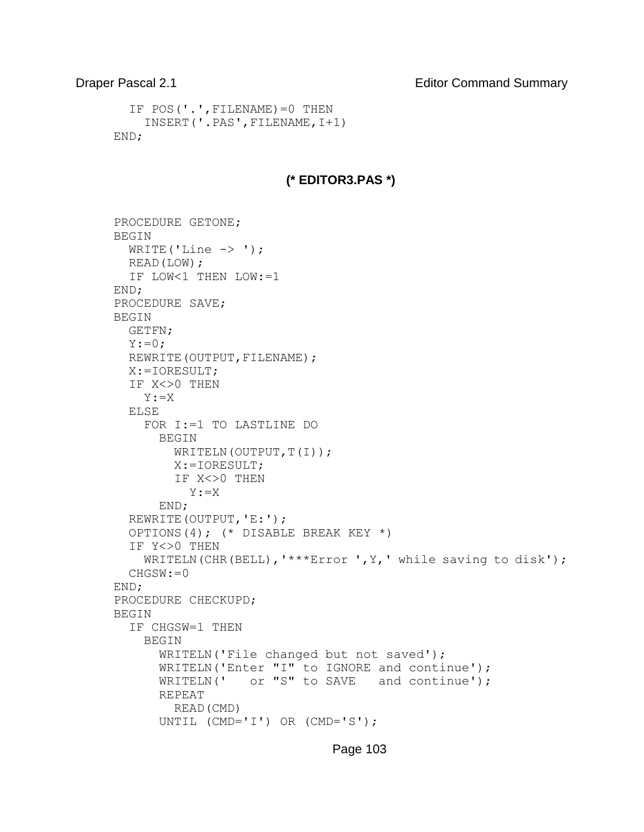```
 IF POS('.',FILENAME)=0 THEN 
     INSERT('.PAS',FILENAME,I+1) 
END;
```
## **(\* EDITOR3.PAS \*)**

```
PROCEDURE GETONE; 
BEGIN 
  WRITE('Line \rightarrow ');
   READ(LOW); 
   IF LOW<1 THEN LOW:=1 
END; 
PROCEDURE SAVE; 
BEGIN 
   GETFN; 
  Y := 0;REWRITE (OUTPUT, FILENAME) ;
   X:=IORESULT; 
   IF X<>0 THEN 
     Y:=X 
   ELSE 
     FOR I:=1 TO LASTLINE DO 
       BEGIN 
        WRITELN(OUTPUT,T(I));
          X:=IORESULT; 
          IF X<>0 THEN 
            Y:=X 
       END; 
   REWRITE(OUTPUT,'E:'); 
   OPTIONS(4); (* DISABLE BREAK KEY *) 
   IF Y<>0 THEN 
    WRITELN(CHR(BELL), '***Error ', Y, ' while saving to disk');
   CHGSW:=0 
END; 
PROCEDURE CHECKUPD; 
BEGIN 
   IF CHGSW=1 THEN 
     BEGIN 
        WRITELN('File changed but not saved'); 
      WRITELN('Enter "I" to IGNORE and continue');
      WRITELN(' or "S" to SAVE and continue');
       REPEAT 
         READ(CMD) 
       UNTIL (CMD='I') OR (CMD='S');
```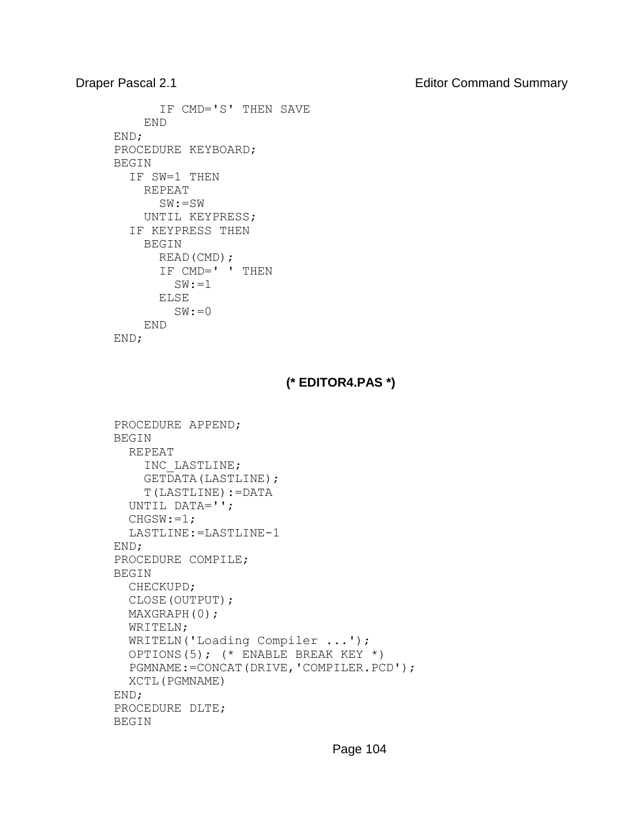Draper Pascal 2.1 **Editor Command Summary** 

```
 IF CMD='S' THEN SAVE 
     END 
END; 
PROCEDURE KEYBOARD; 
BEGIN 
   IF SW=1 THEN 
     REPEAT 
        SW:=SW 
     UNTIL KEYPRESS; 
   IF KEYPRESS THEN 
     BEGIN 
        READ(CMD); 
        IF CMD=' ' THEN 
         SW: = 1 ELSE 
         SW := 0 END 
END;
```
# **(\* EDITOR4.PAS \*)**

```
PROCEDURE APPEND; 
BEGIN 
   REPEAT 
     INC_LASTLINE; 
     GETDATA(LASTLINE); 
     T(LASTLINE):=DATA 
   UNTIL DATA=''; 
   CHGSW:=1; 
   LASTLINE:=LASTLINE-1 
END; 
PROCEDURE COMPILE; 
BEGIN 
   CHECKUPD; 
   CLOSE(OUTPUT); 
   MAXGRAPH(0); 
   WRITELN; 
   WRITELN('Loading Compiler ...'); 
   OPTIONS(5); (* ENABLE BREAK KEY *) 
   PGMNAME:=CONCAT(DRIVE,'COMPILER.PCD'); 
   XCTL(PGMNAME) 
END; 
PROCEDURE DLTE; 
BEGIN
```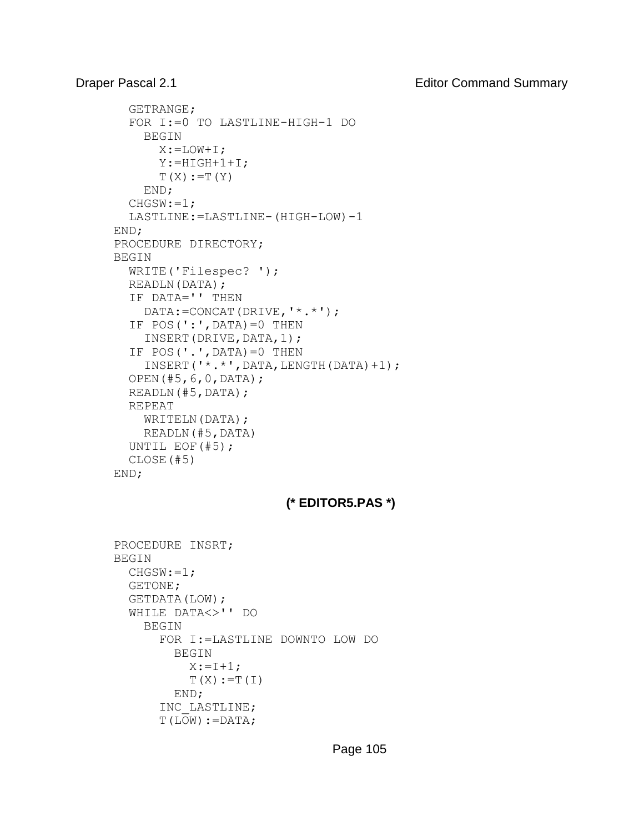```
 GETRANGE; 
   FOR I:=0 TO LASTLINE-HIGH-1 DO 
     BEGIN 
      X:=LOW+I; Y:=HIGH+1+I; 
      T(X):=T(Y) END; 
  CHGSW:=1; LASTLINE:=LASTLINE-(HIGH-LOW)-1 
END; 
PROCEDURE DIRECTORY; 
BEGIN 
   WRITE('Filespec? '); 
   READLN(DATA); 
   IF DATA='' THEN 
     DATA:=CONCAT(DRIVE,'*.*'); 
  IF POS(':', DATA) = 0 THEN
     INSERT(DRIVE,DATA,1); 
  IF POS(\prime\cdot\prime, DATA) = 0 THEN
     INSERT('*.*',DATA,LENGTH(DATA)+1); 
   OPEN(#5,6,0,DATA); 
   READLN(#5,DATA); 
   REPEAT 
    WRITELN(DATA);
     READLN(#5,DATA) 
   UNTIL EOF(#5); 
   CLOSE(#5)
END;
```
# **(\* EDITOR5.PAS \*)**

```
PROCEDURE INSRT; 
BEGIN 
   CHGSW:=1; 
   GETONE; 
   GETDATA(LOW); 
   WHILE DATA<>'' DO 
     BEGIN 
        FOR I:=LASTLINE DOWNTO LOW DO 
          BEGIN 
           X: = I + 1;T(X):=T(I) END; 
        INC_LASTLINE; 
       T(LOW):=DATA;
```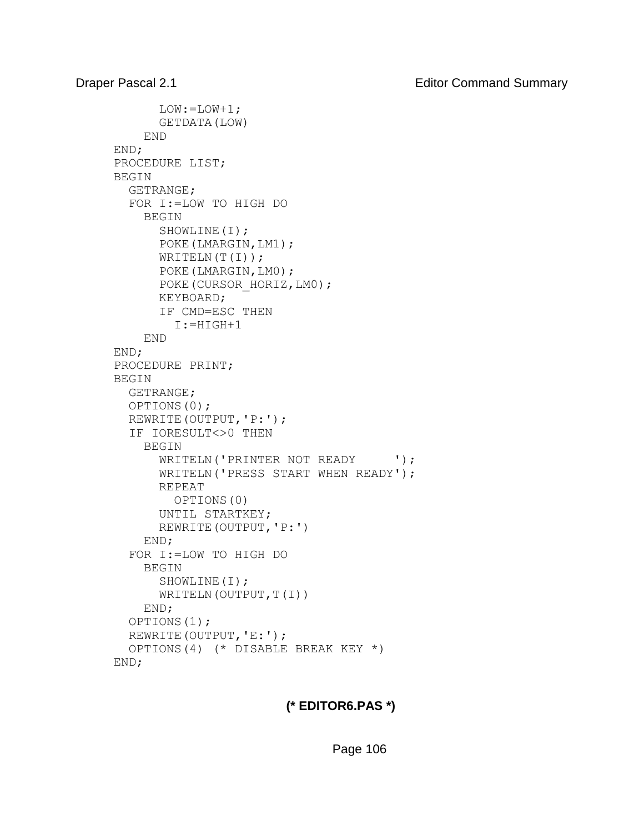```
 LOW:=LOW+1; 
       GETDATA(LOW) 
     END 
END; 
PROCEDURE LIST; 
BEGIN 
   GETRANGE; 
   FOR I:=LOW TO HIGH DO 
     BEGIN 
        SHOWLINE(I); 
        POKE(LMARGIN,LM1); 
      WRITELN(T(I));
        POKE(LMARGIN,LM0); 
      POKE(CURSOR HORIZ, LM0);
       KEYBOARD; 
        IF CMD=ESC THEN 
          I:=HIGH+1 
     END 
END; 
PROCEDURE PRINT; 
BEGIN 
   GETRANGE; 
   OPTIONS(0); 
   REWRITE(OUTPUT,'P:'); 
   IF IORESULT<>0 THEN 
     BEGIN 
      WRITELN('PRINTER NOT READY ');
       WRITELN('PRESS START WHEN READY'); 
       REPEAT 
          OPTIONS(0) 
       UNTIL STARTKEY; 
       REWRITE(OUTPUT,'P:') 
     END; 
   FOR I:=LOW TO HIGH DO 
     BEGIN 
        SHOWLINE(I); 
      WRITELN(OUTPUT,T(I))
     END; 
   OPTIONS(1);
   REWRITE(OUTPUT,'E:'); 
   OPTIONS(4) (* DISABLE BREAK KEY *) 
END;
```
# **(\* EDITOR6.PAS \*)**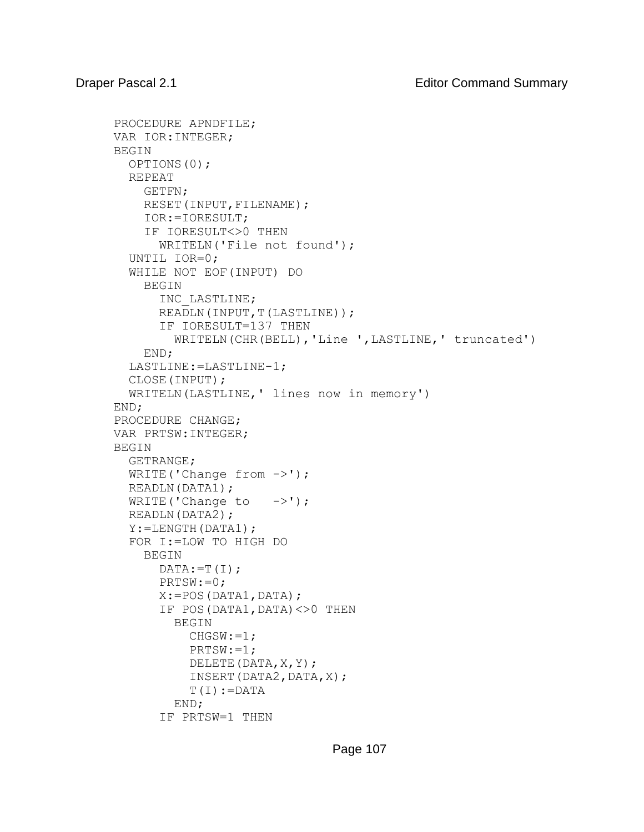```
PROCEDURE APNDFILE; 
VAR IOR:INTEGER; 
BEGIN 
   OPTIONS(0); 
   REPEAT 
     GETFN; 
    RESET(INPUT, FILENAME);
     IOR:=IORESULT; 
     IF IORESULT<>0 THEN 
       WRITELN('File not found'); 
   UNTIL IOR=0; 
   WHILE NOT EOF(INPUT) DO 
     BEGIN 
        INC_LASTLINE; 
      READLN(INPUT, T(LASTLINE));
        IF IORESULT=137 THEN 
          WRITELN(CHR(BELL),'Line ',LASTLINE,' truncated') 
     END; 
   LASTLINE:=LASTLINE-1; 
   CLOSE(INPUT); 
   WRITELN(LASTLINE,' lines now in memory') 
END; 
PROCEDURE CHANGE; 
VAR PRTSW:INTEGER; 
BEGIN 
   GETRANGE; 
  WRITE('Change from ->');
   READLN(DATA1); 
  WRITE('Change to \rightarrow');
   READLN(DATA2); 
   Y:=LENGTH(DATA1); 
   FOR I:=LOW TO HIGH DO 
     BEGIN 
      DATA:=T(I); PRTSW:=0; 
      X:=POS(DATA1,DATA); IF POS(DATA1,DATA)<>0 THEN 
          BEGIN 
           CHGSW:=1; PRTSW:=1; 
            DELETE(DATA,X,Y); 
           INSERT(DATA2,DATA,X);
           T(I):=DATA
          END; 
        IF PRTSW=1 THEN
```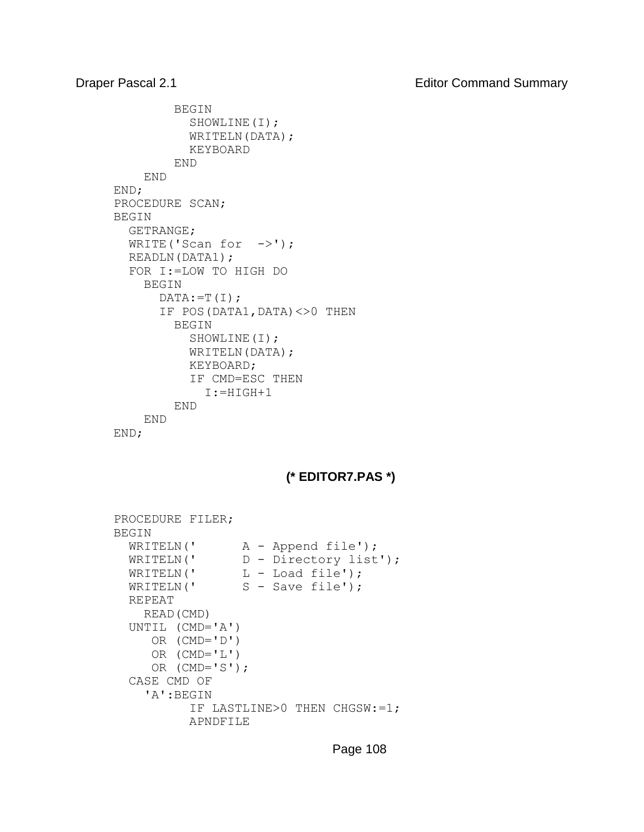```
 BEGIN 
             SHOWLINE(I); 
            WRITELN(DATA);
             KEYBOARD 
          END 
     END 
END; 
PROCEDURE SCAN; 
BEGIN 
   GETRANGE; 
  WRITE('Scan for \rightarrow');
   READLN(DATA1); 
   FOR I:=LOW TO HIGH DO 
     BEGIN 
       DATA:=T(I); IF POS(DATA1,DATA)<>0 THEN 
          BEGIN 
             SHOWLINE(I); 
            WRITELN(DATA);
             KEYBOARD; 
             IF CMD=ESC THEN 
               I:=HIGH+1 
          END 
     END 
END;
```
# **(\* EDITOR7.PAS \*)**

```
PROCEDURE FILER; 
BEGIN 
WRITELN(' A - Append file');
 WRITELN(' D - Directory list'); 
WRITELN(' L - Load file');
WRITELN(' S - Save file');
  REPEAT 
    READ(CMD) 
  UNTIL (CMD='A')
      OR (CMD='D') 
      OR (CMD='L') 
     OR (CMD='S');
   CASE CMD OF 
     'A':BEGIN 
           IF LASTLINE>0 THEN CHGSW:=1; 
           APNDFILE
```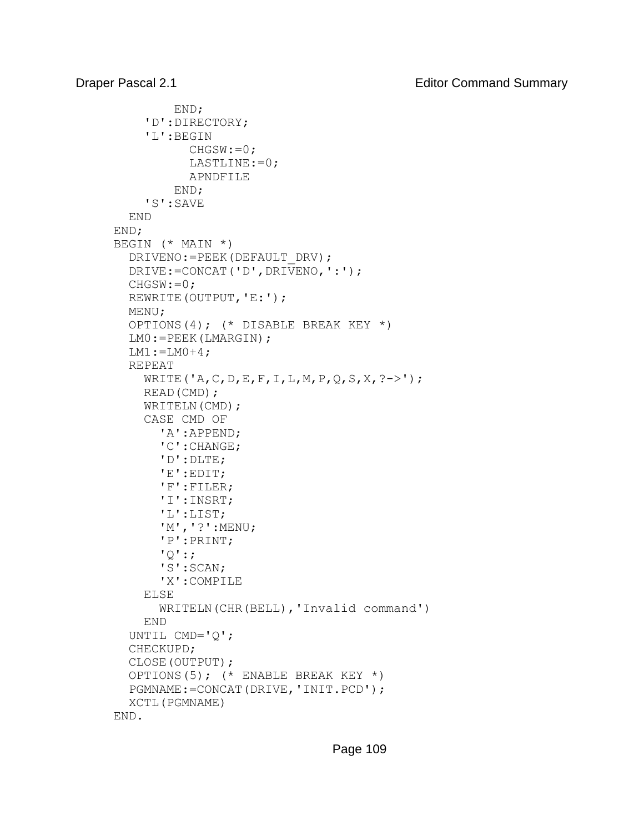```
 END; 
      'D':DIRECTORY; 
      'L':BEGIN 
            CHGSW := 0; LASTLINE:=0; 
             APNDFILE 
          END; 
      'S':SAVE 
   END 
END; 
BEGIN (* MAIN *) 
   DRIVENO:=PEEK(DEFAULT_DRV); 
   DRIVE:=CONCAT('D',DRIVENO,':'); 
   CHGSW:=0; 
   REWRITE(OUTPUT,'E:'); 
   MENU; 
   OPTIONS(4); (* DISABLE BREAK KEY *) 
   LM0:=PEEK(LMARGIN); 
  LM1 := LM0 + 4; REPEAT 
     WRITE('A, C, D, E, F, I, L, M, P, Q, S, X, ?->');
     READ(CMD); 
    WRITELN(CMD);
      CASE CMD OF 
        'A':APPEND; 
        'C':CHANGE; 
        'D':DLTE; 
        'E':EDIT; 
        'F':FILER; 
        'I':INSRT; 
        'L':LIST; 
        'M','?':MENU; 
        'P':PRINT; 
       '<sup>\circ</sup>: \cdot 'S':SCAN; 
        'X':COMPILE 
      ELSE 
        WRITELN(CHR(BELL),'Invalid command') 
     END 
   UNTIL CMD='Q'; 
   CHECKUPD; 
   CLOSE(OUTPUT); 
   OPTIONS(5); (* ENABLE BREAK KEY *) 
   PGMNAME:=CONCAT(DRIVE,'INIT.PCD'); 
   XCTL(PGMNAME) 
END.
```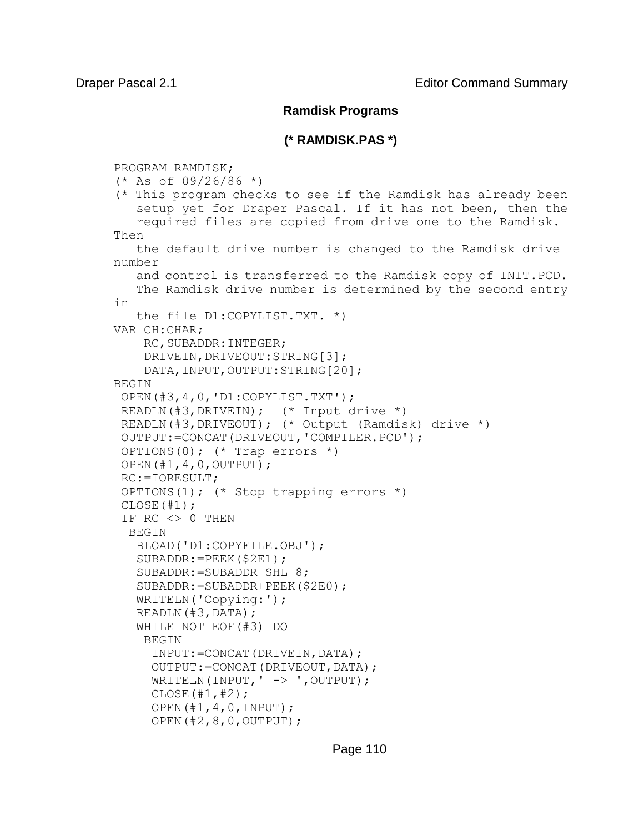## **Ramdisk Programs**

## **(\* RAMDISK.PAS \*)**

PROGRAM RAMDISK;  $(*$  As of 09/26/86  $*)$ (\* This program checks to see if the Ramdisk has already been setup yet for Draper Pascal. If it has not been, then the required files are copied from drive one to the Ramdisk. Then the default drive number is changed to the Ramdisk drive number and control is transferred to the Ramdisk copy of INIT.PCD. The Ramdisk drive number is determined by the second entry in the file D1:COPYLIST.TXT. \*) VAR CH:CHAR; RC, SUBADDR: INTEGER; DRIVEIN, DRIVEOUT: STRING[3]; DATA, INPUT, OUTPUT: STRING[20]; BEGIN OPEN(#3,4,0,'D1:COPYLIST.TXT'); READLN(#3,DRIVEIN); (\* Input drive \*) READLN(#3,DRIVEOUT); (\* Output (Ramdisk) drive \*) OUTPUT:=CONCAT(DRIVEOUT,'COMPILER.PCD'); OPTIONS(0); (\* Trap errors \*) OPEN(#1,4,0,OUTPUT); RC:=IORESULT; OPTIONS(1); (\* Stop trapping errors \*)  $CLOSE(H1);$ IF  $RC \iff 0$  THEN BEGIN BLOAD('D1:COPYFILE.OBJ'); SUBADDR:=PEEK(\$2E1); SUBADDR:=SUBADDR SHL 8; SUBADDR:=SUBADDR+PEEK(\$2E0); WRITELN('Copying:'); READLN(#3,DATA); WHILE NOT EOF(#3) DO BEGIN INPUT:=CONCAT(DRIVEIN,DATA); OUTPUT:=CONCAT(DRIVEOUT,DATA); WRITELN(INPUT,  $\vert$  ->  $\vert$ , OUTPUT);  $CLOSE(H1, #2);$  OPEN(#1,4,0,INPUT); OPEN(#2,8,0,OUTPUT);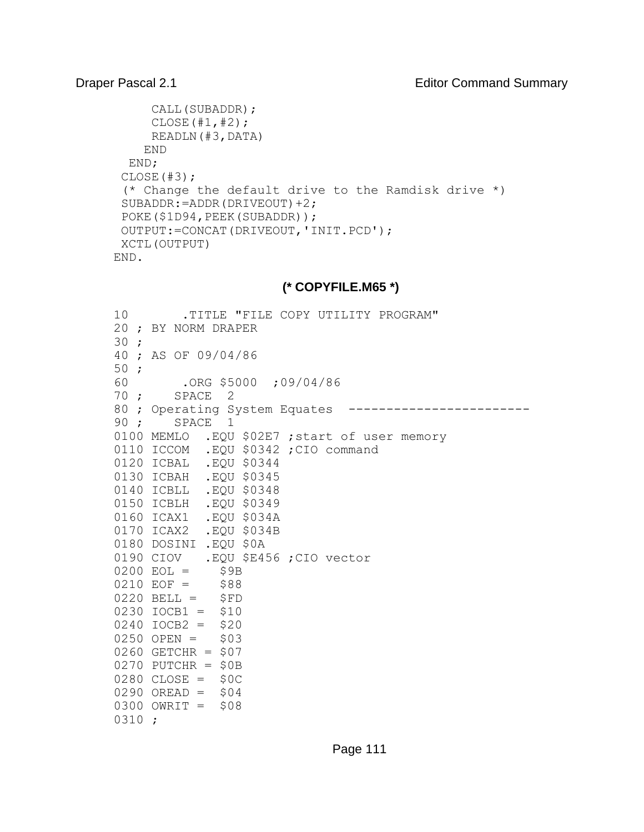```
 CALL(SUBADDR);
      CLOSE(#1,#2);
      READLN(#3,DATA)
     END
  END;
CLOSE(#3);
 (* Change the default drive to the Ramdisk drive *)
SUBADDR:=ADDR(DRIVEOUT)+2;
POKE($1D94, PEEK(SUBADDR));
OUTPUT:=CONCAT(DRIVEOUT,'INIT.PCD');
XCTL(OUTPUT)
END.
```
# **(\* COPYFILE.M65 \*)**

| 10   | .TITLE "FILE COPY UTILITY PROGRAM"            |
|------|-----------------------------------------------|
|      | 20 ; BY NORM DRAPER                           |
| 30:  |                                               |
|      | 40 ; AS OF 09/04/86                           |
| 50;  |                                               |
| 60   | $.$ ORG \$5000 ; 09/04/86                     |
| 70 ; | SPACE 2                                       |
|      | 80 ; Operating System Equates                 |
| 90;  | SPACE 1                                       |
|      | 0100 MEMLO .EQU \$02E7 ; start of user memory |
|      | 0110 ICCOM .EQU \$0342 ; CIO command          |
|      | 0120 ICBAL .EQU \$0344                        |
|      | 0130 ICBAH .EQU \$0345                        |
|      | 0140 ICBLL .EQU \$0348                        |
|      | 0150 ICBLH .EQU \$0349                        |
|      | 0160 ICAX1 .EQU \$034A                        |
|      | 0170 ICAX2 .EQU \$034B                        |
|      | 0180 DOSINI .EQU \$0A                         |
|      | 0190 CIOV .EQU \$E456 ; CIO vector            |
|      | $0200$ EOL = \$9B                             |
|      | $0210$ EOF = \$88                             |
|      | $0220$ BELL = $$FD$                           |
|      | $0230$ $IOCB1 = $10$                          |
|      | $0240$ IOCB2 = \$20                           |
|      | $0250$ OPEN = \$03                            |
|      | 0260 GETCHR = $$07$                           |
|      | $0270$ PUTCHR = \$0B                          |
|      | $0280$ CLOSE = \$0C                           |
|      | $0290$ OREAD = $$04$                          |
|      | $0300$ OWRIT = \$08                           |
| 0310 | $\cdot$                                       |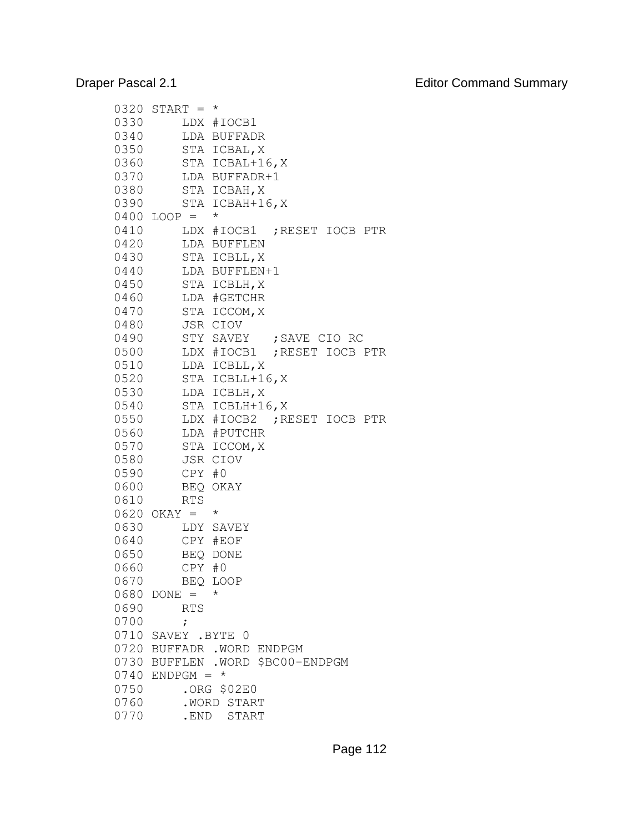| 0320         | $START =$     | $^\star$                          |
|--------------|---------------|-----------------------------------|
| 0330         |               | LDX #IOCB1                        |
| 0340         | LDA           | BUFFADR                           |
| 0350         | STA           | ICBAL, X                          |
| 0360         | STA           | ICBAL+16,X                        |
| 0370         |               | LDA BUFFADR+1                     |
| 0380         |               | STA ICBAH, X                      |
| 0390         | STA           | $ICBAH+16, X$                     |
| 0400         | $LOOP =$      | $^\star$                          |
| 0410         |               | ; RESET IOCB<br>LDX #IOCB1<br>PTR |
| 0420         |               | LDA BUFFLEN                       |
| 0430         |               | STA ICBLL, X                      |
| 0440         |               | LDA BUFFLEN+1                     |
| 0450         |               | STA ICBLH, X                      |
| 0460         |               | LDA #GETCHR                       |
| 0470         |               | STA ICCOM, X                      |
| 0480         |               | JSR CIOV                          |
| 0490         |               | STY SAVEY ; SAVE CIO RC           |
| 0500         |               | LDX #IOCB1 ; RESET IOCB PTR       |
| 0510         |               |                                   |
| 0520         |               | LDA ICBLL, X                      |
|              |               | STA ICBLL+16, X                   |
| 0530<br>0540 |               | LDA ICBLH, X                      |
|              |               | STA ICBLH+16, X                   |
| 0550         |               | ; RESET IOCB<br>LDX #IOCB2<br>PTR |
| 0560         |               | LDA #PUTCHR                       |
| 0570         | STA           | ICCOM, X                          |
| 0580         | JSR           | CIOV                              |
| 0590         | CPY           | #0                                |
| 0600         | BEQ           | OKAY                              |
| 0610         | <b>RTS</b>    | $^\star$                          |
| 0620         | $OKAY =$      |                                   |
| 0630         | LDY           | SAVEY                             |
| 0640         |               | CPY #EOF                          |
| 0650         |               | BEQ DONE                          |
| 0660         | CPY           | #0                                |
| 0670         |               | BEQ LOOP                          |
| 0680         | $DONE =$      | $^\star$                          |
| 0690         | <b>RTS</b>    |                                   |
| 0700         | ;             |                                   |
| 0710         | SAVEY .BYTE 0 |                                   |
| 0720         |               | BUFFADR . WORD ENDPGM             |
| 0730         |               | BUFFLEN . WORD \$BC00-ENDPGM      |
| 0740         | $ENDPGM =$    | $\star$                           |
| 0750         |               | .ORG \$02E0                       |
| 0760         |               | .WORD START                       |
| 0770         | .END          | START                             |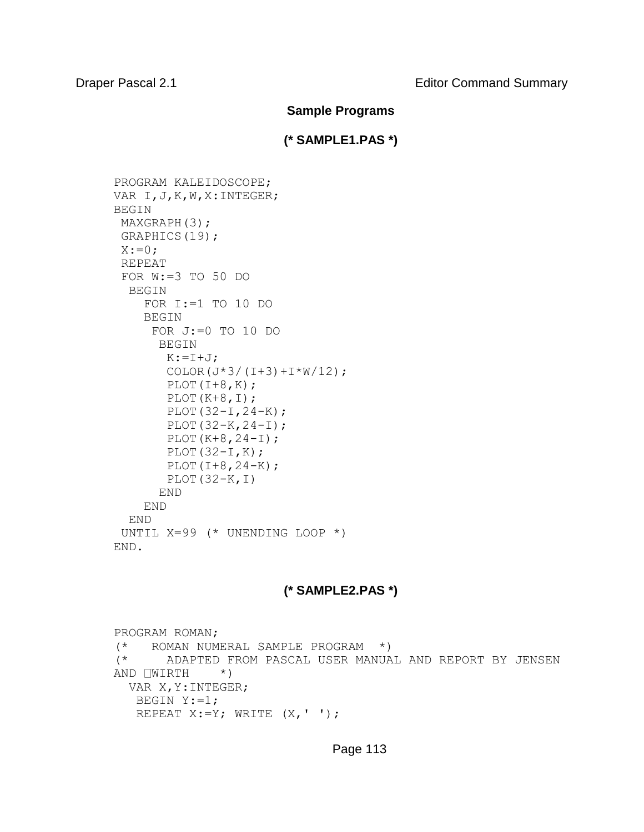### **Sample Programs**

## **(\* SAMPLE1.PAS \*)**

```
PROGRAM KALEIDOSCOPE; 
VAR I,J,K,W,X:INTEGER; 
BEGIN 
MAXGRAPH(3);
 GRAPHICS(19); 
 X:=0:
 REPEAT 
 FOR W:=3 TO 50 DO 
   BEGIN 
     FOR I:=1 TO 10 DO 
     BEGIN 
      FOR J:=0 TO 10 DO 
       BEGIN 
       K:=I+J;COLOR(J*3/(I+3)+I*W/12);
       PLOT(I+8,K);
       PLOT(K+8, I);PLOT(32-I, 24-K);
       PLOT(32-K, 24-I);
       PLOT(K+8, 24-I);
       PLOT(32-I,K);
       PLOT(I+8, 24-K); PLOT(32-K,I) 
       END 
     END 
   END 
 UNTIL X=99 (* UNENDING LOOP *) 
END.
```
# **(\* SAMPLE2.PAS \*)**

PROGRAM ROMAN; (\* ROMAN NUMERAL SAMPLE PROGRAM \*) (\* ADAPTED FROM PASCAL USER MANUAL AND REPORT BY JENSEN AND  $\Box WIRTH$  \*) VAR X,Y:INTEGER; BEGIN Y:=1; REPEAT  $X:=Y$ ; WRITE  $(X, ' '')$ ;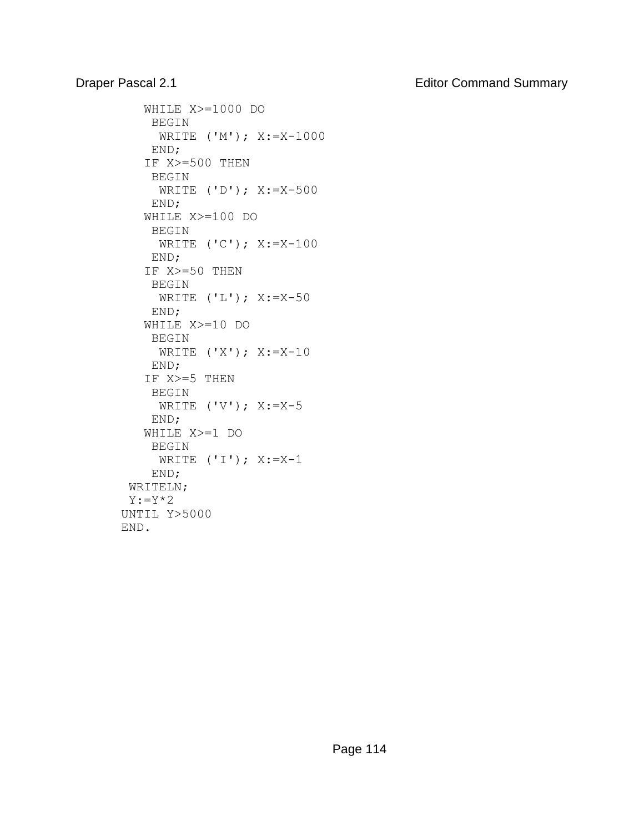# Draper Pascal 2.1 **Editor Command Summary**

```
 WHILE X>=1000 DO 
     BEGIN 
      WRITE ('M'); X:=X-1000 
     END; 
    IF X>=500 THEN 
     BEGIN 
      WRITE ('D'); X:=X-500 
     END; 
    WHILE X>=100 DO 
     BEGIN 
      WRITE ('C'); X:=X-100 
     END; 
    IF X>=50 THEN 
     BEGIN 
      WRITE ('L'); X:=X-50 
     END; 
    WHILE X>=10 DO 
     BEGIN 
     WRITE ('X'); X:=X-10 
     END; 
    IF X>=5 THEN 
     BEGIN 
    WRITE ('V'); X:=X-5 END; 
    WHILE X>=1 DO 
     BEGIN 
     WRITE ('I'); X:=X-1 END; 
  WRITELN; 
  Y:=Y*2 
UNTIL Y>5000 
END.
```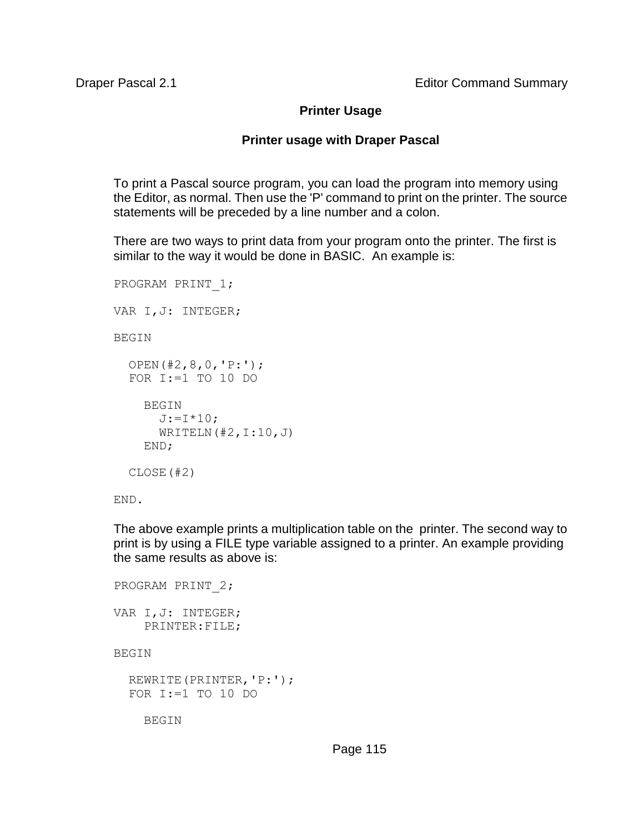## **Printer Usage**

## **Printer usage with Draper Pascal**

To print a Pascal source program, you can load the program into memory using the Editor, as normal. Then use the 'P' command to print on the printer. The source statements will be preceded by a line number and a colon.

There are two ways to print data from your program onto the printer. The first is similar to the way it would be done in BASIC. An example is:

```
PROGRAM PRINT_1; 
VAR I,J: INTEGER; 
BEGIN 
   OPEN(#2,8,0,'P:'); 
   FOR I:=1 TO 10 DO 
     BEGIN 
      J:={I*10};
      WRITELN(\#2,1:10,J) END; 
   CLOSE(#2)
```
END.

The above example prints a multiplication table on the printer. The second way to print is by using a FILE type variable assigned to a printer. An example providing the same results as above is:

```
PROGRAM PRINT_2; 
VAR I,J: INTEGER; 
     PRINTER:FILE; 
BEGIN 
   REWRITE(PRINTER,'P:'); 
   FOR I:=1 TO 10 DO
```
BEGIN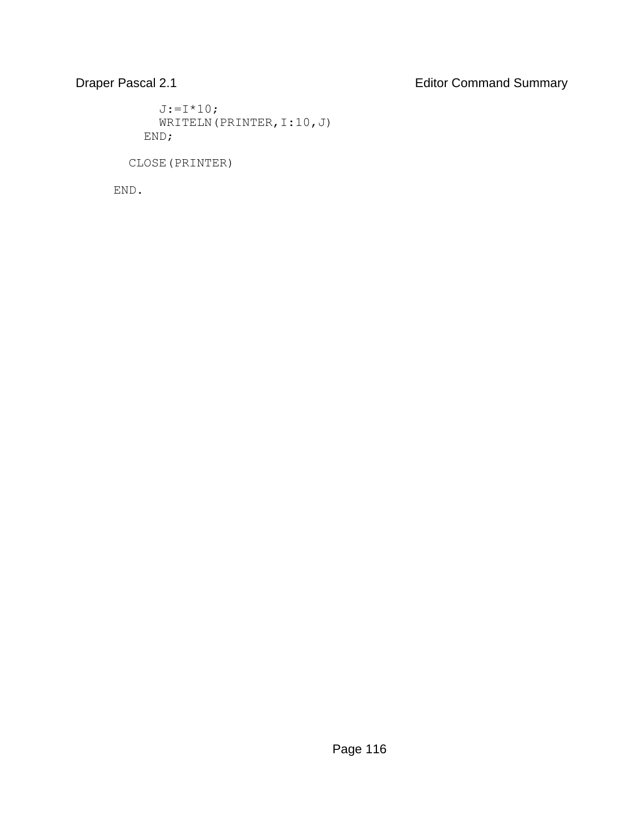# Draper Pascal 2.1 **Editor Command Summary**

 $J:={I*10}$ ; WRITELN(PRINTER, I:10, J) END;

CLOSE(PRINTER)

END.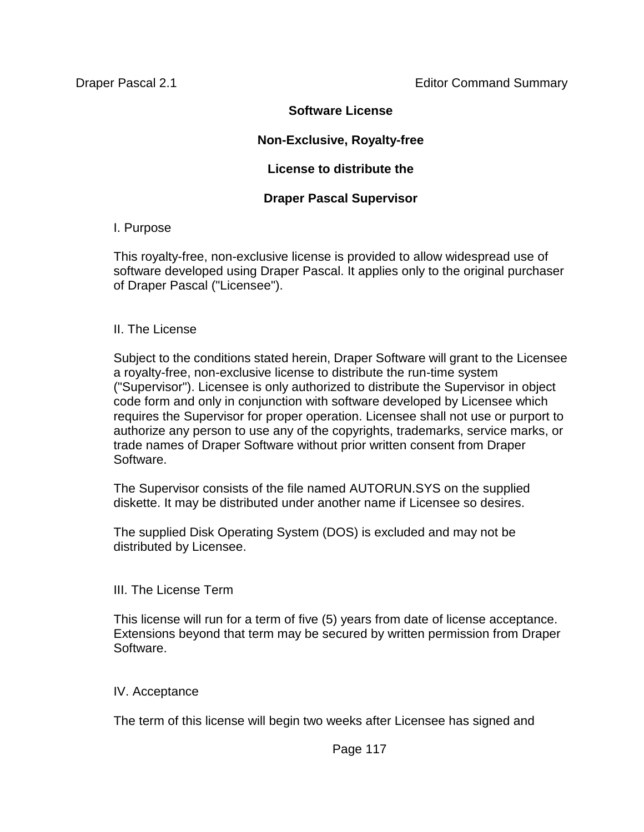## **Software License**

## **Non-Exclusive, Royalty-free**

## **License to distribute the**

## **Draper Pascal Supervisor**

## I. Purpose

This royalty-free, non-exclusive license is provided to allow widespread use of software developed using Draper Pascal. It applies only to the original purchaser of Draper Pascal ("Licensee").

## II. The License

Subject to the conditions stated herein, Draper Software will grant to the Licensee a royalty-free, non-exclusive license to distribute the run-time system ("Supervisor"). Licensee is only authorized to distribute the Supervisor in object code form and only in conjunction with software developed by Licensee which requires the Supervisor for proper operation. Licensee shall not use or purport to authorize any person to use any of the copyrights, trademarks, service marks, or trade names of Draper Software without prior written consent from Draper Software.

The Supervisor consists of the file named AUTORUN.SYS on the supplied diskette. It may be distributed under another name if Licensee so desires.

The supplied Disk Operating System (DOS) is excluded and may not be distributed by Licensee.

## III. The License Term

This license will run for a term of five (5) years from date of license acceptance. Extensions beyond that term may be secured by written permission from Draper Software.

## IV. Acceptance

The term of this license will begin two weeks after Licensee has signed and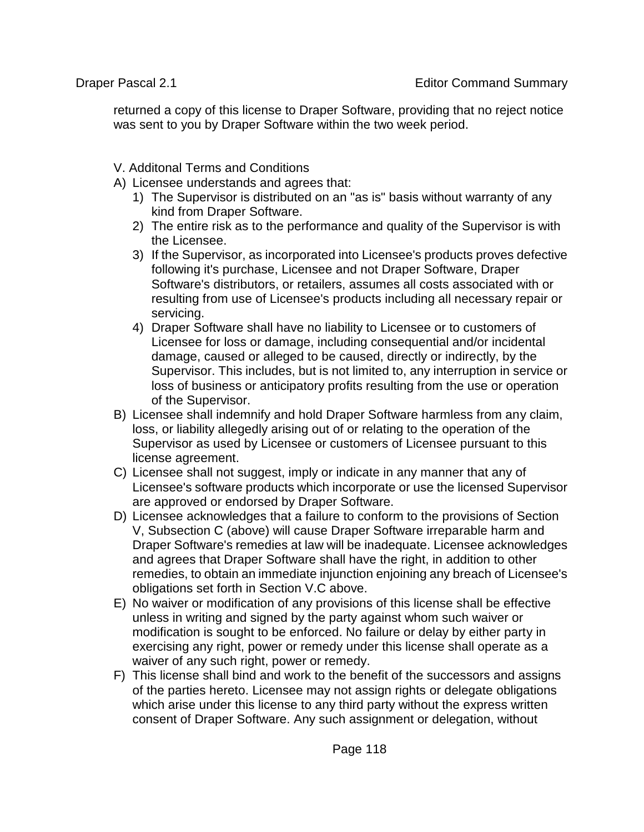returned a copy of this license to Draper Software, providing that no reject notice was sent to you by Draper Software within the two week period.

V. Additonal Terms and Conditions

- A) Licensee understands and agrees that:
	- 1) The Supervisor is distributed on an "as is" basis without warranty of any kind from Draper Software.
	- 2) The entire risk as to the performance and quality of the Supervisor is with the Licensee.
	- 3) If the Supervisor, as incorporated into Licensee's products proves defective following it's purchase, Licensee and not Draper Software, Draper Software's distributors, or retailers, assumes all costs associated with or resulting from use of Licensee's products including all necessary repair or servicing.
	- 4) Draper Software shall have no liability to Licensee or to customers of Licensee for loss or damage, including consequential and/or incidental damage, caused or alleged to be caused, directly or indirectly, by the Supervisor. This includes, but is not limited to, any interruption in service or loss of business or anticipatory profits resulting from the use or operation of the Supervisor.
- B) Licensee shall indemnify and hold Draper Software harmless from any claim, loss, or liability allegedly arising out of or relating to the operation of the Supervisor as used by Licensee or customers of Licensee pursuant to this license agreement.
- C) Licensee shall not suggest, imply or indicate in any manner that any of Licensee's software products which incorporate or use the licensed Supervisor are approved or endorsed by Draper Software.
- D) Licensee acknowledges that a failure to conform to the provisions of Section V, Subsection C (above) will cause Draper Software irreparable harm and Draper Software's remedies at law will be inadequate. Licensee acknowledges and agrees that Draper Software shall have the right, in addition to other remedies, to obtain an immediate injunction enjoining any breach of Licensee's obligations set forth in Section V.C above.
- E) No waiver or modification of any provisions of this license shall be effective unless in writing and signed by the party against whom such waiver or modification is sought to be enforced. No failure or delay by either party in exercising any right, power or remedy under this license shall operate as a waiver of any such right, power or remedy.
- F) This license shall bind and work to the benefit of the successors and assigns of the parties hereto. Licensee may not assign rights or delegate obligations which arise under this license to any third party without the express written consent of Draper Software. Any such assignment or delegation, without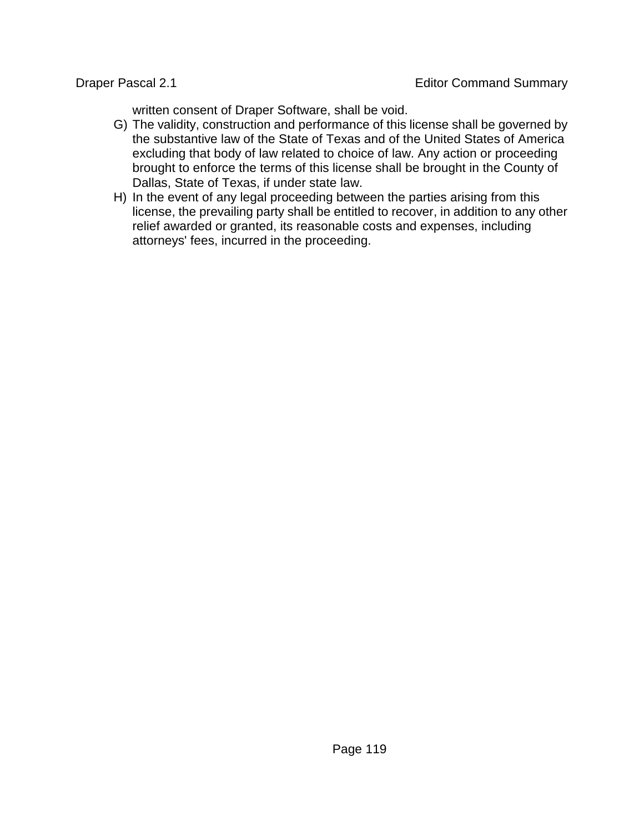written consent of Draper Software, shall be void.

- G) The validity, construction and performance of this license shall be governed by the substantive law of the State of Texas and of the United States of America excluding that body of law related to choice of law. Any action or proceeding brought to enforce the terms of this license shall be brought in the County of Dallas, State of Texas, if under state law.
- H) In the event of any legal proceeding between the parties arising from this license, the prevailing party shall be entitled to recover, in addition to any other relief awarded or granted, its reasonable costs and expenses, including attorneys' fees, incurred in the proceeding.